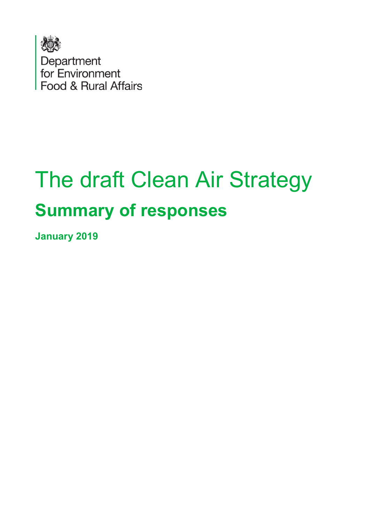

# The draft Clean Air Strategy **Summary of responses**

**January 2019**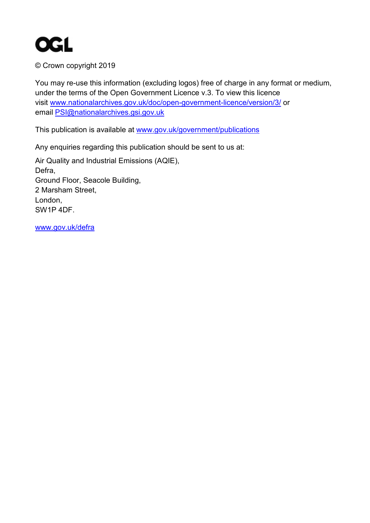

© Crown copyright 2019

You may re-use this information (excluding logos) free of charge in any format or medium, under the terms of the Open Government Licence v.3. To view this licence visit [www.nationalarchives.gov.uk/doc/open-government-licence/version/3/](http://www.nationalarchives.gov.uk/doc/open-government-licence/version/3/) or email [PSI@nationalarchives.gsi.gov.uk](mailto:PSI@nationalarchives.gsi.gov.uk) 

This publication is available at [www.gov.uk/government/publications](http://www.gov.uk/government/publications) 

Any enquiries regarding this publication should be sent to us at:

Air Quality and Industrial Emissions (AQIE), Defra, Ground Floor, Seacole Building, 2 Marsham Street, London, SW1P 4DF.

[www.gov.uk/defra](http://www.gov.uk/defra)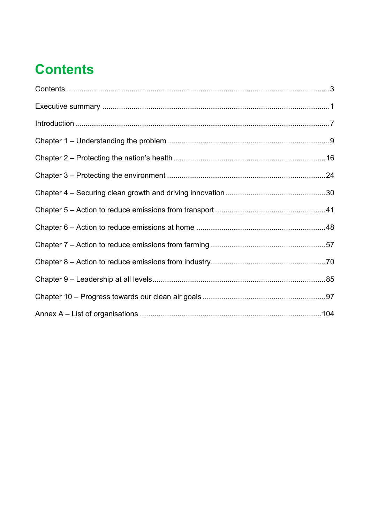# <span id="page-2-0"></span>**Contents**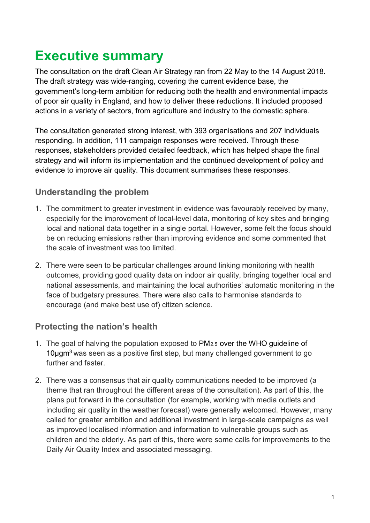# <span id="page-3-0"></span>**Executive summary**

The consultation on the draft Clean Air Strategy ran from 22 May to the 14 August 2018. The draft strategy was wide-ranging, covering the current evidence base, the government's long-term ambition for reducing both the health and environmental impacts of poor air quality in England, and how to deliver these reductions. It included proposed actions in a variety of sectors, from agriculture and industry to the domestic sphere.

The consultation generated strong interest, with 393 organisations and 207 individuals responding. In addition, 111 campaign responses were received. Through these responses, stakeholders provided detailed feedback, which has helped shape the final strategy and will inform its implementation and the continued development of policy and evidence to improve air quality. This document summarises these responses.

# **Understanding the problem**

- 1. The commitment to greater investment in evidence was favourably received by many, especially for the improvement of local-level data, monitoring of key sites and bringing local and national data together in a single portal. However, some felt the focus should be on reducing emissions rather than improving evidence and some commented that the scale of investment was too limited.
- 2. There were seen to be particular challenges around linking monitoring with health outcomes, providing good quality data on indoor air quality, bringing together local and national assessments, and maintaining the local authorities' automatic monitoring in the face of budgetary pressures. There were also calls to harmonise standards to encourage (and make best use of) citizen science.

#### **Protecting the nation's health**

- 1. The goal of halving the population exposed to  $PM<sub>2.5</sub>$  over the WHO guideline of 10ugm<sup>3</sup> was seen as a positive first step, but many challenged government to go further and faster.
- 2. There was a consensus that air quality communications needed to be improved (a theme that ran throughout the different areas of the consultation). As part of this, the plans put forward in the consultation (for example, working with media outlets and including air quality in the weather forecast) were generally welcomed. However, many called for greater ambition and additional investment in large-scale campaigns as well as improved localised information and information to vulnerable groups such as children and the elderly. As part of this, there were some calls for improvements to the Daily Air Quality Index and associated messaging.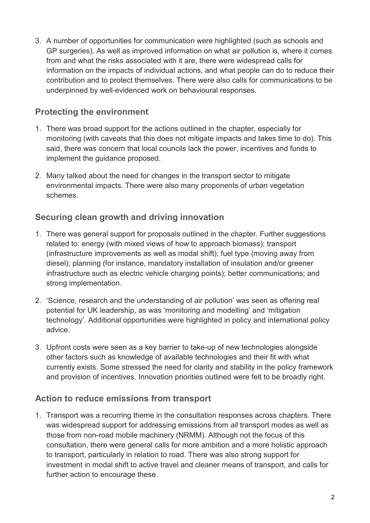3. A number of opportunities for communication were highlighted (such as schools and GP surgeries). As well as improved information on what air pollution is, where it comes from and what the risks associated with it are, there were widespread calls for information on the impacts of individual actions, and what people can do to reduce their contribution and to protect themselves. There were also calls for communications to be underpinned by well-evidenced work on behavioural responses.

# **Protecting the environment**

- 1. There was broad support for the actions outlined in the chapter, especially for monitoring (with caveats that this does not mitigate impacts and takes time to do). This said, there was concern that local councils lack the power, incentives and funds to implement the guidance proposed.
- 2. Many talked about the need for changes in the transport sector to mitigate environmental impacts. There were also many proponents of urban vegetation schemes.

# **Securing clean growth and driving innovation**

- 1. There was general support for proposals outlined in the chapter. Further suggestions related to: energy (with mixed views of how to approach biomass); transport (infrastructure improvements as well as modal shift); fuel type (moving away from diesel); planning (for instance, mandatory installation of insulation and/or greener infrastructure such as electric vehicle charging points); better communications; and strong implementation.
- 2. 'Science, research and the understanding of air pollution' was seen as offering real potential for UK leadership, as was 'monitoring and modelling' and 'mitigation technology'. Additional opportunities were highlighted in policy and international policy advice.
- 3. Upfront costs were seen as a key barrier to take-up of new technologies alongside other factors such as knowledge of available technologies and their fit with what currently exists. Some stressed the need for clarity and stability in the policy framework and provision of incentives. Innovation priorities outlined were felt to be broadly right.

# **Action to reduce emissions from transport**

1. Transport was a recurring theme in the consultation responses across chapters. There was widespread support for addressing emissions from *all* transport modes as well as those from non-road mobile machinery (NRMM). Although not the focus of this consultation, there were general calls for more ambition and a more holistic approach to transport, particularly in relation to road. There was also strong support for investment in modal shift to active travel and cleaner means of transport, and calls for further action to encourage these.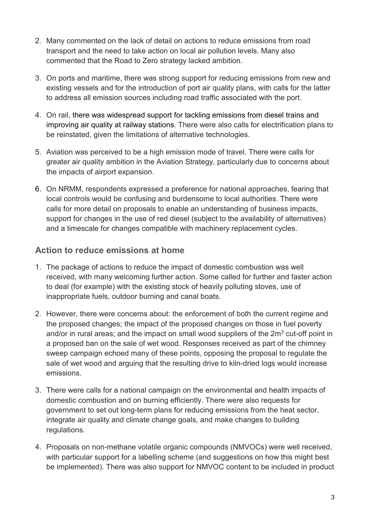- 2. Many commented on the lack of detail on actions to reduce emissions from road transport and the need to take action on local air pollution levels. Many also commented that the Road to Zero strategy lacked ambition.
- 3. On ports and maritime, there was strong support for reducing emissions from new and existing vessels and for the introduction of port air quality plans, with calls for the latter to address all emission sources including road traffic associated with the port.
- 4. On rail, there was widespread support for tackling emissions from diesel trains and improving air quality at railway stations. There were also calls for electrification plans to be reinstated, given the limitations of alternative technologies.
- 5. Aviation was perceived to be a high emission mode of travel. There were calls for greater air quality ambition in the Aviation Strategy, particularly due to concerns about the impacts of airport expansion.
- 6. On NRMM, respondents expressed a preference for national approaches, fearing that local controls would be confusing and burdensome to local authorities. There were calls for more detail on proposals to enable an understanding of business impacts, support for changes in the use of red diesel (subject to the availability of alternatives) and a timescale for changes compatible with machinery replacement cycles.

#### **Action to reduce emissions at home**

- 1. The package of actions to reduce the impact of domestic combustion was well received, with many welcoming further action. Some called for further and faster action to deal (for example) with the existing stock of heavily polluting stoves, use of inappropriate fuels, outdoor burning and canal boats.
- 2. However, there were concerns about: the enforcement of both the current regime and the proposed changes; the impact of the proposed changes on those in fuel poverty and/or in rural areas; and the impact on small wood suppliers of the  $2m<sup>3</sup>$  cut-off point in a proposed ban on the sale of wet wood. Responses received as part of the chimney sweep campaign echoed many of these points, opposing the proposal to regulate the sale of wet wood and arguing that the resulting drive to kiln-dried logs would increase emissions.
- 3. There were calls for a national campaign on the environmental and health impacts of domestic combustion and on burning efficiently. There were also requests for government to set out long-term plans for reducing emissions from the heat sector, integrate air quality and climate change goals, and make changes to building regulations.
- 4. Proposals on non-methane volatile organic compounds (NMVOCs) were well received, with particular support for a labelling scheme (and suggestions on how this might best be implemented). There was also support for NMVOC content to be included in product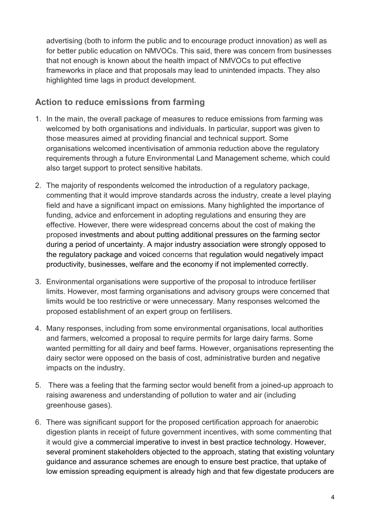advertising (both to inform the public and to encourage product innovation) as well as for better public education on NMVOCs. This said, there was concern from businesses that not enough is known about the health impact of NMVOCs to put effective frameworks in place and that proposals may lead to unintended impacts. They also highlighted time lags in product development.

#### **Action to reduce emissions from farming**

- 1. In the main, the overall package of measures to reduce emissions from farming was welcomed by both organisations and individuals. In particular, support was given to those measures aimed at providing financial and technical support. Some organisations welcomed incentivisation of ammonia reduction above the regulatory requirements through a future Environmental Land Management scheme, which could also target support to protect sensitive habitats.
- 2. The majority of respondents welcomed the introduction of a regulatory package, commenting that it would improve standards across the industry, create a level playing field and have a significant impact on emissions. Many highlighted the importance of funding, advice and enforcement in adopting regulations and ensuring they are effective. However, there were widespread concerns about the cost of making the proposed investments and about putting additional pressures on the farming sector during a period of uncertainty. A major industry association were strongly opposed to the regulatory package and voiced concerns that regulation would negatively impact productivity, businesses, welfare and the economy if not implemented correctly.
- 3. Environmental organisations were supportive of the proposal to introduce fertiliser limits. However, most farming organisations and advisory groups were concerned that limits would be too restrictive or were unnecessary. Many responses welcomed the proposed establishment of an expert group on fertilisers.
- 4. Many responses, including from some environmental organisations, local authorities and farmers, welcomed a proposal to require permits for large dairy farms. Some wanted permitting for all dairy and beef farms. However, organisations representing the dairy sector were opposed on the basis of cost, administrative burden and negative impacts on the industry.
- 5. There was a feeling that the farming sector would benefit from a joined-up approach to raising awareness and understanding of pollution to water and air (including greenhouse gases).
- 6. There was significant support for the proposed certification approach for anaerobic digestion plants in receipt of future government incentives, with some commenting that it would give a commercial imperative to invest in best practice technology. However, several prominent stakeholders objected to the approach, stating that existing voluntary guidance and assurance schemes are enough to ensure best practice, that uptake of low emission spreading equipment is already high and that few digestate producers are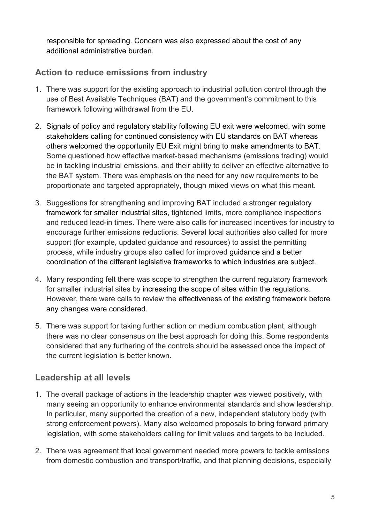responsible for spreading. Concern was also expressed about the cost of any additional administrative burden.

# **Action to reduce emissions from industry**

- 1. There was support for the existing approach to industrial pollution control through the use of Best Available Techniques (BAT) and the government's commitment to this framework following withdrawal from the EU.
- 2. Signals of policy and regulatory stability following EU exit were welcomed, with some stakeholders calling for continued consistency with EU standards on BAT whereas others welcomed the opportunity EU Exit might bring to make amendments to BAT. Some questioned how effective market-based mechanisms (emissions trading) would be in tackling industrial emissions, and their ability to deliver an effective alternative to the BAT system. There was emphasis on the need for any new requirements to be proportionate and targeted appropriately, though mixed views on what this meant.
- 3. Suggestions for strengthening and improving BAT included a stronger regulatory framework for smaller industrial sites, tightened limits, more compliance inspections and reduced lead-in times. There were also calls for increased incentives for industry to encourage further emissions reductions. Several local authorities also called for more support (for example, updated guidance and resources) to assist the permitting process, while industry groups also called for improved guidance and a better coordination of the different legislative frameworks to which industries are subject.
- 4. Many responding felt there was scope to strengthen the current regulatory framework for smaller industrial sites by increasing the scope of sites within the regulations. However, there were calls to review the effectiveness of the existing framework before any changes were considered.
- 5. There was support for taking further action on medium combustion plant, although there was no clear consensus on the best approach for doing this. Some respondents considered that any furthering of the controls should be assessed once the impact of the current legislation is better known.

# **Leadership at all levels**

- 1. The overall package of actions in the leadership chapter was viewed positively, with many seeing an opportunity to enhance environmental standards and show leadership. In particular, many supported the creation of a new, independent statutory body (with strong enforcement powers). Many also welcomed proposals to bring forward primary legislation, with some stakeholders calling for limit values and targets to be included.
- 2. There was agreement that local government needed more powers to tackle emissions from domestic combustion and transport/traffic, and that planning decisions, especially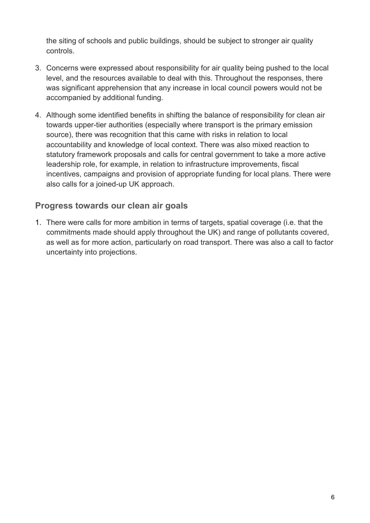the siting of schools and public buildings, should be subject to stronger air quality controls.

- 3. Concerns were expressed about responsibility for air quality being pushed to the local level, and the resources available to deal with this. Throughout the responses, there was significant apprehension that any increase in local council powers would not be accompanied by additional funding.
- 4. Although some identified benefits in shifting the balance of responsibility for clean air towards upper-tier authorities (especially where transport is the primary emission source), there was recognition that this came with risks in relation to local accountability and knowledge of local context. There was also mixed reaction to statutory framework proposals and calls for central government to take a more active leadership role, for example, in relation to infrastructure improvements, fiscal incentives, campaigns and provision of appropriate funding for local plans. There were also calls for a joined-up UK approach.

#### **Progress towards our clean air goals**

1. There were calls for more ambition in terms of targets, spatial coverage (i.e. that the commitments made should apply throughout the UK) and range of pollutants covered, as well as for more action, particularly on road transport. There was also a call to factor uncertainty into projections.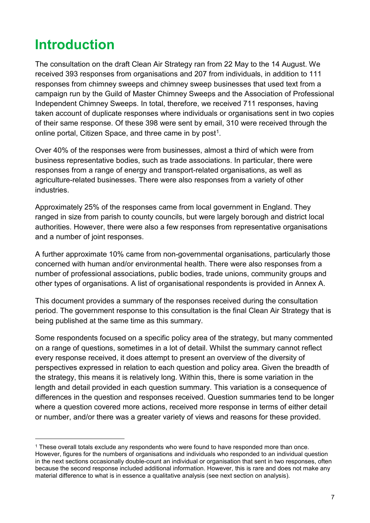# <span id="page-9-0"></span>**Introduction**

-

The consultation on the draft Clean Air Strategy ran from 22 May to the 14 August. We received 393 responses from organisations and 207 from individuals, in addition to 111 responses from chimney sweeps and chimney sweep businesses that used text from a campaign run by the Guild of Master Chimney Sweeps and the Association of Professional Independent Chimney Sweeps. In total, therefore, we received 711 responses, having taken account of duplicate responses where individuals or organisations sent in two copies of their same response. Of these 398 were sent by email, 310 were received through the online portal, Citizen Space, and three came in by post<sup>[1](#page-9-1)</sup>.

Over 40% of the responses were from businesses, almost a third of which were from business representative bodies, such as trade associations. In particular, there were responses from a range of energy and transport-related organisations, as well as agriculture-related businesses. There were also responses from a variety of other industries.

Approximately 25% of the responses came from local government in England. They ranged in size from parish to county councils, but were largely borough and district local authorities. However, there were also a few responses from representative organisations and a number of joint responses.

A further approximate 10% came from non-governmental organisations, particularly those concerned with human and/or environmental health. There were also responses from a number of professional associations, public bodies, trade unions, community groups and other types of organisations. A list of organisational respondents is provided in Annex A.

This document provides a summary of the responses received during the consultation period. The government response to this consultation is the final Clean Air Strategy that is being published at the same time as this summary.

Some respondents focused on a specific policy area of the strategy, but many commented on a range of questions, sometimes in a lot of detail. Whilst the summary cannot reflect every response received, it does attempt to present an overview of the diversity of perspectives expressed in relation to each question and policy area. Given the breadth of the strategy, this means it is relatively long. Within this, there is some variation in the length and detail provided in each question summary. This variation is a consequence of differences in the question and responses received. Question summaries tend to be longer where a question covered more actions, received more response in terms of either detail or number, and/or there was a greater variety of views and reasons for these provided.

<span id="page-9-1"></span><sup>&</sup>lt;sup>1</sup> These overall totals exclude any respondents who were found to have responded more than once. However, figures for the numbers of organisations and individuals who responded to an individual question in the next sections occasionally double-count an individual or organisation that sent in two responses, often because the second response included additional information. However, this is rare and does not make any material difference to what is in essence a qualitative analysis (see next section on analysis).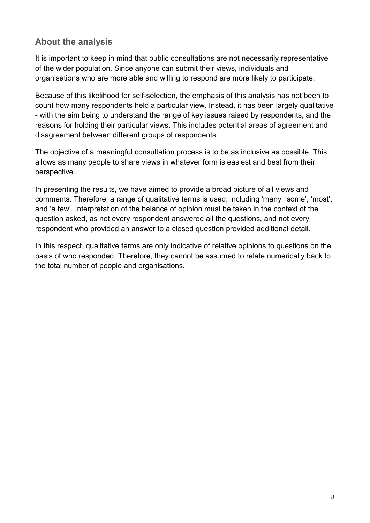#### **About the analysis**

It is important to keep in mind that public consultations are not necessarily representative of the wider population. Since anyone can submit their views, individuals and organisations who are more able and willing to respond are more likely to participate.

Because of this likelihood for self-selection, the emphasis of this analysis has not been to count how many respondents held a particular view. Instead, it has been largely qualitative - with the aim being to understand the range of key issues raised by respondents, and the reasons for holding their particular views. This includes potential areas of agreement and disagreement between different groups of respondents.

The objective of a meaningful consultation process is to be as inclusive as possible. This allows as many people to share views in whatever form is easiest and best from their perspective.

In presenting the results, we have aimed to provide a broad picture of all views and comments. Therefore, a range of qualitative terms is used, including 'many' 'some', 'most', and 'a few'. Interpretation of the balance of opinion must be taken in the context of the question asked, as not every respondent answered all the questions, and not every respondent who provided an answer to a closed question provided additional detail.

In this respect, qualitative terms are only indicative of relative opinions to questions on the basis of who responded. Therefore, they cannot be assumed to relate numerically back to the total number of people and organisations.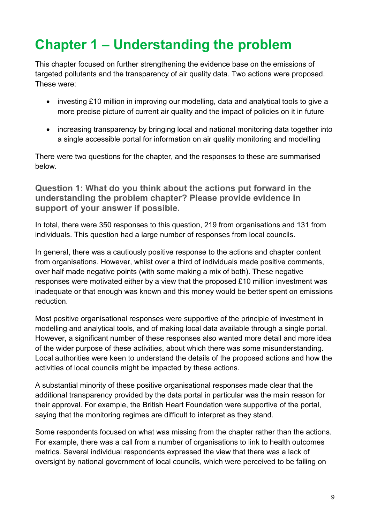# <span id="page-11-0"></span>**Chapter 1 – Understanding the problem**

This chapter focused on further strengthening the evidence base on the emissions of targeted pollutants and the transparency of air quality data. Two actions were proposed. These were:

- investing £10 million in improving our modelling, data and analytical tools to give a more precise picture of current air quality and the impact of policies on it in future
- increasing transparency by bringing local and national monitoring data together into a single accessible portal for information on air quality monitoring and modelling

There were two questions for the chapter, and the responses to these are summarised below.

**Question 1: What do you think about the actions put forward in the understanding the problem chapter? Please provide evidence in support of your answer if possible.**

In total, there were 350 responses to this question, 219 from organisations and 131 from individuals. This question had a large number of responses from local councils.

In general, there was a cautiously positive response to the actions and chapter content from organisations. However, whilst over a third of individuals made positive comments, over half made negative points (with some making a mix of both). These negative responses were motivated either by a view that the proposed £10 million investment was inadequate or that enough was known and this money would be better spent on emissions reduction.

Most positive organisational responses were supportive of the principle of investment in modelling and analytical tools, and of making local data available through a single portal. However, a significant number of these responses also wanted more detail and more idea of the wider purpose of these activities, about which there was some misunderstanding. Local authorities were keen to understand the details of the proposed actions and how the activities of local councils might be impacted by these actions.

A substantial minority of these positive organisational responses made clear that the additional transparency provided by the data portal in particular was the main reason for their approval. For example, the British Heart Foundation were supportive of the portal, saying that the monitoring regimes are difficult to interpret as they stand.

Some respondents focused on what was missing from the chapter rather than the actions. For example, there was a call from a number of organisations to link to health outcomes metrics. Several individual respondents expressed the view that there was a lack of oversight by national government of local councils, which were perceived to be failing on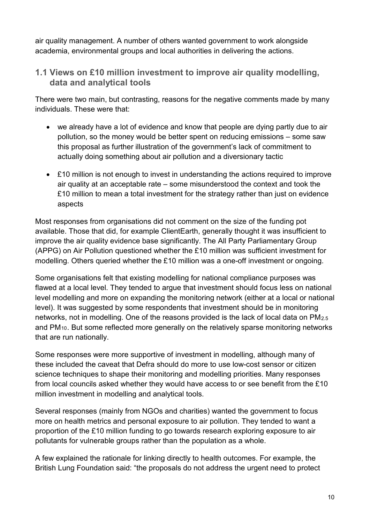air quality management. A number of others wanted government to work alongside academia, environmental groups and local authorities in delivering the actions.

**1.1 Views on £10 million investment to improve air quality modelling, data and analytical tools**

There were two main, but contrasting, reasons for the negative comments made by many individuals. These were that:

- we already have a lot of evidence and know that people are dying partly due to air pollution, so the money would be better spent on reducing emissions – some saw this proposal as further illustration of the government's lack of commitment to actually doing something about air pollution and a diversionary tactic
- £10 million is not enough to invest in understanding the actions required to improve air quality at an acceptable rate – some misunderstood the context and took the £10 million to mean a total investment for the strategy rather than just on evidence aspects

Most responses from organisations did not comment on the size of the funding pot available. Those that did, for example ClientEarth, generally thought it was insufficient to improve the air quality evidence base significantly. The All Party Parliamentary Group (APPG) on Air Pollution questioned whether the £10 million was sufficient investment for modelling. Others queried whether the £10 million was a one-off investment or ongoing.

Some organisations felt that existing modelling for national compliance purposes was flawed at a local level. They tended to argue that investment should focus less on national level modelling and more on expanding the monitoring network (either at a local or national level). It was suggested by some respondents that investment should be in monitoring networks, not in modelling. One of the reasons provided is the lack of local data on PM2.5 and PM10. But some reflected more generally on the relatively sparse monitoring networks that are run nationally.

Some responses were more supportive of investment in modelling, although many of these included the caveat that Defra should do more to use low-cost sensor or citizen science techniques to shape their monitoring and modelling priorities. Many responses from local councils asked whether they would have access to or see benefit from the £10 million investment in modelling and analytical tools.

Several responses (mainly from NGOs and charities) wanted the government to focus more on health metrics and personal exposure to air pollution. They tended to want a proportion of the £10 million funding to go towards research exploring exposure to air pollutants for vulnerable groups rather than the population as a whole.

A few explained the rationale for linking directly to health outcomes. For example, the British Lung Foundation said: "the proposals do not address the urgent need to protect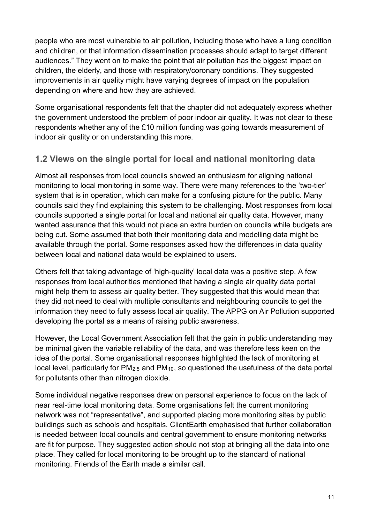people who are most vulnerable to air pollution, including those who have a lung condition and children, or that information dissemination processes should adapt to target different audiences." They went on to make the point that air pollution has the biggest impact on children, the elderly, and those with respiratory/coronary conditions. They suggested improvements in air quality might have varying degrees of impact on the population depending on where and how they are achieved.

Some organisational respondents felt that the chapter did not adequately express whether the government understood the problem of poor indoor air quality. It was not clear to these respondents whether any of the £10 million funding was going towards measurement of indoor air quality or on understanding this more.

#### **1.2 Views on the single portal for local and national monitoring data**

Almost all responses from local councils showed an enthusiasm for aligning national monitoring to local monitoring in some way. There were many references to the 'two-tier' system that is in operation, which can make for a confusing picture for the public. Many councils said they find explaining this system to be challenging. Most responses from local councils supported a single portal for local and national air quality data. However, many wanted assurance that this would not place an extra burden on councils while budgets are being cut. Some assumed that both their monitoring data and modelling data might be available through the portal. Some responses asked how the differences in data quality between local and national data would be explained to users.

Others felt that taking advantage of 'high-quality' local data was a positive step. A few responses from local authorities mentioned that having a single air quality data portal might help them to assess air quality better. They suggested that this would mean that they did not need to deal with multiple consultants and neighbouring councils to get the information they need to fully assess local air quality. The APPG on Air Pollution supported developing the portal as a means of raising public awareness.

However, the Local Government Association felt that the gain in public understanding may be minimal given the variable reliability of the data, and was therefore less keen on the idea of the portal. Some organisational responses highlighted the lack of monitoring at local level, particularly for PM<sub>2.5</sub> and PM<sub>10</sub>, so questioned the usefulness of the data portal for pollutants other than nitrogen dioxide.

Some individual negative responses drew on personal experience to focus on the lack of near real-time local monitoring data. Some organisations felt the current monitoring network was not "representative", and supported placing more monitoring sites by public buildings such as schools and hospitals. ClientEarth emphasised that further collaboration is needed between local councils and central government to ensure monitoring networks are fit for purpose. They suggested action should not stop at bringing all the data into one place. They called for local monitoring to be brought up to the standard of national monitoring. Friends of the Earth made a similar call.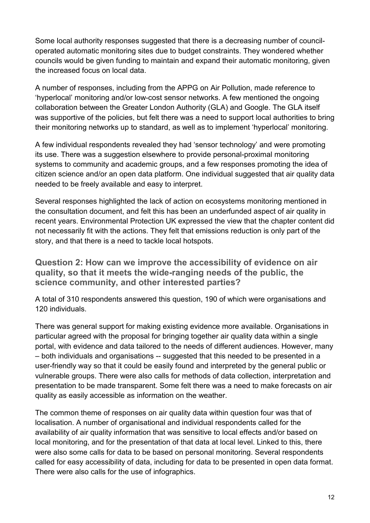Some local authority responses suggested that there is a decreasing number of counciloperated automatic monitoring sites due to budget constraints. They wondered whether councils would be given funding to maintain and expand their automatic monitoring, given the increased focus on local data.

A number of responses, including from the APPG on Air Pollution, made reference to 'hyperlocal' monitoring and/or low-cost sensor networks. A few mentioned the ongoing collaboration between the Greater London Authority (GLA) and Google. The GLA itself was supportive of the policies, but felt there was a need to support local authorities to bring their monitoring networks up to standard, as well as to implement 'hyperlocal' monitoring.

A few individual respondents revealed they had 'sensor technology' and were promoting its use. There was a suggestion elsewhere to provide personal-proximal monitoring systems to community and academic groups, and a few responses promoting the idea of citizen science and/or an open data platform. One individual suggested that air quality data needed to be freely available and easy to interpret.

Several responses highlighted the lack of action on ecosystems monitoring mentioned in the consultation document, and felt this has been an underfunded aspect of air quality in recent years. Environmental Protection UK expressed the view that the chapter content did not necessarily fit with the actions. They felt that emissions reduction is only part of the story, and that there is a need to tackle local hotspots.

**Question 2: How can we improve the accessibility of evidence on air quality, so that it meets the wide-ranging needs of the public, the science community, and other interested parties?**

A total of 310 respondents answered this question, 190 of which were organisations and 120 individuals.

There was general support for making existing evidence more available. Organisations in particular agreed with the proposal for bringing together air quality data within a single portal, with evidence and data tailored to the needs of different audiences. However, many – both individuals and organisations -- suggested that this needed to be presented in a user-friendly way so that it could be easily found and interpreted by the general public or vulnerable groups. There were also calls for methods of data collection, interpretation and presentation to be made transparent. Some felt there was a need to make forecasts on air quality as easily accessible as information on the weather.

The common theme of responses on air quality data within question four was that of localisation. A number of organisational and individual respondents called for the availability of air quality information that was sensitive to local effects and/or based on local monitoring, and for the presentation of that data at local level. Linked to this, there were also some calls for data to be based on personal monitoring. Several respondents called for easy accessibility of data, including for data to be presented in open data format. There were also calls for the use of infographics.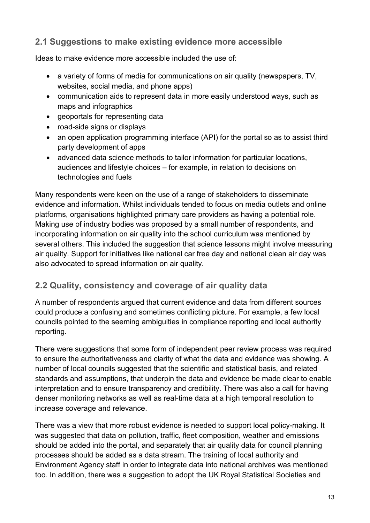### **2.1 Suggestions to make existing evidence more accessible**

Ideas to make evidence more accessible included the use of:

- a variety of forms of media for communications on air quality (newspapers, TV, websites, social media, and phone apps)
- communication aids to represent data in more easily understood ways, such as maps and infographics
- geoportals for representing data
- road-side signs or displays
- an open application programming interface (API) for the portal so as to assist third party development of apps
- advanced data science methods to tailor information for particular locations, audiences and lifestyle choices – for example, in relation to decisions on technologies and fuels

Many respondents were keen on the use of a range of stakeholders to disseminate evidence and information. Whilst individuals tended to focus on media outlets and online platforms, organisations highlighted primary care providers as having a potential role. Making use of industry bodies was proposed by a small number of respondents, and incorporating information on air quality into the school curriculum was mentioned by several others. This included the suggestion that science lessons might involve measuring air quality. Support for initiatives like national car free day and national clean air day was also advocated to spread information on air quality.

#### **2.2 Quality, consistency and coverage of air quality data**

A number of respondents argued that current evidence and data from different sources could produce a confusing and sometimes conflicting picture. For example, a few local councils pointed to the seeming ambiguities in compliance reporting and local authority reporting.

There were suggestions that some form of independent peer review process was required to ensure the authoritativeness and clarity of what the data and evidence was showing. A number of local councils suggested that the scientific and statistical basis, and related standards and assumptions, that underpin the data and evidence be made clear to enable interpretation and to ensure transparency and credibility. There was also a call for having denser monitoring networks as well as real-time data at a high temporal resolution to increase coverage and relevance.

There was a view that more robust evidence is needed to support local policy-making. It was suggested that data on pollution, traffic, fleet composition, weather and emissions should be added into the portal, and separately that air quality data for council planning processes should be added as a data stream. The training of local authority and Environment Agency staff in order to integrate data into national archives was mentioned too. In addition, there was a suggestion to adopt the UK Royal Statistical Societies and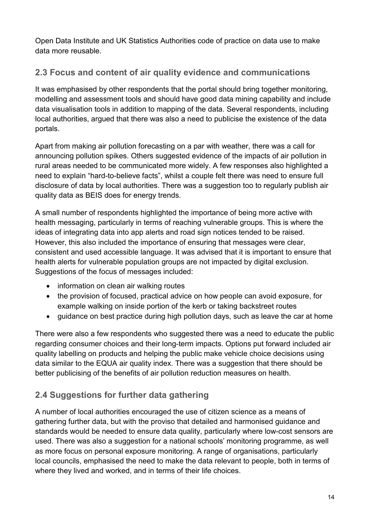Open Data Institute and UK Statistics Authorities code of practice on data use to make data more reusable.

# **2.3 Focus and content of air quality evidence and communications**

It was emphasised by other respondents that the portal should bring together monitoring, modelling and assessment tools and should have good data mining capability and include data visualisation tools in addition to mapping of the data. Several respondents, including local authorities, argued that there was also a need to publicise the existence of the data portals.

Apart from making air pollution forecasting on a par with weather, there was a call for announcing pollution spikes. Others suggested evidence of the impacts of air pollution in rural areas needed to be communicated more widely. A few responses also highlighted a need to explain "hard-to-believe facts", whilst a couple felt there was need to ensure full disclosure of data by local authorities. There was a suggestion too to regularly publish air quality data as BEIS does for energy trends.

A small number of respondents highlighted the importance of being more active with health messaging, particularly in terms of reaching vulnerable groups. This is where the ideas of integrating data into app alerts and road sign notices tended to be raised. However, this also included the importance of ensuring that messages were clear, consistent and used accessible language. It was advised that it is important to ensure that health alerts for vulnerable population groups are not impacted by digital exclusion. Suggestions of the focus of messages included:

- information on clean air walking routes
- the provision of focused, practical advice on how people can avoid exposure, for example walking on inside portion of the kerb or taking backstreet routes
- guidance on best practice during high pollution days, such as leave the car at home

There were also a few respondents who suggested there was a need to educate the public regarding consumer choices and their long-term impacts. Options put forward included air quality labelling on products and helping the public make vehicle choice decisions using data similar to the EQUA air quality index. There was a suggestion that there should be better publicising of the benefits of air pollution reduction measures on health.

# **2.4 Suggestions for further data gathering**

A number of local authorities encouraged the use of citizen science as a means of gathering further data, but with the proviso that detailed and harmonised guidance and standards would be needed to ensure data quality, particularly where low-cost sensors are used. There was also a suggestion for a national schools' monitoring programme, as well as more focus on personal exposure monitoring. A range of organisations, particularly local councils, emphasised the need to make the data relevant to people, both in terms of where they lived and worked, and in terms of their life choices.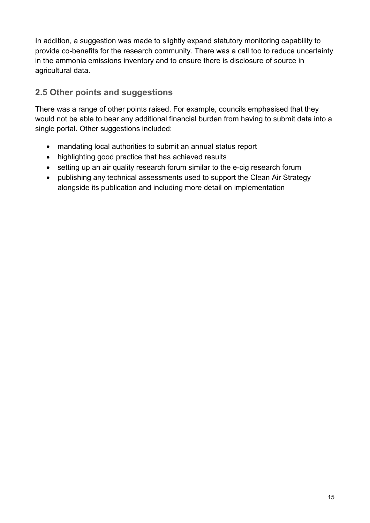In addition, a suggestion was made to slightly expand statutory monitoring capability to provide co-benefits for the research community. There was a call too to reduce uncertainty in the ammonia emissions inventory and to ensure there is disclosure of source in agricultural data.

# **2.5 Other points and suggestions**

There was a range of other points raised. For example, councils emphasised that they would not be able to bear any additional financial burden from having to submit data into a single portal. Other suggestions included:

- mandating local authorities to submit an annual status report
- highlighting good practice that has achieved results
- setting up an air quality research forum similar to the e-cig research forum
- publishing any technical assessments used to support the Clean Air Strategy alongside its publication and including more detail on implementation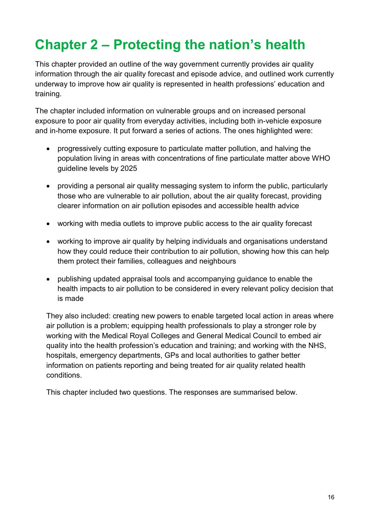# <span id="page-18-0"></span>**Chapter 2 – Protecting the nation's health**

This chapter provided an outline of the way government currently provides air quality information through the air quality forecast and episode advice, and outlined work currently underway to improve how air quality is represented in health professions' education and training.

The chapter included information on vulnerable groups and on increased personal exposure to poor air quality from everyday activities, including both in-vehicle exposure and in-home exposure. It put forward a series of actions. The ones highlighted were:

- progressively cutting exposure to particulate matter pollution, and halving the population living in areas with concentrations of fine particulate matter above WHO guideline levels by 2025
- providing a personal air quality messaging system to inform the public, particularly those who are vulnerable to air pollution, about the air quality forecast, providing clearer information on air pollution episodes and accessible health advice
- working with media outlets to improve public access to the air quality forecast
- working to improve air quality by helping individuals and organisations understand how they could reduce their contribution to air pollution, showing how this can help them protect their families, colleagues and neighbours
- publishing updated appraisal tools and accompanying guidance to enable the health impacts to air pollution to be considered in every relevant policy decision that is made

They also included: creating new powers to enable targeted local action in areas where air pollution is a problem; equipping health professionals to play a stronger role by working with the Medical Royal Colleges and General Medical Council to embed air quality into the health profession's education and training; and working with the NHS, hospitals, emergency departments, GPs and local authorities to gather better information on patients reporting and being treated for air quality related health conditions.

This chapter included two questions. The responses are summarised below.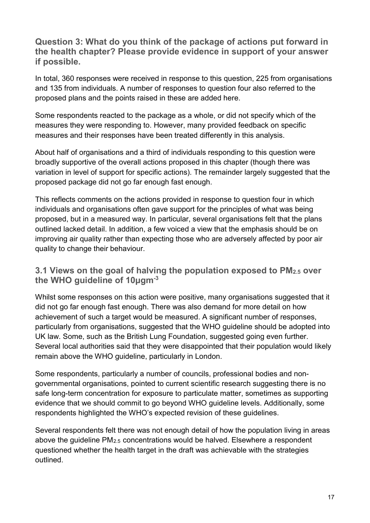**Question 3: What do you think of the package of actions put forward in the health chapter? Please provide evidence in support of your answer if possible.**

In total, 360 responses were received in response to this question, 225 from organisations and 135 from individuals. A number of responses to question four also referred to the proposed plans and the points raised in these are added here.

Some respondents reacted to the package as a whole, or did not specify which of the measures they were responding to. However, many provided feedback on specific measures and their responses have been treated differently in this analysis.

About half of organisations and a third of individuals responding to this question were broadly supportive of the overall actions proposed in this chapter (though there was variation in level of support for specific actions). The remainder largely suggested that the proposed package did not go far enough fast enough.

This reflects comments on the actions provided in response to question four in which individuals and organisations often gave support for the principles of what was being proposed, but in a measured way. In particular, several organisations felt that the plans outlined lacked detail. In addition, a few voiced a view that the emphasis should be on improving air quality rather than expecting those who are adversely affected by poor air quality to change their behaviour.

#### **3.1 Views on the goal of halving the population exposed to PM2.5 over the WHO guideline of 10μgm-3**

Whilst some responses on this action were positive, many organisations suggested that it did not go far enough fast enough. There was also demand for more detail on how achievement of such a target would be measured. A significant number of responses, particularly from organisations, suggested that the WHO guideline should be adopted into UK law. Some, such as the British Lung Foundation, suggested going even further. Several local authorities said that they were disappointed that their population would likely remain above the WHO guideline, particularly in London.

Some respondents, particularly a number of councils, professional bodies and nongovernmental organisations, pointed to current scientific research suggesting there is no safe long-term concentration for exposure to particulate matter, sometimes as supporting evidence that we should commit to go beyond WHO guideline levels. Additionally, some respondents highlighted the WHO's expected revision of these guidelines.

Several respondents felt there was not enough detail of how the population living in areas above the guideline PM2.5 concentrations would be halved. Elsewhere a respondent questioned whether the health target in the draft was achievable with the strategies outlined.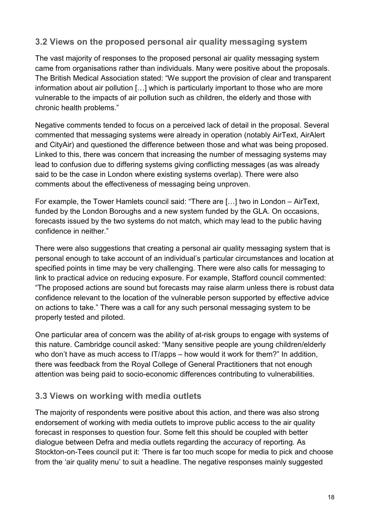#### **3.2 Views on the proposed personal air quality messaging system**

The vast majority of responses to the proposed personal air quality messaging system came from organisations rather than individuals. Many were positive about the proposals. The British Medical Association stated: "We support the provision of clear and transparent information about air pollution […] which is particularly important to those who are more vulnerable to the impacts of air pollution such as children, the elderly and those with chronic health problems."

Negative comments tended to focus on a perceived lack of detail in the proposal. Several commented that messaging systems were already in operation (notably AirText, AirAlert and CityAir) and questioned the difference between those and what was being proposed. Linked to this, there was concern that increasing the number of messaging systems may lead to confusion due to differing systems giving conflicting messages (as was already said to be the case in London where existing systems overlap). There were also comments about the effectiveness of messaging being unproven.

For example, the Tower Hamlets council said: "There are […] two in London – AirText, funded by the London Boroughs and a new system funded by the GLA. On occasions, forecasts issued by the two systems do not match, which may lead to the public having confidence in neither."

There were also suggestions that creating a personal air quality messaging system that is personal enough to take account of an individual's particular circumstances and location at specified points in time may be very challenging. There were also calls for messaging to link to practical advice on reducing exposure. For example, Stafford council commented: "The proposed actions are sound but forecasts may raise alarm unless there is robust data confidence relevant to the location of the vulnerable person supported by effective advice on actions to take." There was a call for any such personal messaging system to be properly tested and piloted.

One particular area of concern was the ability of at-risk groups to engage with systems of this nature. Cambridge council asked: "Many sensitive people are young children/elderly who don't have as much access to IT/apps – how would it work for them?" In addition, there was feedback from the Royal College of General Practitioners that not enough attention was being paid to socio-economic differences contributing to vulnerabilities.

#### **3.3 Views on working with media outlets**

The majority of respondents were positive about this action, and there was also strong endorsement of working with media outlets to improve public access to the air quality forecast in responses to question four. Some felt this should be coupled with better dialogue between Defra and media outlets regarding the accuracy of reporting. As Stockton-on-Tees council put it: 'There is far too much scope for media to pick and choose from the 'air quality menu' to suit a headline. The negative responses mainly suggested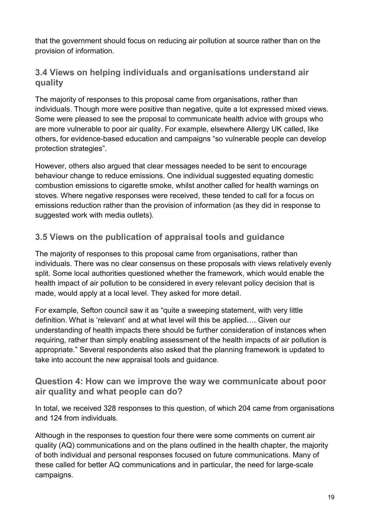that the government should focus on reducing air pollution at source rather than on the provision of information.

#### **3.4 Views on helping individuals and organisations understand air quality**

The majority of responses to this proposal came from organisations, rather than individuals. Though more were positive than negative, quite a lot expressed mixed views. Some were pleased to see the proposal to communicate health advice with groups who are more vulnerable to poor air quality. For example, elsewhere Allergy UK called, like others, for evidence-based education and campaigns "so vulnerable people can develop protection strategies".

However, others also argued that clear messages needed to be sent to encourage behaviour change to reduce emissions. One individual suggested equating domestic combustion emissions to cigarette smoke, whilst another called for health warnings on stoves. Where negative responses were received, these tended to call for a focus on emissions reduction rather than the provision of information (as they did in response to suggested work with media outlets).

# **3.5 Views on the publication of appraisal tools and guidance**

The majority of responses to this proposal came from organisations, rather than individuals. There was no clear consensus on these proposals with views relatively evenly split. Some local authorities questioned whether the framework, which would enable the health impact of air pollution to be considered in every relevant policy decision that is made, would apply at a local level. They asked for more detail.

For example, Sefton council saw it as "quite a sweeping statement, with very little definition. What is 'relevant' and at what level will this be applied…. Given our understanding of health impacts there should be further consideration of instances when requiring, rather than simply enabling assessment of the health impacts of air pollution is appropriate." Several respondents also asked that the planning framework is updated to take into account the new appraisal tools and guidance.

#### **Question 4: How can we improve the way we communicate about poor air quality and what people can do?**

In total, we received 328 responses to this question, of which 204 came from organisations and 124 from individuals.

Although in the responses to question four there were some comments on current air quality (AQ) communications and on the plans outlined in the health chapter, the majority of both individual and personal responses focused on future communications. Many of these called for better AQ communications and in particular, the need for large-scale campaigns.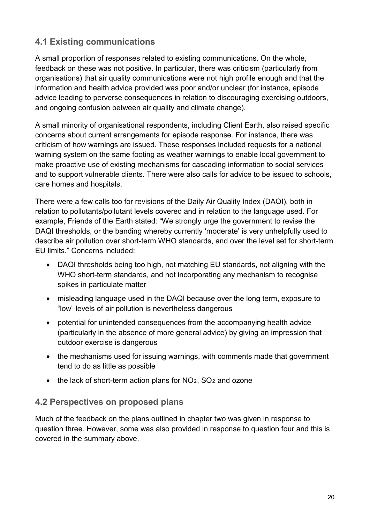# **4.1 Existing communications**

A small proportion of responses related to existing communications. On the whole, feedback on these was not positive. In particular, there was criticism (particularly from organisations) that air quality communications were not high profile enough and that the information and health advice provided was poor and/or unclear (for instance, episode advice leading to perverse consequences in relation to discouraging exercising outdoors, and ongoing confusion between air quality and climate change).

A small minority of organisational respondents, including Client Earth, also raised specific concerns about current arrangements for episode response. For instance, there was criticism of how warnings are issued. These responses included requests for a national warning system on the same footing as weather warnings to enable local government to make proactive use of existing mechanisms for cascading information to social services and to support vulnerable clients. There were also calls for advice to be issued to schools, care homes and hospitals.

There were a few calls too for revisions of the Daily Air Quality Index (DAQI), both in relation to pollutants/pollutant levels covered and in relation to the language used. For example, Friends of the Earth stated: "We strongly urge the government to revise the DAQI thresholds, or the banding whereby currently 'moderate' is very unhelpfully used to describe air pollution over short-term WHO standards, and over the level set for short-term EU limits." Concerns included:

- DAQI thresholds being too high, not matching EU standards, not aligning with the WHO short-term standards, and not incorporating any mechanism to recognise spikes in particulate matter
- misleading language used in the DAQI because over the long term, exposure to "low" levels of air pollution is nevertheless dangerous
- potential for unintended consequences from the accompanying health advice (particularly in the absence of more general advice) by giving an impression that outdoor exercise is dangerous
- the mechanisms used for issuing warnings, with comments made that government tend to do as little as possible
- the lack of short-term action plans for  $NO<sub>2</sub>$ ,  $SO<sub>2</sub>$  and ozone

#### **4.2 Perspectives on proposed plans**

Much of the feedback on the plans outlined in chapter two was given in response to question three. However, some was also provided in response to question four and this is covered in the summary above.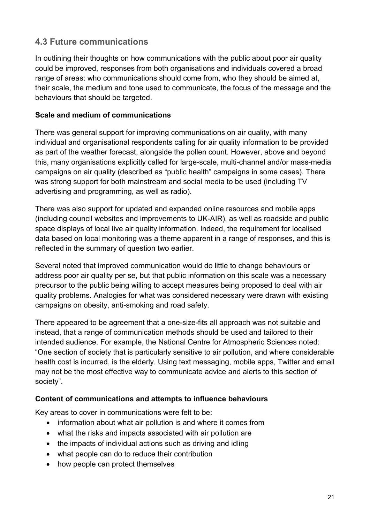# **4.3 Future communications**

In outlining their thoughts on how communications with the public about poor air quality could be improved, responses from both organisations and individuals covered a broad range of areas: who communications should come from, who they should be aimed at, their scale, the medium and tone used to communicate, the focus of the message and the behaviours that should be targeted.

#### **Scale and medium of communications**

There was general support for improving communications on air quality, with many individual and organisational respondents calling for air quality information to be provided as part of the weather forecast, alongside the pollen count. However, above and beyond this, many organisations explicitly called for large-scale, multi-channel and/or mass-media campaigns on air quality (described as "public health" campaigns in some cases). There was strong support for both mainstream and social media to be used (including TV advertising and programming, as well as radio).

There was also support for updated and expanded online resources and mobile apps (including council websites and improvements to UK-AIR), as well as roadside and public space displays of local live air quality information. Indeed, the requirement for localised data based on local monitoring was a theme apparent in a range of responses, and this is reflected in the summary of question two earlier.

Several noted that improved communication would do little to change behaviours or address poor air quality per se, but that public information on this scale was a necessary precursor to the public being willing to accept measures being proposed to deal with air quality problems. Analogies for what was considered necessary were drawn with existing campaigns on obesity, anti-smoking and road safety.

There appeared to be agreement that a one-size-fits all approach was not suitable and instead, that a range of communication methods should be used and tailored to their intended audience. For example, the National Centre for Atmospheric Sciences noted: "One section of society that is particularly sensitive to air pollution, and where considerable health cost is incurred, is the elderly. Using text messaging, mobile apps, Twitter and email may not be the most effective way to communicate advice and alerts to this section of society".

#### **Content of communications and attempts to influence behaviours**

Key areas to cover in communications were felt to be:

- information about what air pollution is and where it comes from
- what the risks and impacts associated with air pollution are
- the impacts of individual actions such as driving and idling
- what people can do to reduce their contribution
- how people can protect themselves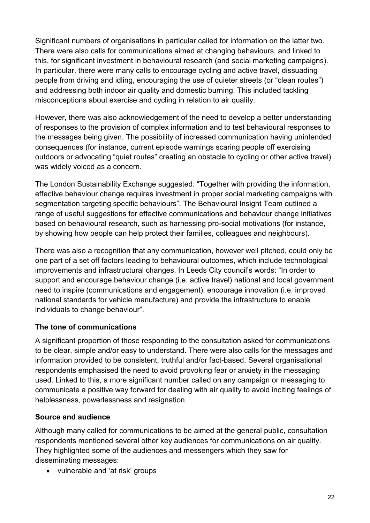Significant numbers of organisations in particular called for information on the latter two. There were also calls for communications aimed at changing behaviours, and linked to this, for significant investment in behavioural research (and social marketing campaigns). In particular, there were many calls to encourage cycling and active travel, dissuading people from driving and idling, encouraging the use of quieter streets (or "clean routes") and addressing both indoor air quality and domestic burning. This included tackling misconceptions about exercise and cycling in relation to air quality.

However, there was also acknowledgement of the need to develop a better understanding of responses to the provision of complex information and to test behavioural responses to the messages being given. The possibility of increased communication having unintended consequences (for instance, current episode warnings scaring people off exercising outdoors or advocating "quiet routes" creating an obstacle to cycling or other active travel) was widely voiced as a concern.

The London Sustainability Exchange suggested: "Together with providing the information, effective behaviour change requires investment in proper social marketing campaigns with segmentation targeting specific behaviours". The Behavioural Insight Team outlined a range of useful suggestions for effective communications and behaviour change initiatives based on behavioural research, such as harnessing pro-social motivations (for instance, by showing how people can help protect their families, colleagues and neighbours).

There was also a recognition that any communication, however well pitched, could only be one part of a set off factors leading to behavioural outcomes, which include technological improvements and infrastructural changes. In Leeds City council's words: "In order to support and encourage behaviour change (i.e. active travel) national and local government need to inspire (communications and engagement), encourage innovation (i.e. improved national standards for vehicle manufacture) and provide the infrastructure to enable individuals to change behaviour".

#### **The tone of communications**

A significant proportion of those responding to the consultation asked for communications to be clear, simple and/or easy to understand. There were also calls for the messages and information provided to be consistent, truthful and/or fact-based. Several organisational respondents emphasised the need to avoid provoking fear or anxiety in the messaging used. Linked to this, a more significant number called on any campaign or messaging to communicate a positive way forward for dealing with air quality to avoid inciting feelings of helplessness, powerlessness and resignation.

#### **Source and audience**

Although many called for communications to be aimed at the general public, consultation respondents mentioned several other key audiences for communications on air quality. They highlighted some of the audiences and messengers which they saw for disseminating messages:

• vulnerable and 'at risk' groups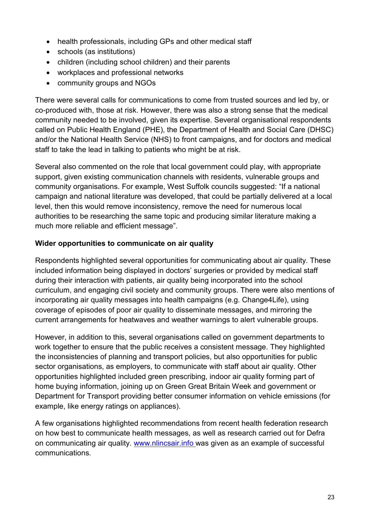- health professionals, including GPs and other medical staff
- schools (as institutions)
- children (including school children) and their parents
- workplaces and professional networks
- community groups and NGOs

There were several calls for communications to come from trusted sources and led by, or co-produced with, those at risk. However, there was also a strong sense that the medical community needed to be involved, given its expertise. Several organisational respondents called on Public Health England (PHE), the Department of Health and Social Care (DHSC) and/or the National Health Service (NHS) to front campaigns, and for doctors and medical staff to take the lead in talking to patients who might be at risk.

Several also commented on the role that local government could play, with appropriate support, given existing communication channels with residents, vulnerable groups and community organisations. For example, West Suffolk councils suggested: "If a national campaign and national literature was developed, that could be partially delivered at a local level, then this would remove inconsistency, remove the need for numerous local authorities to be researching the same topic and producing similar literature making a much more reliable and efficient message".

#### **Wider opportunities to communicate on air quality**

Respondents highlighted several opportunities for communicating about air quality. These included information being displayed in doctors' surgeries or provided by medical staff during their interaction with patients, air quality being incorporated into the school curriculum, and engaging civil society and community groups. There were also mentions of incorporating air quality messages into health campaigns (e.g. Change4Life), using coverage of episodes of poor air quality to disseminate messages, and mirroring the current arrangements for heatwaves and weather warnings to alert vulnerable groups.

However, in addition to this, several organisations called on government departments to work together to ensure that the public receives a consistent message. They highlighted the inconsistencies of planning and transport policies, but also opportunities for public sector organisations, as employers, to communicate with staff about air quality. Other opportunities highlighted included green prescribing, indoor air quality forming part of home buying information, joining up on Green Great Britain Week and government or Department for Transport providing better consumer information on vehicle emissions (for example, like energy ratings on appliances).

A few organisations highlighted recommendations from recent health federation research on how best to communicate health messages, as well as research carried out for Defra on communicating air quality. [www.nlincsair.info](http://www.nlincsair.info/) was given as an example of successful communications.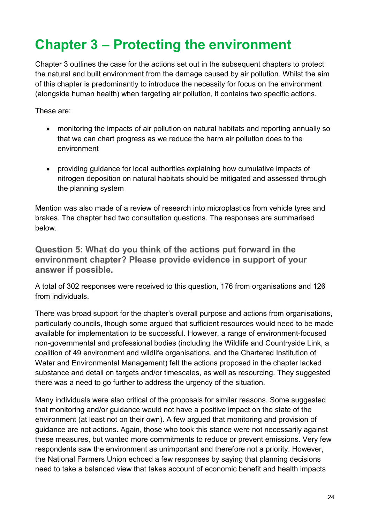# <span id="page-26-0"></span>**Chapter 3 – Protecting the environment**

Chapter 3 outlines the case for the actions set out in the subsequent chapters to protect the natural and built environment from the damage caused by air pollution. Whilst the aim of this chapter is predominantly to introduce the necessity for focus on the environment (alongside human health) when targeting air pollution, it contains two specific actions.

These are:

- monitoring the impacts of air pollution on natural habitats and reporting annually so that we can chart progress as we reduce the harm air pollution does to the environment
- providing guidance for local authorities explaining how cumulative impacts of nitrogen deposition on natural habitats should be mitigated and assessed through the planning system

Mention was also made of a review of research into microplastics from vehicle tyres and brakes. The chapter had two consultation questions. The responses are summarised below.

**Question 5: What do you think of the actions put forward in the environment chapter? Please provide evidence in support of your answer if possible.**

A total of 302 responses were received to this question, 176 from organisations and 126 from individuals.

There was broad support for the chapter's overall purpose and actions from organisations, particularly councils, though some argued that sufficient resources would need to be made available for implementation to be successful. However, a range of environment-focused non-governmental and professional bodies (including the Wildlife and Countryside Link, a coalition of 49 environment and wildlife organisations, and the Chartered Institution of Water and Environmental Management) felt the actions proposed in the chapter lacked substance and detail on targets and/or timescales, as well as resourcing. They suggested there was a need to go further to address the urgency of the situation.

Many individuals were also critical of the proposals for similar reasons. Some suggested that monitoring and/or guidance would not have a positive impact on the state of the environment (at least not on their own). A few argued that monitoring and provision of guidance are not actions. Again, those who took this stance were not necessarily against these measures, but wanted more commitments to reduce or prevent emissions. Very few respondents saw the environment as unimportant and therefore not a priority. However, the National Farmers Union echoed a few responses by saying that planning decisions need to take a balanced view that takes account of economic benefit and health impacts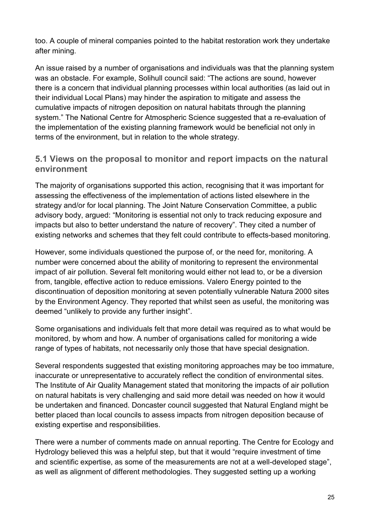too. A couple of mineral companies pointed to the habitat restoration work they undertake after mining.

An issue raised by a number of organisations and individuals was that the planning system was an obstacle. For example, Solihull council said: "The actions are sound, however there is a concern that individual planning processes within local authorities (as laid out in their individual Local Plans) may hinder the aspiration to mitigate and assess the cumulative impacts of nitrogen deposition on natural habitats through the planning system." The National Centre for Atmospheric Science suggested that a re-evaluation of the implementation of the existing planning framework would be beneficial not only in terms of the environment, but in relation to the whole strategy.

#### **5.1 Views on the proposal to monitor and report impacts on the natural environment**

The majority of organisations supported this action, recognising that it was important for assessing the effectiveness of the implementation of actions listed elsewhere in the strategy and/or for local planning. The Joint Nature Conservation Committee, a public advisory body, argued: "Monitoring is essential not only to track reducing exposure and impacts but also to better understand the nature of recovery". They cited a number of existing networks and schemes that they felt could contribute to effects-based monitoring.

However, some individuals questioned the purpose of, or the need for, monitoring. A number were concerned about the ability of monitoring to represent the environmental impact of air pollution. Several felt monitoring would either not lead to, or be a diversion from, tangible, effective action to reduce emissions. Valero Energy pointed to the discontinuation of deposition monitoring at seven potentially vulnerable Natura 2000 sites by the Environment Agency. They reported that whilst seen as useful, the monitoring was deemed "unlikely to provide any further insight".

Some organisations and individuals felt that more detail was required as to what would be monitored, by whom and how. A number of organisations called for monitoring a wide range of types of habitats, not necessarily only those that have special designation.

Several respondents suggested that existing monitoring approaches may be too immature, inaccurate or unrepresentative to accurately reflect the condition of environmental sites. The Institute of Air Quality Management stated that monitoring the impacts of air pollution on natural habitats is very challenging and said more detail was needed on how it would be undertaken and financed. Doncaster council suggested that Natural England might be better placed than local councils to assess impacts from nitrogen deposition because of existing expertise and responsibilities.

There were a number of comments made on annual reporting. The Centre for Ecology and Hydrology believed this was a helpful step, but that it would "require investment of time and scientific expertise, as some of the measurements are not at a well-developed stage", as well as alignment of different methodologies. They suggested setting up a working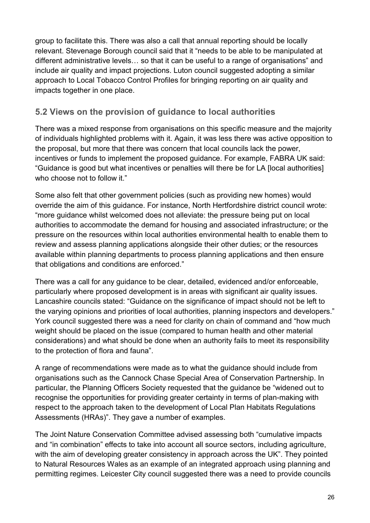group to facilitate this. There was also a call that annual reporting should be locally relevant. Stevenage Borough council said that it "needs to be able to be manipulated at different administrative levels… so that it can be useful to a range of organisations" and include air quality and impact projections. Luton council suggested adopting a similar approach to Local Tobacco Control Profiles for bringing reporting on air quality and impacts together in one place.

# **5.2 Views on the provision of guidance to local authorities**

There was a mixed response from organisations on this specific measure and the majority of individuals highlighted problems with it. Again, it was less there was active opposition to the proposal, but more that there was concern that local councils lack the power, incentives or funds to implement the proposed guidance. For example, FABRA UK said: "Guidance is good but what incentives or penalties will there be for LA [local authorities] who choose not to follow it."

Some also felt that other government policies (such as providing new homes) would override the aim of this guidance. For instance, North Hertfordshire district council wrote: "more guidance whilst welcomed does not alleviate: the pressure being put on local authorities to accommodate the demand for housing and associated infrastructure; or the pressure on the resources within local authorities environmental health to enable them to review and assess planning applications alongside their other duties; or the resources available within planning departments to process planning applications and then ensure that obligations and conditions are enforced."

There was a call for any guidance to be clear, detailed, evidenced and/or enforceable, particularly where proposed development is in areas with significant air quality issues. Lancashire councils stated: "Guidance on the significance of impact should not be left to the varying opinions and priorities of local authorities, planning inspectors and developers." York council suggested there was a need for clarity on chain of command and "how much weight should be placed on the issue (compared to human health and other material considerations) and what should be done when an authority fails to meet its responsibility to the protection of flora and fauna".

A range of recommendations were made as to what the guidance should include from organisations such as the Cannock Chase Special Area of Conservation Partnership. In particular, the Planning Officers Society requested that the guidance be "widened out to recognise the opportunities for providing greater certainty in terms of plan-making with respect to the approach taken to the development of Local Plan Habitats Regulations Assessments (HRAs)". They gave a number of examples.

The Joint Nature Conservation Committee advised assessing both "cumulative impacts and "in combination" effects to take into account all source sectors, including agriculture, with the aim of developing greater consistency in approach across the UK". They pointed to Natural Resources Wales as an example of an integrated approach using planning and permitting regimes. Leicester City council suggested there was a need to provide councils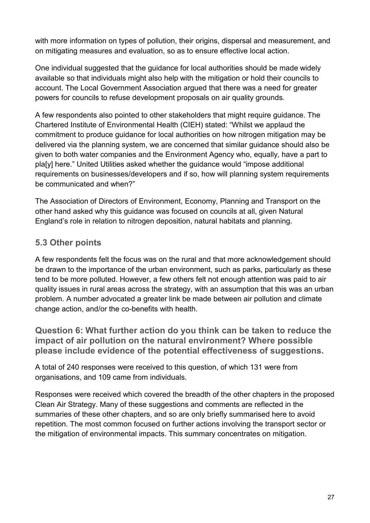with more information on types of pollution, their origins, dispersal and measurement, and on mitigating measures and evaluation, so as to ensure effective local action.

One individual suggested that the guidance for local authorities should be made widely available so that individuals might also help with the mitigation or hold their councils to account. The Local Government Association argued that there was a need for greater powers for councils to refuse development proposals on air quality grounds.

A few respondents also pointed to other stakeholders that might require guidance. The Chartered Institute of Environmental Health (CIEH) stated: "Whilst we applaud the commitment to produce guidance for local authorities on how nitrogen mitigation may be delivered via the planning system, we are concerned that similar guidance should also be given to both water companies and the Environment Agency who, equally, have a part to pla[y] here." United Utilities asked whether the guidance would "impose additional requirements on businesses/developers and if so, how will planning system requirements be communicated and when?"

The Association of Directors of Environment, Economy, Planning and Transport on the other hand asked why this guidance was focused on councils at all, given Natural England's role in relation to nitrogen deposition, natural habitats and planning.

# **5.3 Other points**

A few respondents felt the focus was on the rural and that more acknowledgement should be drawn to the importance of the urban environment, such as parks, particularly as these tend to be more polluted. However, a few others felt not enough attention was paid to air quality issues in rural areas across the strategy, with an assumption that this was an urban problem. A number advocated a greater link be made between air pollution and climate change action, and/or the co-benefits with health.

**Question 6: What further action do you think can be taken to reduce the impact of air pollution on the natural environment? Where possible please include evidence of the potential effectiveness of suggestions.**

A total of 240 responses were received to this question, of which 131 were from organisations, and 109 came from individuals.

Responses were received which covered the breadth of the other chapters in the proposed Clean Air Strategy. Many of these suggestions and comments are reflected in the summaries of these other chapters, and so are only briefly summarised here to avoid repetition. The most common focused on further actions involving the transport sector or the mitigation of environmental impacts. This summary concentrates on mitigation.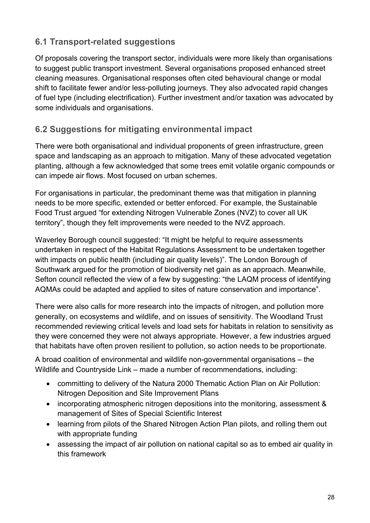# **6.1 Transport-related suggestions**

Of proposals covering the transport sector, individuals were more likely than organisations to suggest public transport investment. Several organisations proposed enhanced street cleaning measures. Organisational responses often cited behavioural change or modal shift to facilitate fewer and/or less-polluting journeys. They also advocated rapid changes of fuel type (including electrification). Further investment and/or taxation was advocated by some individuals and organisations.

### **6.2 Suggestions for mitigating environmental impact**

There were both organisational and individual proponents of green infrastructure, green space and landscaping as an approach to mitigation. Many of these advocated vegetation planting, although a few acknowledged that some trees emit volatile organic compounds or can impede air flows. Most focused on urban schemes.

For organisations in particular, the predominant theme was that mitigation in planning needs to be more specific, extended or better enforced. For example, the Sustainable Food Trust argued "for extending Nitrogen Vulnerable Zones (NVZ) to cover all UK territory", though they felt improvements were needed to the NVZ approach.

Waverley Borough council suggested: "It might be helpful to require assessments undertaken in respect of the Habitat Regulations Assessment to be undertaken together with impacts on public health (including air quality levels)". The London Borough of Southwark argued for the promotion of biodiversity net gain as an approach. Meanwhile, Sefton council reflected the view of a few by suggesting: "the LAQM process of identifying AQMAs could be adapted and applied to sites of nature conservation and importance".

There were also calls for more research into the impacts of nitrogen, and pollution more generally, on ecosystems and wildlife, and on issues of sensitivity. The Woodland Trust recommended reviewing critical levels and load sets for habitats in relation to sensitivity as they were concerned they were not always appropriate. However, a few industries argued that habitats have often proven resilient to pollution, so action needs to be proportionate.

A broad coalition of environmental and wildlife non-governmental organisations – the Wildlife and Countryside Link – made a number of recommendations, including:

- committing to delivery of the Natura 2000 Thematic Action Plan on Air Pollution: Nitrogen Deposition and Site Improvement Plans
- incorporating atmospheric nitrogen depositions into the monitoring, assessment & management of Sites of Special Scientific Interest
- learning from pilots of the Shared Nitrogen Action Plan pilots, and rolling them out with appropriate funding
- assessing the impact of air pollution on national capital so as to embed air quality in this framework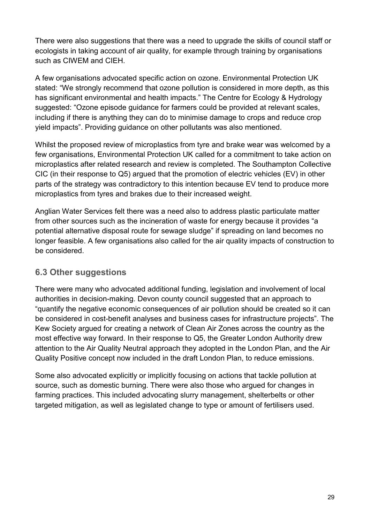There were also suggestions that there was a need to upgrade the skills of council staff or ecologists in taking account of air quality, for example through training by organisations such as CIWEM and CIEH.

A few organisations advocated specific action on ozone. Environmental Protection UK stated: "We strongly recommend that ozone pollution is considered in more depth, as this has significant environmental and health impacts." The Centre for Ecology & Hydrology suggested: "Ozone episode guidance for farmers could be provided at relevant scales, including if there is anything they can do to minimise damage to crops and reduce crop yield impacts". Providing guidance on other pollutants was also mentioned.

Whilst the proposed review of microplastics from tyre and brake wear was welcomed by a few organisations, Environmental Protection UK called for a commitment to take action on microplastics after related research and review is completed. The Southampton Collective CIC (in their response to Q5) argued that the promotion of electric vehicles (EV) in other parts of the strategy was contradictory to this intention because EV tend to produce more microplastics from tyres and brakes due to their increased weight.

Anglian Water Services felt there was a need also to address plastic particulate matter from other sources such as the incineration of waste for energy because it provides "a potential alternative disposal route for sewage sludge" if spreading on land becomes no longer feasible. A few organisations also called for the air quality impacts of construction to be considered.

#### **6.3 Other suggestions**

There were many who advocated additional funding, legislation and involvement of local authorities in decision-making. Devon county council suggested that an approach to "quantify the negative economic consequences of air pollution should be created so it can be considered in cost-benefit analyses and business cases for infrastructure projects". The Kew Society argued for creating a network of Clean Air Zones across the country as the most effective way forward. In their response to Q5, the Greater London Authority drew attention to the Air Quality Neutral approach they adopted in the London Plan, and the Air Quality Positive concept now included in the draft London Plan, to reduce emissions.

Some also advocated explicitly or implicitly focusing on actions that tackle pollution at source, such as domestic burning. There were also those who argued for changes in farming practices. This included advocating slurry management, shelterbelts or other targeted mitigation, as well as legislated change to type or amount of fertilisers used.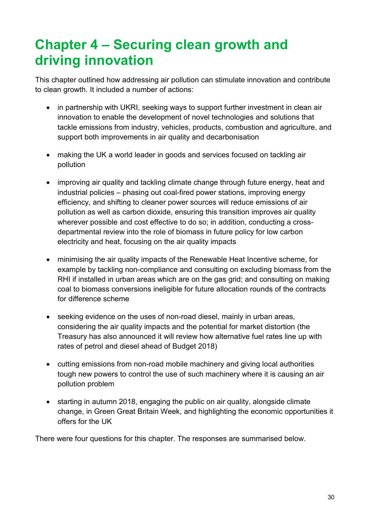# <span id="page-32-0"></span>**Chapter 4 – Securing clean growth and driving innovation**

This chapter outlined how addressing air pollution can stimulate innovation and contribute to clean growth. It included a number of actions:

- in partnership with UKRI, seeking ways to support further investment in clean air innovation to enable the development of novel technologies and solutions that tackle emissions from industry, vehicles, products, combustion and agriculture, and support both improvements in air quality and decarbonisation
- making the UK a world leader in goods and services focused on tackling air pollution
- improving air quality and tackling climate change through future energy, heat and industrial policies – phasing out coal-fired power stations, improving energy efficiency, and shifting to cleaner power sources will reduce emissions of air pollution as well as carbon dioxide, ensuring this transition improves air quality wherever possible and cost effective to do so; in addition, conducting a crossdepartmental review into the role of biomass in future policy for low carbon electricity and heat, focusing on the air quality impacts
- minimising the air quality impacts of the Renewable Heat Incentive scheme, for example by tackling non-compliance and consulting on excluding biomass from the RHI if installed in urban areas which are on the gas grid; and consulting on making coal to biomass conversions ineligible for future allocation rounds of the contracts for difference scheme
- seeking evidence on the uses of non-road diesel, mainly in urban areas, considering the air quality impacts and the potential for market distortion (the Treasury has also announced it will review how alternative fuel rates line up with rates of petrol and diesel ahead of Budget 2018)
- cutting emissions from non-road mobile machinery and giving local authorities tough new powers to control the use of such machinery where it is causing an air pollution problem
- starting in autumn 2018, engaging the public on air quality, alongside climate change, in Green Great Britain Week, and highlighting the economic opportunities it offers for the UK

There were four questions for this chapter. The responses are summarised below.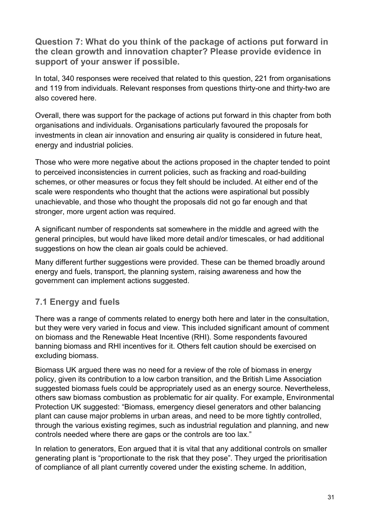**Question 7: What do you think of the package of actions put forward in the clean growth and innovation chapter? Please provide evidence in support of your answer if possible.**

In total, 340 responses were received that related to this question, 221 from organisations and 119 from individuals. Relevant responses from questions thirty-one and thirty-two are also covered here.

Overall, there was support for the package of actions put forward in this chapter from both organisations and individuals. Organisations particularly favoured the proposals for investments in clean air innovation and ensuring air quality is considered in future heat, energy and industrial policies.

Those who were more negative about the actions proposed in the chapter tended to point to perceived inconsistencies in current policies, such as fracking and road-building schemes, or other measures or focus they felt should be included. At either end of the scale were respondents who thought that the actions were aspirational but possibly unachievable, and those who thought the proposals did not go far enough and that stronger, more urgent action was required.

A significant number of respondents sat somewhere in the middle and agreed with the general principles, but would have liked more detail and/or timescales, or had additional suggestions on how the clean air goals could be achieved.

Many different further suggestions were provided. These can be themed broadly around energy and fuels, transport, the planning system, raising awareness and how the government can implement actions suggested.

# **7.1 Energy and fuels**

There was a range of comments related to energy both here and later in the consultation, but they were very varied in focus and view. This included significant amount of comment on biomass and the Renewable Heat Incentive (RHI). Some respondents favoured banning biomass and RHI incentives for it. Others felt caution should be exercised on excluding biomass.

Biomass UK argued there was no need for a review of the role of biomass in energy policy, given its contribution to a low carbon transition, and the British Lime Association suggested biomass fuels could be appropriately used as an energy source. Nevertheless, others saw biomass combustion as problematic for air quality. For example, Environmental Protection UK suggested: "Biomass, emergency diesel generators and other balancing plant can cause major problems in urban areas, and need to be more tightly controlled, through the various existing regimes, such as industrial regulation and planning, and new controls needed where there are gaps or the controls are too lax."

In relation to generators, Eon argued that it is vital that any additional controls on smaller generating plant is "proportionate to the risk that they pose". They urged the prioritisation of compliance of all plant currently covered under the existing scheme. In addition,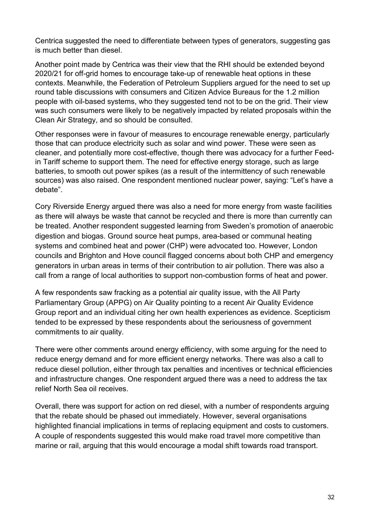Centrica suggested the need to differentiate between types of generators, suggesting gas is much better than diesel.

Another point made by Centrica was their view that the RHI should be extended beyond 2020/21 for off-grid homes to encourage take-up of renewable heat options in these contexts. Meanwhile, the Federation of Petroleum Suppliers argued for the need to set up round table discussions with consumers and Citizen Advice Bureaus for the 1.2 million people with oil-based systems, who they suggested tend not to be on the grid. Their view was such consumers were likely to be negatively impacted by related proposals within the Clean Air Strategy, and so should be consulted.

Other responses were in favour of measures to encourage renewable energy, particularly those that can produce electricity such as solar and wind power. These were seen as cleaner, and potentially more cost-effective, though there was advocacy for a further Feedin Tariff scheme to support them. The need for effective energy storage, such as large batteries, to smooth out power spikes (as a result of the intermittency of such renewable sources) was also raised. One respondent mentioned nuclear power, saying: "Let's have a debate".

Cory Riverside Energy argued there was also a need for more energy from waste facilities as there will always be waste that cannot be recycled and there is more than currently can be treated. Another respondent suggested learning from Sweden's promotion of anaerobic digestion and biogas. Ground source heat pumps, area-based or communal heating systems and combined heat and power (CHP) were advocated too. However, London councils and Brighton and Hove council flagged concerns about both CHP and emergency generators in urban areas in terms of their contribution to air pollution. There was also a call from a range of local authorities to support non-combustion forms of heat and power.

A few respondents saw fracking as a potential air quality issue, with the All Party Parliamentary Group (APPG) on Air Quality pointing to a recent Air Quality Evidence Group report and an individual citing her own health experiences as evidence. Scepticism tended to be expressed by these respondents about the seriousness of government commitments to air quality.

There were other comments around energy efficiency, with some arguing for the need to reduce energy demand and for more efficient energy networks. There was also a call to reduce diesel pollution, either through tax penalties and incentives or technical efficiencies and infrastructure changes. One respondent argued there was a need to address the tax relief North Sea oil receives.

Overall, there was support for action on red diesel, with a number of respondents arguing that the rebate should be phased out immediately. However, several organisations highlighted financial implications in terms of replacing equipment and costs to customers. A couple of respondents suggested this would make road travel more competitive than marine or rail, arguing that this would encourage a modal shift towards road transport.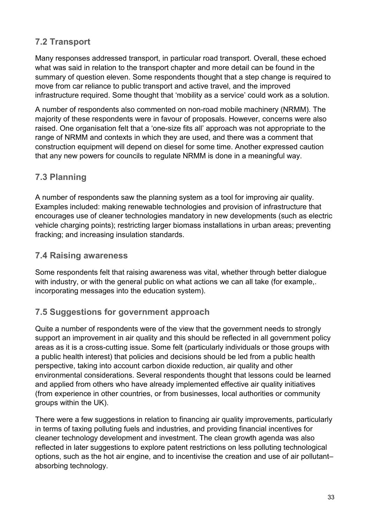# **7.2 Transport**

Many responses addressed transport, in particular road transport. Overall, these echoed what was said in relation to the transport chapter and more detail can be found in the summary of question eleven. Some respondents thought that a step change is required to move from car reliance to public transport and active travel, and the improved infrastructure required. Some thought that 'mobility as a service' could work as a solution.

A number of respondents also commented on non-road mobile machinery (NRMM). The majority of these respondents were in favour of proposals. However, concerns were also raised. One organisation felt that a 'one-size fits all' approach was not appropriate to the range of NRMM and contexts in which they are used, and there was a comment that construction equipment will depend on diesel for some time. Another expressed caution that any new powers for councils to regulate NRMM is done in a meaningful way.

# **7.3 Planning**

A number of respondents saw the planning system as a tool for improving air quality. Examples included: making renewable technologies and provision of infrastructure that encourages use of cleaner technologies mandatory in new developments (such as electric vehicle charging points); restricting larger biomass installations in urban areas; preventing fracking; and increasing insulation standards.

#### **7.4 Raising awareness**

Some respondents felt that raising awareness was vital, whether through better dialogue with industry, or with the general public on what actions we can all take (for example,. incorporating messages into the education system).

# **7.5 Suggestions for government approach**

Quite a number of respondents were of the view that the government needs to strongly support an improvement in air quality and this should be reflected in all government policy areas as it is a cross-cutting issue. Some felt (particularly individuals or those groups with a public health interest) that policies and decisions should be led from a public health perspective, taking into account carbon dioxide reduction, air quality and other environmental considerations. Several respondents thought that lessons could be learned and applied from others who have already implemented effective air quality initiatives (from experience in other countries, or from businesses, local authorities or community groups within the UK).

There were a few suggestions in relation to financing air quality improvements, particularly in terms of taxing polluting fuels and industries, and providing financial incentives for cleaner technology development and investment. The clean growth agenda was also reflected in later suggestions to explore patent restrictions on less polluting technological options, such as the hot air engine, and to incentivise the creation and use of air pollutant– absorbing technology.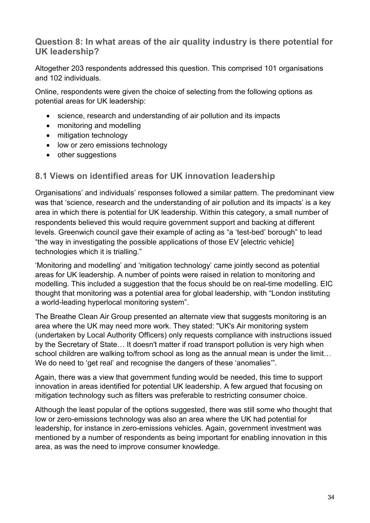#### **Question 8: In what areas of the air quality industry is there potential for UK leadership?**

Altogether 203 respondents addressed this question. This comprised 101 organisations and 102 individuals.

Online, respondents were given the choice of selecting from the following options as potential areas for UK leadership:

- science, research and understanding of air pollution and its impacts
- monitoring and modelling
- mitigation technology
- low or zero emissions technology
- other suggestions

#### **8.1 Views on identified areas for UK innovation leadership**

Organisations' and individuals' responses followed a similar pattern. The predominant view was that 'science, research and the understanding of air pollution and its impacts' is a key area in which there is potential for UK leadership. Within this category, a small number of respondents believed this would require government support and backing at different levels. Greenwich council gave their example of acting as "a 'test-bed' borough" to lead "the way in investigating the possible applications of those EV [electric vehicle] technologies which it is trialling."

'Monitoring and modelling' and 'mitigation technology' came jointly second as potential areas for UK leadership. A number of points were raised in relation to monitoring and modelling. This included a suggestion that the focus should be on real-time modelling. EIC thought that monitoring was a potential area for global leadership, with "London instituting a world-leading hyperlocal monitoring system".

The Breathe Clean Air Group presented an alternate view that suggests monitoring is an area where the UK may need more work. They stated: "UK's Air monitoring system (undertaken by Local Authority Officers) only requests compliance with instructions issued by the Secretary of State… It doesn't matter if road transport pollution is very high when school children are walking to/from school as long as the annual mean is under the limit... We do need to 'get real' and recognise the dangers of these 'anomalies'".

Again, there was a view that government funding would be needed, this time to support innovation in areas identified for potential UK leadership. A few argued that focusing on mitigation technology such as filters was preferable to restricting consumer choice.

Although the least popular of the options suggested, there was still some who thought that low or zero-emissions technology was also an area where the UK had potential for leadership, for instance in zero-emissions vehicles. Again, government investment was mentioned by a number of respondents as being important for enabling innovation in this area, as was the need to improve consumer knowledge.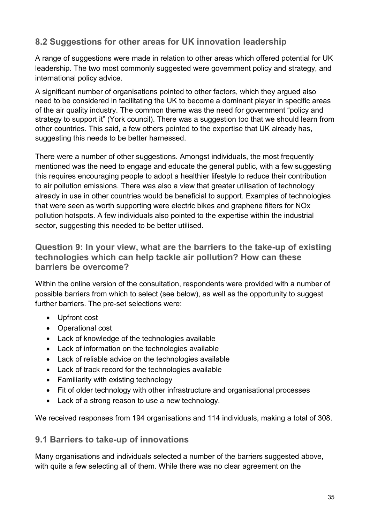## **8.2 Suggestions for other areas for UK innovation leadership**

A range of suggestions were made in relation to other areas which offered potential for UK leadership. The two most commonly suggested were government policy and strategy, and international policy advice.

A significant number of organisations pointed to other factors, which they argued also need to be considered in facilitating the UK to become a dominant player in specific areas of the air quality industry. The common theme was the need for government "policy and strategy to support it" (York council). There was a suggestion too that we should learn from other countries. This said, a few others pointed to the expertise that UK already has, suggesting this needs to be better harnessed.

There were a number of other suggestions. Amongst individuals, the most frequently mentioned was the need to engage and educate the general public, with a few suggesting this requires encouraging people to adopt a healthier lifestyle to reduce their contribution to air pollution emissions. There was also a view that greater utilisation of technology already in use in other countries would be beneficial to support. Examples of technologies that were seen as worth supporting were electric bikes and graphene filters for NOx pollution hotspots. A few individuals also pointed to the expertise within the industrial sector, suggesting this needed to be better utilised.

#### **Question 9: In your view, what are the barriers to the take-up of existing technologies which can help tackle air pollution? How can these barriers be overcome?**

Within the online version of the consultation, respondents were provided with a number of possible barriers from which to select (see below), as well as the opportunity to suggest further barriers. The pre-set selections were:

- Upfront cost
- Operational cost
- Lack of knowledge of the technologies available
- Lack of information on the technologies available
- Lack of reliable advice on the technologies available
- Lack of track record for the technologies available
- Familiarity with existing technology
- Fit of older technology with other infrastructure and organisational processes
- Lack of a strong reason to use a new technology.

We received responses from 194 organisations and 114 individuals, making a total of 308.

#### **9.1 Barriers to take-up of innovations**

Many organisations and individuals selected a number of the barriers suggested above, with quite a few selecting all of them. While there was no clear agreement on the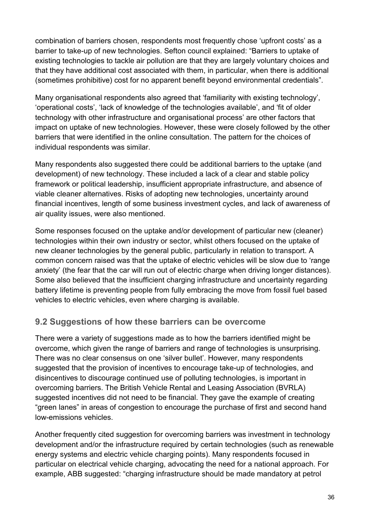combination of barriers chosen, respondents most frequently chose 'upfront costs' as a barrier to take-up of new technologies. Sefton council explained: "Barriers to uptake of existing technologies to tackle air pollution are that they are largely voluntary choices and that they have additional cost associated with them, in particular, when there is additional (sometimes prohibitive) cost for no apparent benefit beyond environmental credentials".

Many organisational respondents also agreed that 'familiarity with existing technology', 'operational costs', 'lack of knowledge of the technologies available', and 'fit of older technology with other infrastructure and organisational process' are other factors that impact on uptake of new technologies. However, these were closely followed by the other barriers that were identified in the online consultation. The pattern for the choices of individual respondents was similar.

Many respondents also suggested there could be additional barriers to the uptake (and development) of new technology. These included a lack of a clear and stable policy framework or political leadership, insufficient appropriate infrastructure, and absence of viable cleaner alternatives. Risks of adopting new technologies, uncertainty around financial incentives, length of some business investment cycles, and lack of awareness of air quality issues, were also mentioned.

Some responses focused on the uptake and/or development of particular new (cleaner) technologies within their own industry or sector, whilst others focused on the uptake of new cleaner technologies by the general public, particularly in relation to transport. A common concern raised was that the uptake of electric vehicles will be slow due to 'range anxiety' (the fear that the car will run out of electric charge when driving longer distances). Some also believed that the insufficient charging infrastructure and uncertainty regarding battery lifetime is preventing people from fully embracing the move from fossil fuel based vehicles to electric vehicles, even where charging is available.

#### **9.2 Suggestions of how these barriers can be overcome**

There were a variety of suggestions made as to how the barriers identified might be overcome, which given the range of barriers and range of technologies is unsurprising. There was no clear consensus on one 'silver bullet'. However, many respondents suggested that the provision of incentives to encourage take-up of technologies, and disincentives to discourage continued use of polluting technologies, is important in overcoming barriers. The British Vehicle Rental and Leasing Association (BVRLA) suggested incentives did not need to be financial. They gave the example of creating "green lanes" in areas of congestion to encourage the purchase of first and second hand low-emissions vehicles.

Another frequently cited suggestion for overcoming barriers was investment in technology development and/or the infrastructure required by certain technologies (such as renewable energy systems and electric vehicle charging points). Many respondents focused in particular on electrical vehicle charging, advocating the need for a national approach. For example, ABB suggested: "charging infrastructure should be made mandatory at petrol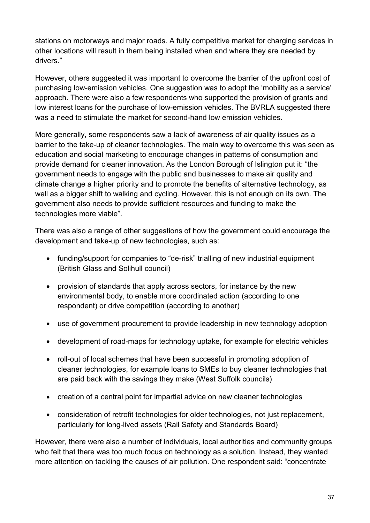stations on motorways and major roads. A fully competitive market for charging services in other locations will result in them being installed when and where they are needed by drivers."

However, others suggested it was important to overcome the barrier of the upfront cost of purchasing low-emission vehicles. One suggestion was to adopt the 'mobility as a service' approach. There were also a few respondents who supported the provision of grants and low interest loans for the purchase of low-emission vehicles. The BVRLA suggested there was a need to stimulate the market for second-hand low emission vehicles.

More generally, some respondents saw a lack of awareness of air quality issues as a barrier to the take-up of cleaner technologies. The main way to overcome this was seen as education and social marketing to encourage changes in patterns of consumption and provide demand for cleaner innovation. As the London Borough of Islington put it: "the government needs to engage with the public and businesses to make air quality and climate change a higher priority and to promote the benefits of alternative technology, as well as a bigger shift to walking and cycling. However, this is not enough on its own. The government also needs to provide sufficient resources and funding to make the technologies more viable".

There was also a range of other suggestions of how the government could encourage the development and take-up of new technologies, such as:

- funding/support for companies to "de-risk" trialling of new industrial equipment (British Glass and Solihull council)
- provision of standards that apply across sectors, for instance by the new environmental body, to enable more coordinated action (according to one respondent) or drive competition (according to another)
- use of government procurement to provide leadership in new technology adoption
- development of road-maps for technology uptake, for example for electric vehicles
- roll-out of local schemes that have been successful in promoting adoption of cleaner technologies, for example loans to SMEs to buy cleaner technologies that are paid back with the savings they make (West Suffolk councils)
- creation of a central point for impartial advice on new cleaner technologies
- consideration of retrofit technologies for older technologies, not just replacement, particularly for long-lived assets (Rail Safety and Standards Board)

However, there were also a number of individuals, local authorities and community groups who felt that there was too much focus on technology as a solution. Instead, they wanted more attention on tackling the causes of air pollution. One respondent said: "concentrate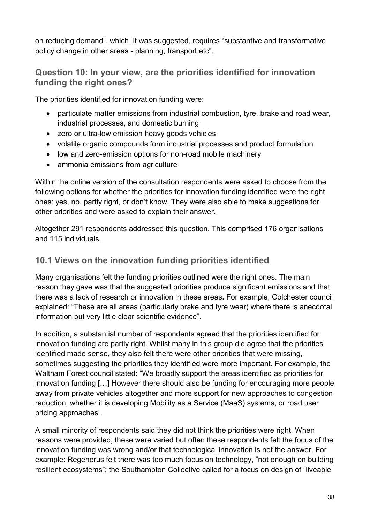on reducing demand", which, it was suggested, requires "substantive and transformative policy change in other areas - planning, transport etc".

## **Question 10: In your view, are the priorities identified for innovation funding the right ones?**

The priorities identified for innovation funding were:

- particulate matter emissions from industrial combustion, tyre, brake and road wear, industrial processes, and domestic burning
- zero or ultra-low emission heavy goods vehicles
- volatile organic compounds form industrial processes and product formulation
- low and zero-emission options for non-road mobile machinery
- ammonia emissions from agriculture

Within the online version of the consultation respondents were asked to choose from the following options for whether the priorities for innovation funding identified were the right ones: yes, no, partly right, or don't know. They were also able to make suggestions for other priorities and were asked to explain their answer.

Altogether 291 respondents addressed this question. This comprised 176 organisations and 115 individuals.

#### **10.1 Views on the innovation funding priorities identified**

Many organisations felt the funding priorities outlined were the right ones. The main reason they gave was that the suggested priorities produce significant emissions and that there was a lack of research or innovation in these areas**.** For example, Colchester council explained: "These are all areas (particularly brake and tyre wear) where there is anecdotal information but very little clear scientific evidence".

In addition, a substantial number of respondents agreed that the priorities identified for innovation funding are partly right. Whilst many in this group did agree that the priorities identified made sense, they also felt there were other priorities that were missing, sometimes suggesting the priorities they identified were more important. For example, the Waltham Forest council stated: "We broadly support the areas identified as priorities for innovation funding […] However there should also be funding for encouraging more people away from private vehicles altogether and more support for new approaches to congestion reduction, whether it is developing Mobility as a Service (MaaS) systems, or road user pricing approaches".

A small minority of respondents said they did not think the priorities were right. When reasons were provided, these were varied but often these respondents felt the focus of the innovation funding was wrong and/or that technological innovation is not the answer. For example: Regenerus felt there was too much focus on technology, "not enough on building resilient ecosystems"; the Southampton Collective called for a focus on design of "liveable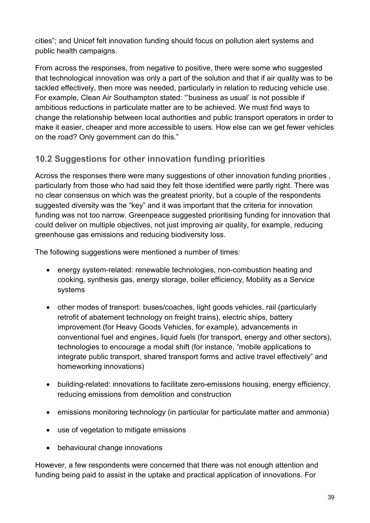cities"; and Unicef felt innovation funding should focus on pollution alert systems and public health campaigns.

From across the responses, from negative to positive, there were some who suggested that technological innovation was only a part of the solution and that if air quality was to be tackled effectively, then more was needed, particularly in relation to reducing vehicle use. For example, Clean Air Southampton stated: "'business as usual' is not possible if ambitious reductions in particulate matter are to be achieved. We must find ways to change the relationship between local authorities and public transport operators in order to make it easier, cheaper and more accessible to users. How else can we get fewer vehicles on the road? Only government can do this."

# **10.2 Suggestions for other innovation funding priorities**

Across the responses there were many suggestions of other innovation funding priorities , particularly from those who had said they felt those identified were partly right. There was no clear consensus on which was the greatest priority, but a couple of the respondents suggested diversity was the "key" and it was important that the criteria for innovation funding was not too narrow. Greenpeace suggested prioritising funding for innovation that could deliver on multiple objectives, not just improving air quality, for example, reducing greenhouse gas emissions and reducing biodiversity loss.

The following suggestions were mentioned a number of times:

- energy system-related: renewable technologies, non-combustion heating and cooking, synthesis gas, energy storage, boiler efficiency, Mobility as a Service systems
- other modes of transport: buses/coaches, light goods vehicles, rail (particularly retrofit of abatement technology on freight trains), electric ships, battery improvement (for Heavy Goods Vehicles, for example), advancements in conventional fuel and engines, liquid fuels (for transport, energy and other sectors), technologies to encourage a modal shift (for instance, "mobile applications to integrate public transport, shared transport forms and active travel effectively" and homeworking innovations)
- building-related: innovations to facilitate zero-emissions housing, energy efficiency, reducing emissions from demolition and construction
- emissions monitoring technology (in particular for particulate matter and ammonia)
- use of vegetation to mitigate emissions
- behavioural change innovations

However, a few respondents were concerned that there was not enough attention and funding being paid to assist in the uptake and practical application of innovations. For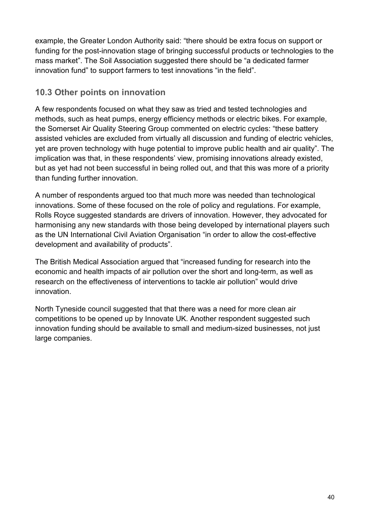example, the Greater London Authority said: "there should be extra focus on support or funding for the post-innovation stage of bringing successful products or technologies to the mass market". The Soil Association suggested there should be "a dedicated farmer innovation fund" to support farmers to test innovations "in the field".

## **10.3 Other points on innovation**

A few respondents focused on what they saw as tried and tested technologies and methods, such as heat pumps, energy efficiency methods or electric bikes. For example, the Somerset Air Quality Steering Group commented on electric cycles: "these battery assisted vehicles are excluded from virtually all discussion and funding of electric vehicles, yet are proven technology with huge potential to improve public health and air quality". The implication was that, in these respondents' view, promising innovations already existed, but as yet had not been successful in being rolled out, and that this was more of a priority than funding further innovation.

A number of respondents argued too that much more was needed than technological innovations. Some of these focused on the role of policy and regulations. For example, Rolls Royce suggested standards are drivers of innovation. However, they advocated for harmonising any new standards with those being developed by international players such as the UN International Civil Aviation Organisation "in order to allow the cost-effective development and availability of products".

The British Medical Association argued that "increased funding for research into the economic and health impacts of air pollution over the short and long-term, as well as research on the effectiveness of interventions to tackle air pollution" would drive innovation.

North Tyneside council suggested that that there was a need for more clean air competitions to be opened up by Innovate UK. Another respondent suggested such innovation funding should be available to small and medium-sized businesses, not just large companies.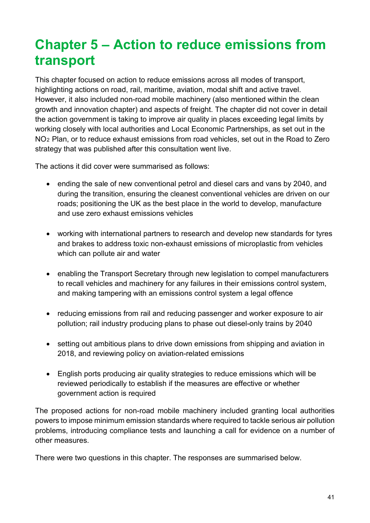# **Chapter 5 – Action to reduce emissions from transport**

This chapter focused on action to reduce emissions across all modes of transport, highlighting actions on road, rail, maritime, aviation, modal shift and active travel. However, it also included non-road mobile machinery (also mentioned within the clean growth and innovation chapter) and aspects of freight. The chapter did not cover in detail the action government is taking to improve air quality in places exceeding legal limits by working closely with local authorities and Local Economic Partnerships, as set out in the NO2 Plan, or to reduce exhaust emissions from road vehicles, set out in the Road to Zero strategy that was published after this consultation went live.

The actions it did cover were summarised as follows:

- ending the sale of new conventional petrol and diesel cars and vans by 2040, and during the transition, ensuring the cleanest conventional vehicles are driven on our roads; positioning the UK as the best place in the world to develop, manufacture and use zero exhaust emissions vehicles
- working with international partners to research and develop new standards for tyres and brakes to address toxic non-exhaust emissions of microplastic from vehicles which can pollute air and water
- enabling the Transport Secretary through new legislation to compel manufacturers to recall vehicles and machinery for any failures in their emissions control system, and making tampering with an emissions control system a legal offence
- reducing emissions from rail and reducing passenger and worker exposure to air pollution; rail industry producing plans to phase out diesel-only trains by 2040
- setting out ambitious plans to drive down emissions from shipping and aviation in 2018, and reviewing policy on aviation-related emissions
- English ports producing air quality strategies to reduce emissions which will be reviewed periodically to establish if the measures are effective or whether government action is required

The proposed actions for non-road mobile machinery included granting local authorities powers to impose minimum emission standards where required to tackle serious air pollution problems, introducing compliance tests and launching a call for evidence on a number of other measures.

There were two questions in this chapter. The responses are summarised below.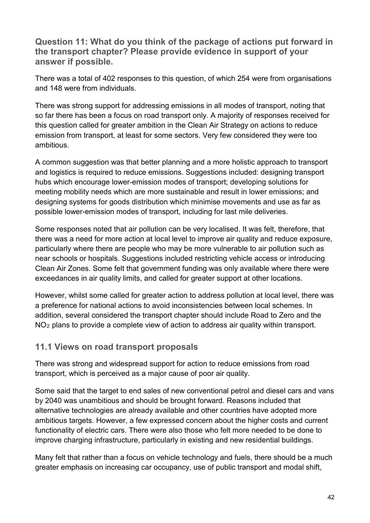**Question 11: What do you think of the package of actions put forward in the transport chapter? Please provide evidence in support of your answer if possible.**

There was a total of 402 responses to this question, of which 254 were from organisations and 148 were from individuals.

There was strong support for addressing emissions in all modes of transport, noting that so far there has been a focus on road transport only. A majority of responses received for this question called for greater ambition in the Clean Air Strategy on actions to reduce emission from transport, at least for some sectors. Very few considered they were too ambitious.

A common suggestion was that better planning and a more holistic approach to transport and logistics is required to reduce emissions. Suggestions included: designing transport hubs which encourage lower-emission modes of transport; developing solutions for meeting mobility needs which are more sustainable and result in lower emissions; and designing systems for goods distribution which minimise movements and use as far as possible lower-emission modes of transport, including for last mile deliveries.

Some responses noted that air pollution can be very localised. It was felt, therefore, that there was a need for more action at local level to improve air quality and reduce exposure, particularly where there are people who may be more vulnerable to air pollution such as near schools or hospitals. Suggestions included restricting vehicle access or introducing Clean Air Zones. Some felt that government funding was only available where there were exceedances in air quality limits, and called for greater support at other locations.

However, whilst some called for greater action to address pollution at local level, there was a preference for national actions to avoid inconsistencies between local schemes. In addition, several considered the transport chapter should include Road to Zero and the NO<sub>2</sub> plans to provide a complete view of action to address air quality within transport.

#### **11.1 Views on road transport proposals**

There was strong and widespread support for action to reduce emissions from road transport, which is perceived as a major cause of poor air quality.

Some said that the target to end sales of new conventional petrol and diesel cars and vans by 2040 was unambitious and should be brought forward. Reasons included that alternative technologies are already available and other countries have adopted more ambitious targets. However, a few expressed concern about the higher costs and current functionality of electric cars. There were also those who felt more needed to be done to improve charging infrastructure, particularly in existing and new residential buildings.

Many felt that rather than a focus on vehicle technology and fuels, there should be a much greater emphasis on increasing car occupancy, use of public transport and modal shift,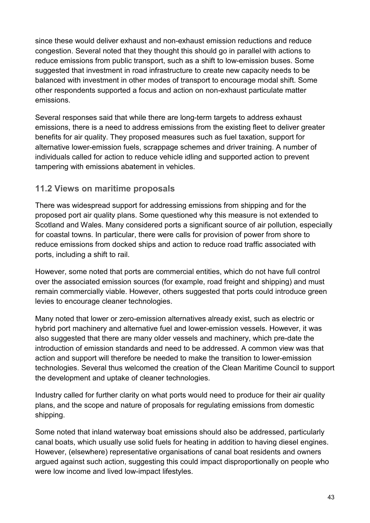since these would deliver exhaust and non-exhaust emission reductions and reduce congestion. Several noted that they thought this should go in parallel with actions to reduce emissions from public transport, such as a shift to low-emission buses. Some suggested that investment in road infrastructure to create new capacity needs to be balanced with investment in other modes of transport to encourage modal shift. Some other respondents supported a focus and action on non-exhaust particulate matter emissions.

Several responses said that while there are long-term targets to address exhaust emissions, there is a need to address emissions from the existing fleet to deliver greater benefits for air quality. They proposed measures such as fuel taxation, support for alternative lower-emission fuels, scrappage schemes and driver training. A number of individuals called for action to reduce vehicle idling and supported action to prevent tampering with emissions abatement in vehicles.

## **11.2 Views on maritime proposals**

There was widespread support for addressing emissions from shipping and for the proposed port air quality plans. Some questioned why this measure is not extended to Scotland and Wales. Many considered ports a significant source of air pollution, especially for coastal towns. In particular, there were calls for provision of power from shore to reduce emissions from docked ships and action to reduce road traffic associated with ports, including a shift to rail.

However, some noted that ports are commercial entities, which do not have full control over the associated emission sources (for example, road freight and shipping) and must remain commercially viable. However, others suggested that ports could introduce green levies to encourage cleaner technologies.

Many noted that lower or zero-emission alternatives already exist, such as electric or hybrid port machinery and alternative fuel and lower-emission vessels. However, it was also suggested that there are many older vessels and machinery, which pre-date the introduction of emission standards and need to be addressed. A common view was that action and support will therefore be needed to make the transition to lower-emission technologies. Several thus welcomed the creation of the Clean Maritime Council to support the development and uptake of cleaner technologies.

Industry called for further clarity on what ports would need to produce for their air quality plans, and the scope and nature of proposals for regulating emissions from domestic shipping.

Some noted that inland waterway boat emissions should also be addressed, particularly canal boats, which usually use solid fuels for heating in addition to having diesel engines. However, (elsewhere) representative organisations of canal boat residents and owners argued against such action, suggesting this could impact disproportionally on people who were low income and lived low-impact lifestyles.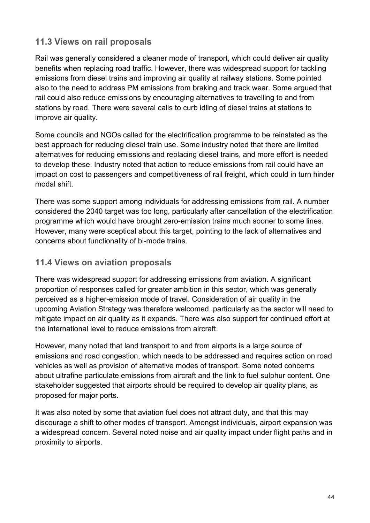#### **11.3 Views on rail proposals**

Rail was generally considered a cleaner mode of transport, which could deliver air quality benefits when replacing road traffic. However, there was widespread support for tackling emissions from diesel trains and improving air quality at railway stations. Some pointed also to the need to address PM emissions from braking and track wear. Some argued that rail could also reduce emissions by encouraging alternatives to travelling to and from stations by road. There were several calls to curb idling of diesel trains at stations to improve air quality.

Some councils and NGOs called for the electrification programme to be reinstated as the best approach for reducing diesel train use. Some industry noted that there are limited alternatives for reducing emissions and replacing diesel trains, and more effort is needed to develop these. Industry noted that action to reduce emissions from rail could have an impact on cost to passengers and competitiveness of rail freight, which could in turn hinder modal shift.

There was some support among individuals for addressing emissions from rail. A number considered the 2040 target was too long, particularly after cancellation of the electrification programme which would have brought zero-emission trains much sooner to some lines. However, many were sceptical about this target, pointing to the lack of alternatives and concerns about functionality of bi-mode trains.

#### **11.4 Views on aviation proposals**

There was widespread support for addressing emissions from aviation. A significant proportion of responses called for greater ambition in this sector, which was generally perceived as a higher-emission mode of travel. Consideration of air quality in the upcoming Aviation Strategy was therefore welcomed, particularly as the sector will need to mitigate impact on air quality as it expands. There was also support for continued effort at the international level to reduce emissions from aircraft.

However, many noted that land transport to and from airports is a large source of emissions and road congestion, which needs to be addressed and requires action on road vehicles as well as provision of alternative modes of transport. Some noted concerns about ultrafine particulate emissions from aircraft and the link to fuel sulphur content. One stakeholder suggested that airports should be required to develop air quality plans, as proposed for major ports.

It was also noted by some that aviation fuel does not attract duty, and that this may discourage a shift to other modes of transport. Amongst individuals, airport expansion was a widespread concern. Several noted noise and air quality impact under flight paths and in proximity to airports.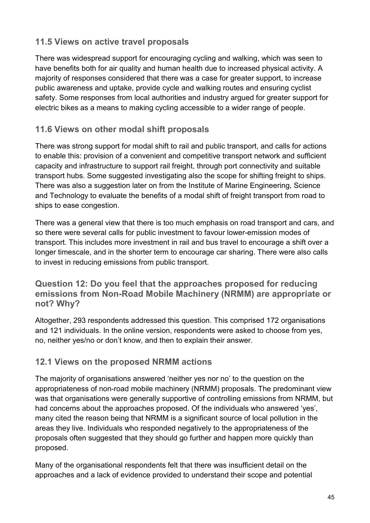## **11.5 Views on active travel proposals**

There was widespread support for encouraging cycling and walking, which was seen to have benefits both for air quality and human health due to increased physical activity. A majority of responses considered that there was a case for greater support, to increase public awareness and uptake, provide cycle and walking routes and ensuring cyclist safety. Some responses from local authorities and industry argued for greater support for electric bikes as a means to making cycling accessible to a wider range of people.

## **11.6 Views on other modal shift proposals**

There was strong support for modal shift to rail and public transport, and calls for actions to enable this: provision of a convenient and competitive transport network and sufficient capacity and infrastructure to support rail freight, through port connectivity and suitable transport hubs. Some suggested investigating also the scope for shifting freight to ships. There was also a suggestion later on from the Institute of Marine Engineering, Science and Technology to evaluate the benefits of a modal shift of freight transport from road to ships to ease congestion.

There was a general view that there is too much emphasis on road transport and cars, and so there were several calls for public investment to favour lower-emission modes of transport. This includes more investment in rail and bus travel to encourage a shift over a longer timescale, and in the shorter term to encourage car sharing. There were also calls to invest in reducing emissions from public transport.

#### **Question 12: Do you feel that the approaches proposed for reducing emissions from Non-Road Mobile Machinery (NRMM) are appropriate or not? Why?**

Altogether, 293 respondents addressed this question. This comprised 172 organisations and 121 individuals. In the online version, respondents were asked to choose from yes, no, neither yes/no or don't know, and then to explain their answer.

## **12.1 Views on the proposed NRMM actions**

The majority of organisations answered 'neither yes nor no' to the question on the appropriateness of non-road mobile machinery (NRMM) proposals. The predominant view was that organisations were generally supportive of controlling emissions from NRMM, but had concerns about the approaches proposed. Of the individuals who answered 'yes', many cited the reason being that NRMM is a significant source of local pollution in the areas they live. Individuals who responded negatively to the appropriateness of the proposals often suggested that they should go further and happen more quickly than proposed.

Many of the organisational respondents felt that there was insufficient detail on the approaches and a lack of evidence provided to understand their scope and potential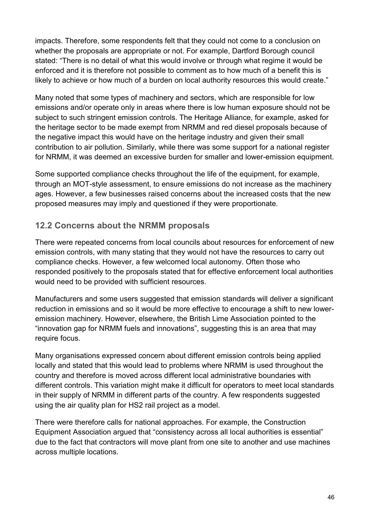impacts. Therefore, some respondents felt that they could not come to a conclusion on whether the proposals are appropriate or not. For example, Dartford Borough council stated: "There is no detail of what this would involve or through what regime it would be enforced and it is therefore not possible to comment as to how much of a benefit this is likely to achieve or how much of a burden on local authority resources this would create."

Many noted that some types of machinery and sectors, which are responsible for low emissions and/or operate only in areas where there is low human exposure should not be subject to such stringent emission controls. The Heritage Alliance, for example, asked for the heritage sector to be made exempt from NRMM and red diesel proposals because of the negative impact this would have on the heritage industry and given their small contribution to air pollution. Similarly, while there was some support for a national register for NRMM, it was deemed an excessive burden for smaller and lower-emission equipment.

Some supported compliance checks throughout the life of the equipment, for example, through an MOT-style assessment, to ensure emissions do not increase as the machinery ages. However, a few businesses raised concerns about the increased costs that the new proposed measures may imply and questioned if they were proportionate.

## **12.2 Concerns about the NRMM proposals**

There were repeated concerns from local councils about resources for enforcement of new emission controls, with many stating that they would not have the resources to carry out compliance checks. However, a few welcomed local autonomy. Often those who responded positively to the proposals stated that for effective enforcement local authorities would need to be provided with sufficient resources.

Manufacturers and some users suggested that emission standards will deliver a significant reduction in emissions and so it would be more effective to encourage a shift to new loweremission machinery. However, elsewhere, the British Lime Association pointed to the "innovation gap for NRMM fuels and innovations", suggesting this is an area that may require focus.

Many organisations expressed concern about different emission controls being applied locally and stated that this would lead to problems where NRMM is used throughout the country and therefore is moved across different local administrative boundaries with different controls. This variation might make it difficult for operators to meet local standards in their supply of NRMM in different parts of the country. A few respondents suggested using the air quality plan for HS2 rail project as a model.

There were therefore calls for national approaches. For example, the Construction Equipment Association argued that "consistency across all local authorities is essential" due to the fact that contractors will move plant from one site to another and use machines across multiple locations.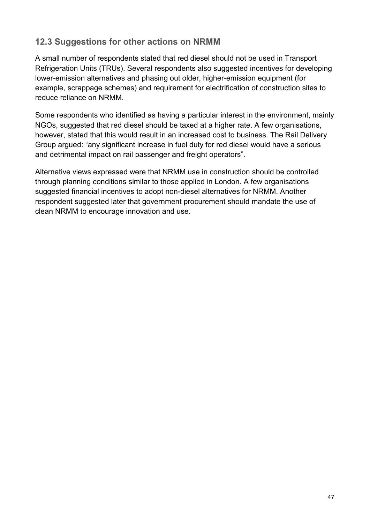## **12.3 Suggestions for other actions on NRMM**

A small number of respondents stated that red diesel should not be used in Transport Refrigeration Units (TRUs). Several respondents also suggested incentives for developing lower-emission alternatives and phasing out older, higher-emission equipment (for example, scrappage schemes) and requirement for electrification of construction sites to reduce reliance on NRMM.

Some respondents who identified as having a particular interest in the environment, mainly NGOs, suggested that red diesel should be taxed at a higher rate. A few organisations, however, stated that this would result in an increased cost to business. The Rail Delivery Group argued: "any significant increase in fuel duty for red diesel would have a serious and detrimental impact on rail passenger and freight operators".

Alternative views expressed were that NRMM use in construction should be controlled through planning conditions similar to those applied in London. A few organisations suggested financial incentives to adopt non-diesel alternatives for NRMM. Another respondent suggested later that government procurement should mandate the use of clean NRMM to encourage innovation and use.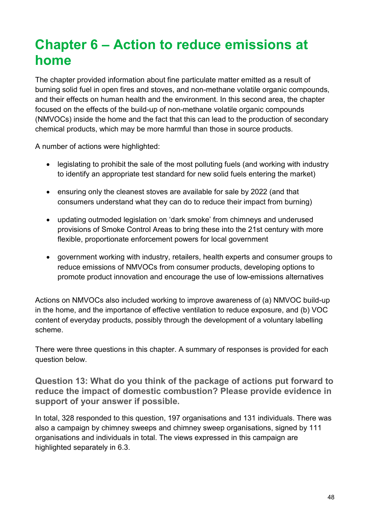# **Chapter 6 – Action to reduce emissions at home**

The chapter provided information about fine particulate matter emitted as a result of burning solid fuel in open fires and stoves, and non-methane volatile organic compounds, and their effects on human health and the environment. In this second area, the chapter focused on the effects of the build-up of non-methane volatile organic compounds (NMVOCs) inside the home and the fact that this can lead to the production of secondary chemical products, which may be more harmful than those in source products.

A number of actions were highlighted:

- legislating to prohibit the sale of the most polluting fuels (and working with industry to identify an appropriate test standard for new solid fuels entering the market)
- ensuring only the cleanest stoves are available for sale by 2022 (and that consumers understand what they can do to reduce their impact from burning)
- updating outmoded legislation on 'dark smoke' from chimneys and underused provisions of Smoke Control Areas to bring these into the 21st century with more flexible, proportionate enforcement powers for local government
- government working with industry, retailers, health experts and consumer groups to reduce emissions of NMVOCs from consumer products, developing options to promote product innovation and encourage the use of low-emissions alternatives

Actions on NMVOCs also included working to improve awareness of (a) NMVOC build-up in the home, and the importance of effective ventilation to reduce exposure, and (b) VOC content of everyday products, possibly through the development of a voluntary labelling scheme.

There were three questions in this chapter. A summary of responses is provided for each question below.

**Question 13: What do you think of the package of actions put forward to reduce the impact of domestic combustion? Please provide evidence in support of your answer if possible.**

In total, 328 responded to this question, 197 organisations and 131 individuals. There was also a campaign by chimney sweeps and chimney sweep organisations, signed by 111 organisations and individuals in total. The views expressed in this campaign are highlighted separately in 6.3.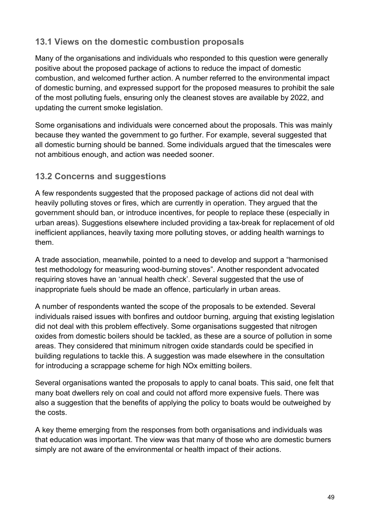#### **13.1 Views on the domestic combustion proposals**

Many of the organisations and individuals who responded to this question were generally positive about the proposed package of actions to reduce the impact of domestic combustion, and welcomed further action. A number referred to the environmental impact of domestic burning, and expressed support for the proposed measures to prohibit the sale of the most polluting fuels, ensuring only the cleanest stoves are available by 2022, and updating the current smoke legislation.

Some organisations and individuals were concerned about the proposals. This was mainly because they wanted the government to go further. For example, several suggested that all domestic burning should be banned. Some individuals argued that the timescales were not ambitious enough, and action was needed sooner.

#### **13.2 Concerns and suggestions**

A few respondents suggested that the proposed package of actions did not deal with heavily polluting stoves or fires, which are currently in operation. They argued that the government should ban, or introduce incentives, for people to replace these (especially in urban areas). Suggestions elsewhere included providing a tax-break for replacement of old inefficient appliances, heavily taxing more polluting stoves, or adding health warnings to them.

A trade association, meanwhile, pointed to a need to develop and support a "harmonised test methodology for measuring wood-burning stoves". Another respondent advocated requiring stoves have an 'annual health check'. Several suggested that the use of inappropriate fuels should be made an offence, particularly in urban areas.

A number of respondents wanted the scope of the proposals to be extended. Several individuals raised issues with bonfires and outdoor burning, arguing that existing legislation did not deal with this problem effectively. Some organisations suggested that nitrogen oxides from domestic boilers should be tackled, as these are a source of pollution in some areas. They considered that minimum nitrogen oxide standards could be specified in building regulations to tackle this. A suggestion was made elsewhere in the consultation for introducing a scrappage scheme for high NOx emitting boilers.

Several organisations wanted the proposals to apply to canal boats. This said, one felt that many boat dwellers rely on coal and could not afford more expensive fuels. There was also a suggestion that the benefits of applying the policy to boats would be outweighed by the costs.

A key theme emerging from the responses from both organisations and individuals was that education was important. The view was that many of those who are domestic burners simply are not aware of the environmental or health impact of their actions.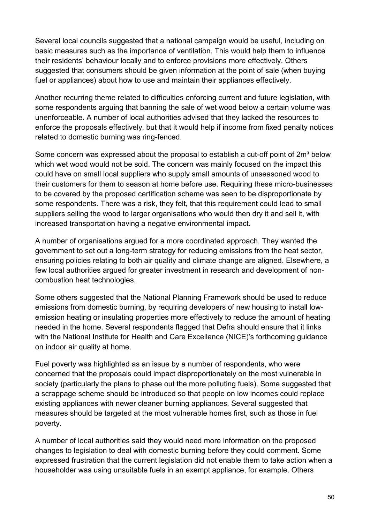Several local councils suggested that a national campaign would be useful, including on basic measures such as the importance of ventilation. This would help them to influence their residents' behaviour locally and to enforce provisions more effectively. Others suggested that consumers should be given information at the point of sale (when buying fuel or appliances) about how to use and maintain their appliances effectively.

Another recurring theme related to difficulties enforcing current and future legislation, with some respondents arguing that banning the sale of wet wood below a certain volume was unenforceable. A number of local authorities advised that they lacked the resources to enforce the proposals effectively, but that it would help if income from fixed penalty notices related to domestic burning was ring-fenced.

Some concern was expressed about the proposal to establish a cut-off point of 2m<sup>3</sup> below which wet wood would not be sold. The concern was mainly focused on the impact this could have on small local suppliers who supply small amounts of unseasoned wood to their customers for them to season at home before use. Requiring these micro-businesses to be covered by the proposed certification scheme was seen to be disproportionate by some respondents. There was a risk, they felt, that this requirement could lead to small suppliers selling the wood to larger organisations who would then dry it and sell it, with increased transportation having a negative environmental impact.

A number of organisations argued for a more coordinated approach. They wanted the government to set out a long-term strategy for reducing emissions from the heat sector, ensuring policies relating to both air quality and climate change are aligned. Elsewhere, a few local authorities argued for greater investment in research and development of noncombustion heat technologies.

Some others suggested that the National Planning Framework should be used to reduce emissions from domestic burning, by requiring developers of new housing to install lowemission heating or insulating properties more effectively to reduce the amount of heating needed in the home. Several respondents flagged that Defra should ensure that it links with the National Institute for Health and Care Excellence (NICE)'s forthcoming guidance on indoor air quality at home.

Fuel poverty was highlighted as an issue by a number of respondents, who were concerned that the proposals could impact disproportionately on the most vulnerable in society (particularly the plans to phase out the more polluting fuels). Some suggested that a scrappage scheme should be introduced so that people on low incomes could replace existing appliances with newer cleaner burning appliances. Several suggested that measures should be targeted at the most vulnerable homes first, such as those in fuel poverty.

A number of local authorities said they would need more information on the proposed changes to legislation to deal with domestic burning before they could comment. Some expressed frustration that the current legislation did not enable them to take action when a householder was using unsuitable fuels in an exempt appliance, for example. Others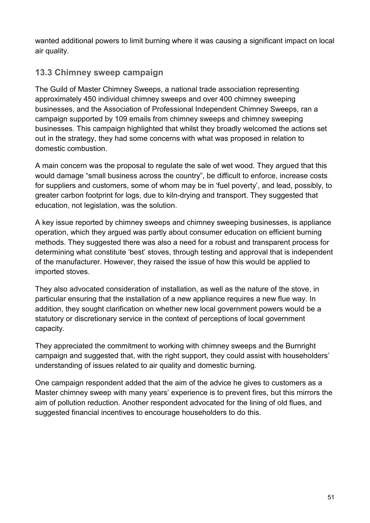wanted additional powers to limit burning where it was causing a significant impact on local air quality.

## **13.3 Chimney sweep campaign**

The Guild of Master Chimney Sweeps, a national trade association representing approximately 450 individual chimney sweeps and over 400 chimney sweeping businesses, and the Association of Professional Independent Chimney Sweeps, ran a campaign supported by 109 emails from chimney sweeps and chimney sweeping businesses. This campaign highlighted that whilst they broadly welcomed the actions set out in the strategy, they had some concerns with what was proposed in relation to domestic combustion.

A main concern was the proposal to regulate the sale of wet wood. They argued that this would damage "small business across the country", be difficult to enforce, increase costs for suppliers and customers, some of whom may be in 'fuel poverty', and lead, possibly, to greater carbon footprint for logs, due to kiln-drying and transport. They suggested that education, not legislation, was the solution.

A key issue reported by chimney sweeps and chimney sweeping businesses, is appliance operation, which they argued was partly about consumer education on efficient burning methods. They suggested there was also a need for a robust and transparent process for determining what constitute 'best' stoves, through testing and approval that is independent of the manufacturer. However, they raised the issue of how this would be applied to imported stoves.

They also advocated consideration of installation, as well as the nature of the stove, in particular ensuring that the installation of a new appliance requires a new flue way. In addition, they sought clarification on whether new local government powers would be a statutory or discretionary service in the context of perceptions of local government capacity.

They appreciated the commitment to working with chimney sweeps and the Burnright campaign and suggested that, with the right support, they could assist with householders' understanding of issues related to air quality and domestic burning.

One campaign respondent added that the aim of the advice he gives to customers as a Master chimney sweep with many years' experience is to prevent fires, but this mirrors the aim of pollution reduction. Another respondent advocated for the lining of old flues, and suggested financial incentives to encourage householders to do this.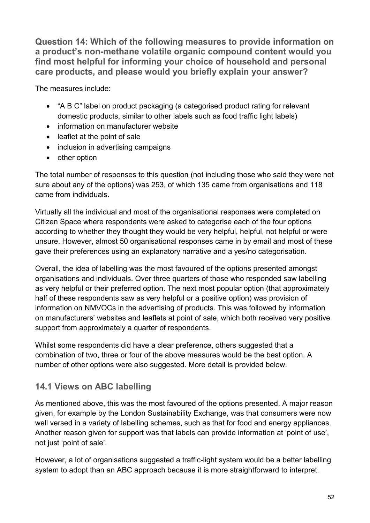**Question 14: Which of the following measures to provide information on a product's non-methane volatile organic compound content would you find most helpful for informing your choice of household and personal care products, and please would you briefly explain your answer?**

The measures include:

- "A B C" label on product packaging (a categorised product rating for relevant domestic products, similar to other labels such as food traffic light labels)
- information on manufacturer website
- leaflet at the point of sale
- inclusion in advertising campaigns
- other option

The total number of responses to this question (not including those who said they were not sure about any of the options) was 253, of which 135 came from organisations and 118 came from individuals.

Virtually all the individual and most of the organisational responses were completed on Citizen Space where respondents were asked to categorise each of the four options according to whether they thought they would be very helpful, helpful, not helpful or were unsure. However, almost 50 organisational responses came in by email and most of these gave their preferences using an explanatory narrative and a yes/no categorisation.

Overall, the idea of labelling was the most favoured of the options presented amongst organisations and individuals. Over three quarters of those who responded saw labelling as very helpful or their preferred option. The next most popular option (that approximately half of these respondents saw as very helpful or a positive option) was provision of information on NMVOCs in the advertising of products. This was followed by information on manufacturers' websites and leaflets at point of sale, which both received very positive support from approximately a quarter of respondents.

Whilst some respondents did have a clear preference, others suggested that a combination of two, three or four of the above measures would be the best option. A number of other options were also suggested. More detail is provided below.

# **14.1 Views on ABC labelling**

As mentioned above, this was the most favoured of the options presented. A major reason given, for example by the London Sustainability Exchange, was that consumers were now well versed in a variety of labelling schemes, such as that for food and energy appliances. Another reason given for support was that labels can provide information at 'point of use', not just 'point of sale'.

However, a lot of organisations suggested a traffic-light system would be a better labelling system to adopt than an ABC approach because it is more straightforward to interpret.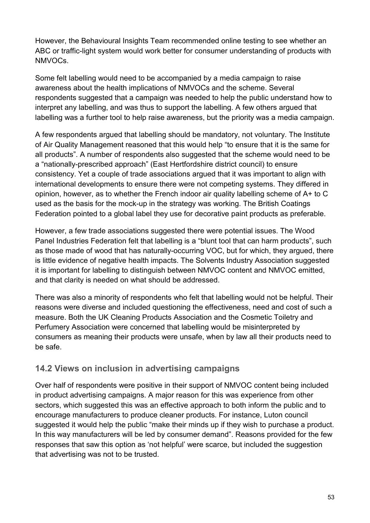However, the Behavioural Insights Team recommended online testing to see whether an ABC or traffic-light system would work better for consumer understanding of products with NMVOCs.

Some felt labelling would need to be accompanied by a media campaign to raise awareness about the health implications of NMVOCs and the scheme. Several respondents suggested that a campaign was needed to help the public understand how to interpret any labelling, and was thus to support the labelling. A few others argued that labelling was a further tool to help raise awareness, but the priority was a media campaign.

A few respondents argued that labelling should be mandatory, not voluntary. The Institute of Air Quality Management reasoned that this would help "to ensure that it is the same for all products". A number of respondents also suggested that the scheme would need to be a "nationally-prescribed approach" (East Hertfordshire district council) to ensure consistency. Yet a couple of trade associations argued that it was important to align with international developments to ensure there were not competing systems. They differed in opinion, however, as to whether the French indoor air quality labelling scheme of A+ to C used as the basis for the mock-up in the strategy was working. The British Coatings Federation pointed to a global label they use for decorative paint products as preferable.

However, a few trade associations suggested there were potential issues. The Wood Panel Industries Federation felt that labelling is a "blunt tool that can harm products", such as those made of wood that has naturally-occurring VOC, but for which, they argued, there is little evidence of negative health impacts. The Solvents Industry Association suggested it is important for labelling to distinguish between NMVOC content and NMVOC emitted, and that clarity is needed on what should be addressed.

There was also a minority of respondents who felt that labelling would not be helpful. Their reasons were diverse and included questioning the effectiveness, need and cost of such a measure. Both the UK Cleaning Products Association and the Cosmetic Toiletry and Perfumery Association were concerned that labelling would be misinterpreted by consumers as meaning their products were unsafe, when by law all their products need to be safe.

#### **14.2 Views on inclusion in advertising campaigns**

Over half of respondents were positive in their support of NMVOC content being included in product advertising campaigns. A major reason for this was experience from other sectors, which suggested this was an effective approach to both inform the public and to encourage manufacturers to produce cleaner products. For instance, Luton council suggested it would help the public "make their minds up if they wish to purchase a product. In this way manufacturers will be led by consumer demand". Reasons provided for the few responses that saw this option as 'not helpful' were scarce, but included the suggestion that advertising was not to be trusted.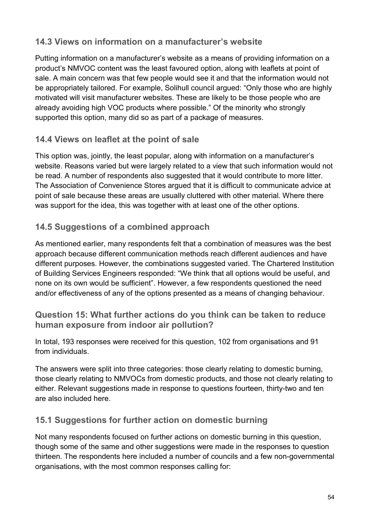## **14.3 Views on information on a manufacturer's website**

Putting information on a manufacturer's website as a means of providing information on a product's NMVOC content was the least favoured option, along with leaflets at point of sale. A main concern was that few people would see it and that the information would not be appropriately tailored. For example, Solihull council argued: "Only those who are highly motivated will visit manufacturer websites. These are likely to be those people who are already avoiding high VOC products where possible." Of the minority who strongly supported this option, many did so as part of a package of measures.

## **14.4 Views on leaflet at the point of sale**

This option was, jointly, the least popular, along with information on a manufacturer's website. Reasons varied but were largely related to a view that such information would not be read. A number of respondents also suggested that it would contribute to more litter. The Association of Convenience Stores argued that it is difficult to communicate advice at point of sale because these areas are usually cluttered with other material. Where there was support for the idea, this was together with at least one of the other options.

## **14.5 Suggestions of a combined approach**

As mentioned earlier, many respondents felt that a combination of measures was the best approach because different communication methods reach different audiences and have different purposes. However, the combinations suggested varied. The Chartered Institution of Building Services Engineers responded: "We think that all options would be useful, and none on its own would be sufficient". However, a few respondents questioned the need and/or effectiveness of any of the options presented as a means of changing behaviour.

#### **Question 15: What further actions do you think can be taken to reduce human exposure from indoor air pollution?**

In total, 193 responses were received for this question, 102 from organisations and 91 from individuals.

The answers were split into three categories: those clearly relating to domestic burning, those clearly relating to NMVOCs from domestic products, and those not clearly relating to either. Relevant suggestions made in response to questions fourteen, thirty-two and ten are also included here.

## **15.1 Suggestions for further action on domestic burning**

Not many respondents focused on further actions on domestic burning in this question, though some of the same and other suggestions were made in the responses to question thirteen. The respondents here included a number of councils and a few non-governmental organisations, with the most common responses calling for: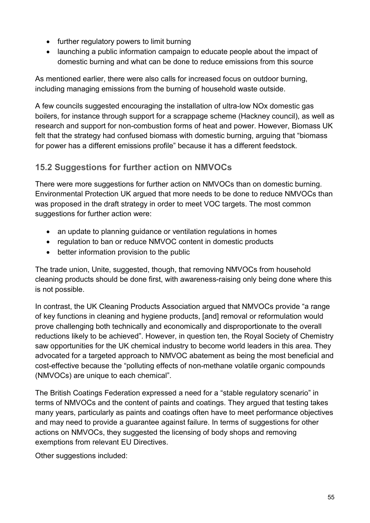- further regulatory powers to limit burning
- launching a public information campaign to educate people about the impact of domestic burning and what can be done to reduce emissions from this source

As mentioned earlier, there were also calls for increased focus on outdoor burning, including managing emissions from the burning of household waste outside.

A few councils suggested encouraging the installation of ultra-low NOx domestic gas boilers, for instance through support for a scrappage scheme (Hackney council), as well as research and support for non-combustion forms of heat and power. However, Biomass UK felt that the strategy had confused biomass with domestic burning, arguing that "biomass for power has a different emissions profile" because it has a different feedstock.

## **15.2 Suggestions for further action on NMVOCs**

There were more suggestions for further action on NMVOCs than on domestic burning. Environmental Protection UK argued that more needs to be done to reduce NMVOCs than was proposed in the draft strategy in order to meet VOC targets. The most common suggestions for further action were:

- an update to planning guidance or ventilation regulations in homes
- regulation to ban or reduce NMVOC content in domestic products
- better information provision to the public

The trade union, Unite, suggested, though, that removing NMVOCs from household cleaning products should be done first, with awareness-raising only being done where this is not possible.

In contrast, the UK Cleaning Products Association argued that NMVOCs provide "a range of key functions in cleaning and hygiene products, [and] removal or reformulation would prove challenging both technically and economically and disproportionate to the overall reductions likely to be achieved". However, in question ten, the Royal Society of Chemistry saw opportunities for the UK chemical industry to become world leaders in this area. They advocated for a targeted approach to NMVOC abatement as being the most beneficial and cost-effective because the "polluting effects of non-methane volatile organic compounds (NMVOCs) are unique to each chemical".

The British Coatings Federation expressed a need for a "stable regulatory scenario" in terms of NMVOCs and the content of paints and coatings. They argued that testing takes many years, particularly as paints and coatings often have to meet performance objectives and may need to provide a guarantee against failure. In terms of suggestions for other actions on NMVOCs, they suggested the licensing of body shops and removing exemptions from relevant EU Directives.

Other suggestions included: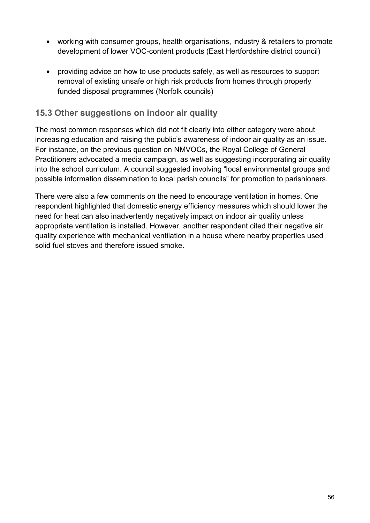- working with consumer groups, health organisations, industry & retailers to promote development of lower VOC-content products (East Hertfordshire district council)
- providing advice on how to use products safely, as well as resources to support removal of existing unsafe or high risk products from homes through properly funded disposal programmes (Norfolk councils)

#### **15.3 Other suggestions on indoor air quality**

The most common responses which did not fit clearly into either category were about increasing education and raising the public's awareness of indoor air quality as an issue. For instance, on the previous question on NMVOCs, the Royal College of General Practitioners advocated a media campaign, as well as suggesting incorporating air quality into the school curriculum. A council suggested involving "local environmental groups and possible information dissemination to local parish councils" for promotion to parishioners.

There were also a few comments on the need to encourage ventilation in homes. One respondent highlighted that domestic energy efficiency measures which should lower the need for heat can also inadvertently negatively impact on indoor air quality unless appropriate ventilation is installed. However, another respondent cited their negative air quality experience with mechanical ventilation in a house where nearby properties used solid fuel stoves and therefore issued smoke.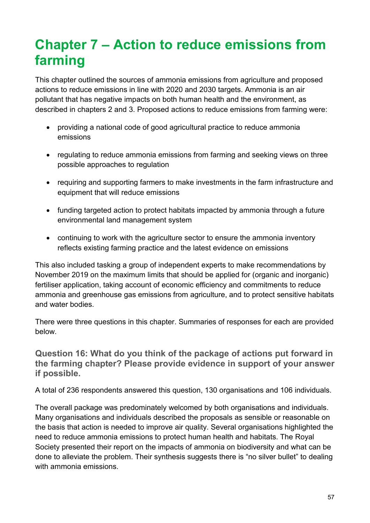# **Chapter 7 – Action to reduce emissions from farming**

This chapter outlined the sources of ammonia emissions from agriculture and proposed actions to reduce emissions in line with 2020 and 2030 targets. Ammonia is an air pollutant that has negative impacts on both human health and the environment, as described in chapters 2 and 3. Proposed actions to reduce emissions from farming were:

- providing a national code of good agricultural practice to reduce ammonia emissions
- regulating to reduce ammonia emissions from farming and seeking views on three possible approaches to regulation
- requiring and supporting farmers to make investments in the farm infrastructure and equipment that will reduce emissions
- funding targeted action to protect habitats impacted by ammonia through a future environmental land management system
- continuing to work with the agriculture sector to ensure the ammonia inventory reflects existing farming practice and the latest evidence on emissions

This also included tasking a group of independent experts to make recommendations by November 2019 on the maximum limits that should be applied for (organic and inorganic) fertiliser application, taking account of economic efficiency and commitments to reduce ammonia and greenhouse gas emissions from agriculture, and to protect sensitive habitats and water bodies.

There were three questions in this chapter. Summaries of responses for each are provided below.

**Question 16: What do you think of the package of actions put forward in the farming chapter? Please provide evidence in support of your answer if possible.**

A total of 236 respondents answered this question, 130 organisations and 106 individuals.

The overall package was predominately welcomed by both organisations and individuals. Many organisations and individuals described the proposals as sensible or reasonable on the basis that action is needed to improve air quality. Several organisations highlighted the need to reduce ammonia emissions to protect human health and habitats. The Royal Society presented their report on the impacts of ammonia on biodiversity and what can be done to alleviate the problem. Their synthesis suggests there is "no silver bullet" to dealing with ammonia emissions.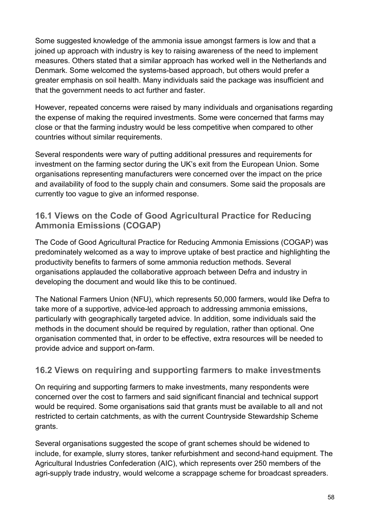Some suggested knowledge of the ammonia issue amongst farmers is low and that a joined up approach with industry is key to raising awareness of the need to implement measures. Others stated that a similar approach has worked well in the Netherlands and Denmark. Some welcomed the systems-based approach, but others would prefer a greater emphasis on soil health. Many individuals said the package was insufficient and that the government needs to act further and faster.

However, repeated concerns were raised by many individuals and organisations regarding the expense of making the required investments. Some were concerned that farms may close or that the farming industry would be less competitive when compared to other countries without similar requirements.

Several respondents were wary of putting additional pressures and requirements for investment on the farming sector during the UK's exit from the European Union. Some organisations representing manufacturers were concerned over the impact on the price and availability of food to the supply chain and consumers. Some said the proposals are currently too vague to give an informed response.

## **16.1 Views on the Code of Good Agricultural Practice for Reducing Ammonia Emissions (COGAP)**

The Code of Good Agricultural Practice for Reducing Ammonia Emissions (COGAP) was predominately welcomed as a way to improve uptake of best practice and highlighting the productivity benefits to farmers of some ammonia reduction methods. Several organisations applauded the collaborative approach between Defra and industry in developing the document and would like this to be continued.

The National Farmers Union (NFU), which represents 50,000 farmers, would like Defra to take more of a supportive, advice-led approach to addressing ammonia emissions, particularly with geographically targeted advice. In addition, some individuals said the methods in the document should be required by regulation, rather than optional. One organisation commented that, in order to be effective, extra resources will be needed to provide advice and support on-farm.

#### **16.2 Views on requiring and supporting farmers to make investments**

On requiring and supporting farmers to make investments, many respondents were concerned over the cost to farmers and said significant financial and technical support would be required. Some organisations said that grants must be available to all and not restricted to certain catchments, as with the current Countryside Stewardship Scheme grants.

Several organisations suggested the scope of grant schemes should be widened to include, for example, slurry stores, tanker refurbishment and second-hand equipment. The Agricultural Industries Confederation (AIC), which represents over 250 members of the agri-supply trade industry, would welcome a scrappage scheme for broadcast spreaders.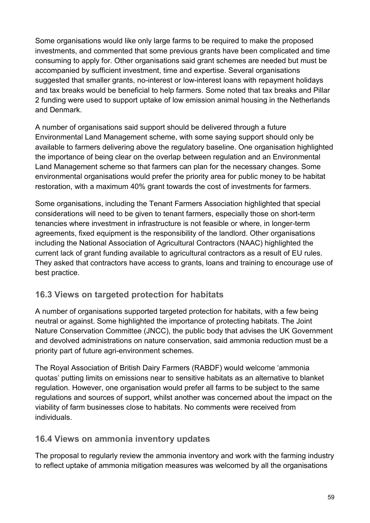Some organisations would like only large farms to be required to make the proposed investments, and commented that some previous grants have been complicated and time consuming to apply for. Other organisations said grant schemes are needed but must be accompanied by sufficient investment, time and expertise. Several organisations suggested that smaller grants, no-interest or low-interest loans with repayment holidays and tax breaks would be beneficial to help farmers. Some noted that tax breaks and Pillar 2 funding were used to support uptake of low emission animal housing in the Netherlands and Denmark.

A number of organisations said support should be delivered through a future Environmental Land Management scheme, with some saying support should only be available to farmers delivering above the regulatory baseline. One organisation highlighted the importance of being clear on the overlap between regulation and an Environmental Land Management scheme so that farmers can plan for the necessary changes. Some environmental organisations would prefer the priority area for public money to be habitat restoration, with a maximum 40% grant towards the cost of investments for farmers.

Some organisations, including the Tenant Farmers Association highlighted that special considerations will need to be given to tenant farmers, especially those on short-term tenancies where investment in infrastructure is not feasible or where, in longer-term agreements, fixed equipment is the responsibility of the landlord. Other organisations including the National Association of Agricultural Contractors (NAAC) highlighted the current lack of grant funding available to agricultural contractors as a result of EU rules. They asked that contractors have access to grants, loans and training to encourage use of best practice.

## **16.3 Views on targeted protection for habitats**

A number of organisations supported targeted protection for habitats, with a few being neutral or against. Some highlighted the importance of protecting habitats. The Joint Nature Conservation Committee (JNCC), the public body that advises the UK Government and devolved administrations on nature conservation, said ammonia reduction must be a priority part of future agri-environment schemes.

The Royal Association of British Dairy Farmers (RABDF) would welcome 'ammonia quotas' putting limits on emissions near to sensitive habitats as an alternative to blanket regulation. However, one organisation would prefer all farms to be subject to the same regulations and sources of support, whilst another was concerned about the impact on the viability of farm businesses close to habitats. No comments were received from individuals.

#### **16.4 Views on ammonia inventory updates**

The proposal to regularly review the ammonia inventory and work with the farming industry to reflect uptake of ammonia mitigation measures was welcomed by all the organisations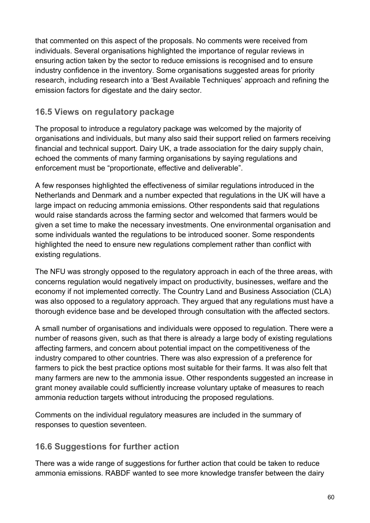that commented on this aspect of the proposals. No comments were received from individuals. Several organisations highlighted the importance of regular reviews in ensuring action taken by the sector to reduce emissions is recognised and to ensure industry confidence in the inventory. Some organisations suggested areas for priority research, including research into a 'Best Available Techniques' approach and refining the emission factors for digestate and the dairy sector.

## **16.5 Views on regulatory package**

The proposal to introduce a regulatory package was welcomed by the majority of organisations and individuals, but many also said their support relied on farmers receiving financial and technical support. Dairy UK, a trade association for the dairy supply chain, echoed the comments of many farming organisations by saying regulations and enforcement must be "proportionate, effective and deliverable".

A few responses highlighted the effectiveness of similar regulations introduced in the Netherlands and Denmark and a number expected that regulations in the UK will have a large impact on reducing ammonia emissions. Other respondents said that regulations would raise standards across the farming sector and welcomed that farmers would be given a set time to make the necessary investments. One environmental organisation and some individuals wanted the regulations to be introduced sooner. Some respondents highlighted the need to ensure new regulations complement rather than conflict with existing regulations.

The NFU was strongly opposed to the regulatory approach in each of the three areas, with concerns regulation would negatively impact on productivity, businesses, welfare and the economy if not implemented correctly. The Country Land and Business Association (CLA) was also opposed to a regulatory approach. They argued that any regulations must have a thorough evidence base and be developed through consultation with the affected sectors.

A small number of organisations and individuals were opposed to regulation. There were a number of reasons given, such as that there is already a large body of existing regulations affecting farmers, and concern about potential impact on the competitiveness of the industry compared to other countries. There was also expression of a preference for farmers to pick the best practice options most suitable for their farms. It was also felt that many farmers are new to the ammonia issue. Other respondents suggested an increase in grant money available could sufficiently increase voluntary uptake of measures to reach ammonia reduction targets without introducing the proposed regulations.

Comments on the individual regulatory measures are included in the summary of responses to question seventeen.

## **16.6 Suggestions for further action**

There was a wide range of suggestions for further action that could be taken to reduce ammonia emissions. RABDF wanted to see more knowledge transfer between the dairy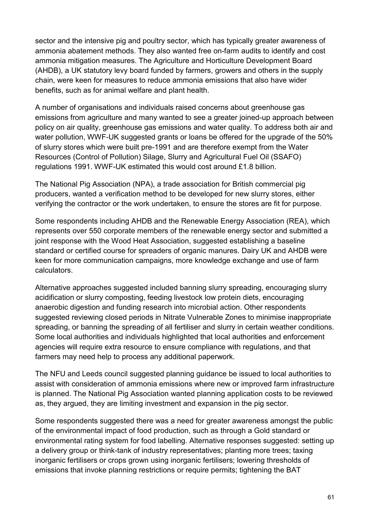sector and the intensive pig and poultry sector, which has typically greater awareness of ammonia abatement methods. They also wanted free on-farm audits to identify and cost ammonia mitigation measures. The Agriculture and Horticulture Development Board (AHDB), a UK statutory levy board funded by farmers, growers and others in the supply chain, were keen for measures to reduce ammonia emissions that also have wider benefits, such as for animal welfare and plant health.

A number of organisations and individuals raised concerns about greenhouse gas emissions from agriculture and many wanted to see a greater joined-up approach between policy on air quality, greenhouse gas emissions and water quality. To address both air and water pollution, WWF-UK suggested grants or loans be offered for the upgrade of the 50% of slurry stores which were built pre-1991 and are therefore exempt from the Water Resources (Control of Pollution) Silage, Slurry and Agricultural Fuel Oil (SSAFO) regulations 1991. WWF-UK estimated this would cost around £1.8 billion.

The National Pig Association (NPA), a trade association for British commercial pig producers, wanted a verification method to be developed for new slurry stores, either verifying the contractor or the work undertaken, to ensure the stores are fit for purpose.

Some respondents including AHDB and the Renewable Energy Association (REA), which represents over 550 corporate members of the renewable energy sector and submitted a joint response with the Wood Heat Association, suggested establishing a baseline standard or certified course for spreaders of organic manures. Dairy UK and AHDB were keen for more communication campaigns, more knowledge exchange and use of farm calculators.

Alternative approaches suggested included banning slurry spreading, encouraging slurry acidification or slurry composting, feeding livestock low protein diets, encouraging anaerobic digestion and funding research into microbial action. Other respondents suggested reviewing closed periods in Nitrate Vulnerable Zones to minimise inappropriate spreading, or banning the spreading of all fertiliser and slurry in certain weather conditions. Some local authorities and individuals highlighted that local authorities and enforcement agencies will require extra resource to ensure compliance with regulations, and that farmers may need help to process any additional paperwork.

The NFU and Leeds council suggested planning guidance be issued to local authorities to assist with consideration of ammonia emissions where new or improved farm infrastructure is planned. The National Pig Association wanted planning application costs to be reviewed as, they argued, they are limiting investment and expansion in the pig sector.

Some respondents suggested there was a need for greater awareness amongst the public of the environmental impact of food production, such as through a Gold standard or environmental rating system for food labelling. Alternative responses suggested: setting up a delivery group or think-tank of industry representatives; planting more trees; taxing inorganic fertilisers or crops grown using inorganic fertilisers; lowering thresholds of emissions that invoke planning restrictions or require permits; tightening the BAT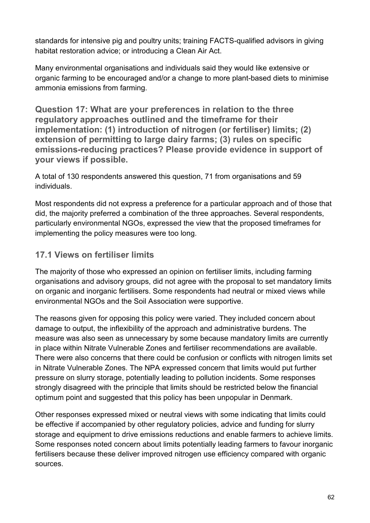standards for intensive pig and poultry units; training FACTS-qualified advisors in giving habitat restoration advice; or introducing a Clean Air Act.

Many environmental organisations and individuals said they would like extensive or organic farming to be encouraged and/or a change to more plant-based diets to minimise ammonia emissions from farming.

**Question 17: What are your preferences in relation to the three regulatory approaches outlined and the timeframe for their implementation: (1) introduction of nitrogen (or fertiliser) limits; (2) extension of permitting to large dairy farms; (3) rules on specific emissions-reducing practices? Please provide evidence in support of your views if possible.**

A total of 130 respondents answered this question, 71 from organisations and 59 individuals.

Most respondents did not express a preference for a particular approach and of those that did, the majority preferred a combination of the three approaches. Several respondents, particularly environmental NGOs, expressed the view that the proposed timeframes for implementing the policy measures were too long.

## **17.1 Views on fertiliser limits**

The majority of those who expressed an opinion on fertiliser limits, including farming organisations and advisory groups, did not agree with the proposal to set mandatory limits on organic and inorganic fertilisers. Some respondents had neutral or mixed views while environmental NGOs and the Soil Association were supportive.

The reasons given for opposing this policy were varied. They included concern about damage to output, the inflexibility of the approach and administrative burdens. The measure was also seen as unnecessary by some because mandatory limits are currently in place within Nitrate Vulnerable Zones and fertiliser recommendations are available. There were also concerns that there could be confusion or conflicts with nitrogen limits set in Nitrate Vulnerable Zones. The NPA expressed concern that limits would put further pressure on slurry storage, potentially leading to pollution incidents. Some responses strongly disagreed with the principle that limits should be restricted below the financial optimum point and suggested that this policy has been unpopular in Denmark.

Other responses expressed mixed or neutral views with some indicating that limits could be effective if accompanied by other regulatory policies, advice and funding for slurry storage and equipment to drive emissions reductions and enable farmers to achieve limits. Some responses noted concern about limits potentially leading farmers to favour inorganic fertilisers because these deliver improved nitrogen use efficiency compared with organic sources.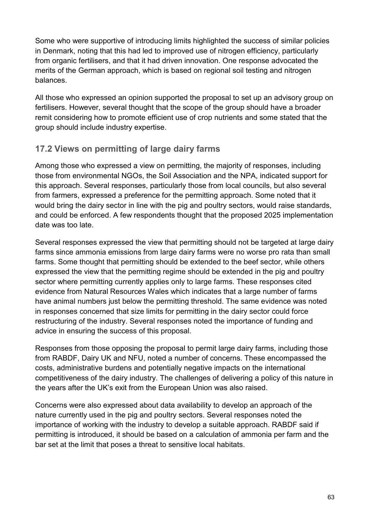Some who were supportive of introducing limits highlighted the success of similar policies in Denmark, noting that this had led to improved use of nitrogen efficiency, particularly from organic fertilisers, and that it had driven innovation. One response advocated the merits of the German approach, which is based on regional soil testing and nitrogen balances.

All those who expressed an opinion supported the proposal to set up an advisory group on fertilisers. However, several thought that the scope of the group should have a broader remit considering how to promote efficient use of crop nutrients and some stated that the group should include industry expertise.

## **17.2 Views on permitting of large dairy farms**

Among those who expressed a view on permitting, the majority of responses, including those from environmental NGOs, the Soil Association and the NPA, indicated support for this approach. Several responses, particularly those from local councils, but also several from farmers, expressed a preference for the permitting approach. Some noted that it would bring the dairy sector in line with the pig and poultry sectors, would raise standards, and could be enforced. A few respondents thought that the proposed 2025 implementation date was too late.

Several responses expressed the view that permitting should not be targeted at large dairy farms since ammonia emissions from large dairy farms were no worse pro rata than small farms. Some thought that permitting should be extended to the beef sector, while others expressed the view that the permitting regime should be extended in the pig and poultry sector where permitting currently applies only to large farms. These responses cited evidence from Natural Resources Wales which indicates that a large number of farms have animal numbers just below the permitting threshold. The same evidence was noted in responses concerned that size limits for permitting in the dairy sector could force restructuring of the industry. Several responses noted the importance of funding and advice in ensuring the success of this proposal.

Responses from those opposing the proposal to permit large dairy farms, including those from RABDF, Dairy UK and NFU, noted a number of concerns. These encompassed the costs, administrative burdens and potentially negative impacts on the international competitiveness of the dairy industry. The challenges of delivering a policy of this nature in the years after the UK's exit from the European Union was also raised.

Concerns were also expressed about data availability to develop an approach of the nature currently used in the pig and poultry sectors. Several responses noted the importance of working with the industry to develop a suitable approach. RABDF said if permitting is introduced, it should be based on a calculation of ammonia per farm and the bar set at the limit that poses a threat to sensitive local habitats.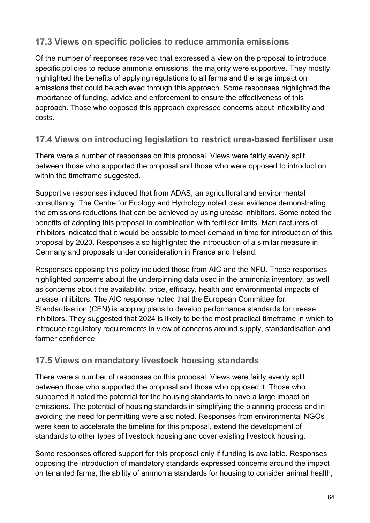## **17.3 Views on specific policies to reduce ammonia emissions**

Of the number of responses received that expressed a view on the proposal to introduce specific policies to reduce ammonia emissions, the majority were supportive. They mostly highlighted the benefits of applying regulations to all farms and the large impact on emissions that could be achieved through this approach. Some responses highlighted the importance of funding, advice and enforcement to ensure the effectiveness of this approach. Those who opposed this approach expressed concerns about inflexibility and costs.

## **17.4 Views on introducing legislation to restrict urea-based fertiliser use**

There were a number of responses on this proposal. Views were fairly evenly split between those who supported the proposal and those who were opposed to introduction within the timeframe suggested.

Supportive responses included that from ADAS, an agricultural and environmental consultancy. The Centre for Ecology and Hydrology noted clear evidence demonstrating the emissions reductions that can be achieved by using urease inhibitors. Some noted the benefits of adopting this proposal in combination with fertiliser limits. Manufacturers of inhibitors indicated that it would be possible to meet demand in time for introduction of this proposal by 2020. Responses also highlighted the introduction of a similar measure in Germany and proposals under consideration in France and Ireland.

Responses opposing this policy included those from AIC and the NFU. These responses highlighted concerns about the underpinning data used in the ammonia inventory, as well as concerns about the availability, price, efficacy, health and environmental impacts of urease inhibitors. The AIC response noted that the European Committee for Standardisation (CEN) is scoping plans to develop performance standards for urease inhibitors. They suggested that 2024 is likely to be the most practical timeframe in which to introduce regulatory requirements in view of concerns around supply, standardisation and farmer confidence.

## **17.5 Views on mandatory livestock housing standards**

There were a number of responses on this proposal. Views were fairly evenly split between those who supported the proposal and those who opposed it. Those who supported it noted the potential for the housing standards to have a large impact on emissions. The potential of housing standards in simplifying the planning process and in avoiding the need for permitting were also noted. Responses from environmental NGOs were keen to accelerate the timeline for this proposal, extend the development of standards to other types of livestock housing and cover existing livestock housing.

Some responses offered support for this proposal only if funding is available. Responses opposing the introduction of mandatory standards expressed concerns around the impact on tenanted farms, the ability of ammonia standards for housing to consider animal health,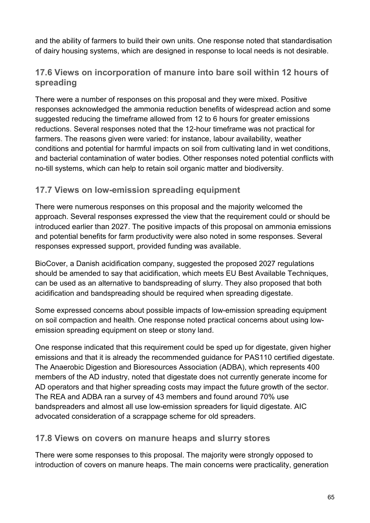and the ability of farmers to build their own units. One response noted that standardisation of dairy housing systems, which are designed in response to local needs is not desirable.

## **17.6 Views on incorporation of manure into bare soil within 12 hours of spreading**

There were a number of responses on this proposal and they were mixed. Positive responses acknowledged the ammonia reduction benefits of widespread action and some suggested reducing the timeframe allowed from 12 to 6 hours for greater emissions reductions. Several responses noted that the 12-hour timeframe was not practical for farmers. The reasons given were varied: for instance, labour availability, weather conditions and potential for harmful impacts on soil from cultivating land in wet conditions, and bacterial contamination of water bodies. Other responses noted potential conflicts with no-till systems, which can help to retain soil organic matter and biodiversity.

## **17.7 Views on low-emission spreading equipment**

There were numerous responses on this proposal and the majority welcomed the approach. Several responses expressed the view that the requirement could or should be introduced earlier than 2027. The positive impacts of this proposal on ammonia emissions and potential benefits for farm productivity were also noted in some responses. Several responses expressed support, provided funding was available.

BioCover, a Danish acidification company, suggested the proposed 2027 regulations should be amended to say that acidification, which meets EU Best Available Techniques, can be used as an alternative to bandspreading of slurry. They also proposed that both acidification and bandspreading should be required when spreading digestate.

Some expressed concerns about possible impacts of low-emission spreading equipment on soil compaction and health. One response noted practical concerns about using lowemission spreading equipment on steep or stony land.

One response indicated that this requirement could be sped up for digestate, given higher emissions and that it is already the recommended guidance for PAS110 certified digestate. The Anaerobic Digestion and Bioresources Association (ADBA), which represents 400 members of the AD industry, noted that digestate does not currently generate income for AD operators and that higher spreading costs may impact the future growth of the sector. The REA and ADBA ran a survey of 43 members and found around 70% use bandspreaders and almost all use low-emission spreaders for liquid digestate. AIC advocated consideration of a scrappage scheme for old spreaders.

#### **17.8 Views on covers on manure heaps and slurry stores**

There were some responses to this proposal. The majority were strongly opposed to introduction of covers on manure heaps. The main concerns were practicality, generation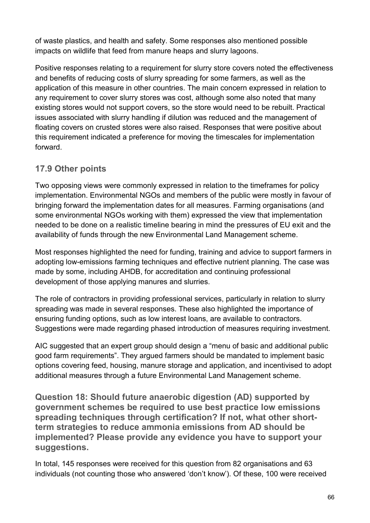of waste plastics, and health and safety. Some responses also mentioned possible impacts on wildlife that feed from manure heaps and slurry lagoons.

Positive responses relating to a requirement for slurry store covers noted the effectiveness and benefits of reducing costs of slurry spreading for some farmers, as well as the application of this measure in other countries. The main concern expressed in relation to any requirement to cover slurry stores was cost, although some also noted that many existing stores would not support covers, so the store would need to be rebuilt. Practical issues associated with slurry handling if dilution was reduced and the management of floating covers on crusted stores were also raised. Responses that were positive about this requirement indicated a preference for moving the timescales for implementation forward.

## **17.9 Other points**

Two opposing views were commonly expressed in relation to the timeframes for policy implementation. Environmental NGOs and members of the public were mostly in favour of bringing forward the implementation dates for all measures. Farming organisations (and some environmental NGOs working with them) expressed the view that implementation needed to be done on a realistic timeline bearing in mind the pressures of EU exit and the availability of funds through the new Environmental Land Management scheme.

Most responses highlighted the need for funding, training and advice to support farmers in adopting low-emissions farming techniques and effective nutrient planning. The case was made by some, including AHDB, for accreditation and continuing professional development of those applying manures and slurries.

The role of contractors in providing professional services, particularly in relation to slurry spreading was made in several responses. These also highlighted the importance of ensuring funding options, such as low interest loans, are available to contractors. Suggestions were made regarding phased introduction of measures requiring investment.

AIC suggested that an expert group should design a "menu of basic and additional public good farm requirements". They argued farmers should be mandated to implement basic options covering feed, housing, manure storage and application, and incentivised to adopt additional measures through a future Environmental Land Management scheme.

**Question 18: Should future anaerobic digestion (AD) supported by government schemes be required to use best practice low emissions spreading techniques through certification? If not, what other shortterm strategies to reduce ammonia emissions from AD should be implemented? Please provide any evidence you have to support your suggestions.**

In total, 145 responses were received for this question from 82 organisations and 63 individuals (not counting those who answered 'don't know'). Of these, 100 were received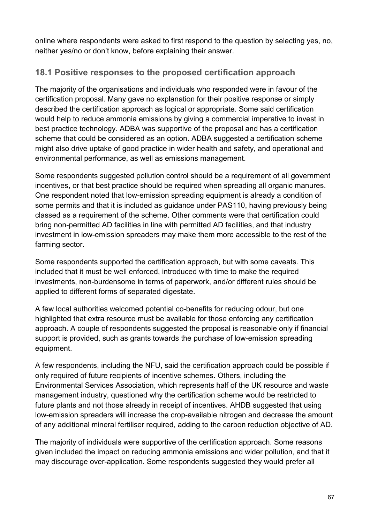online where respondents were asked to first respond to the question by selecting yes, no, neither yes/no or don't know, before explaining their answer.

# **18.1 Positive responses to the proposed certification approach**

The majority of the organisations and individuals who responded were in favour of the certification proposal. Many gave no explanation for their positive response or simply described the certification approach as logical or appropriate. Some said certification would help to reduce ammonia emissions by giving a commercial imperative to invest in best practice technology. ADBA was supportive of the proposal and has a certification scheme that could be considered as an option. ADBA suggested a certification scheme might also drive uptake of good practice in wider health and safety, and operational and environmental performance, as well as emissions management.

Some respondents suggested pollution control should be a requirement of all government incentives, or that best practice should be required when spreading all organic manures. One respondent noted that low-emission spreading equipment is already a condition of some permits and that it is included as guidance under PAS110, having previously being classed as a requirement of the scheme. Other comments were that certification could bring non-permitted AD facilities in line with permitted AD facilities, and that industry investment in low-emission spreaders may make them more accessible to the rest of the farming sector.

Some respondents supported the certification approach, but with some caveats. This included that it must be well enforced, introduced with time to make the required investments, non-burdensome in terms of paperwork, and/or different rules should be applied to different forms of separated digestate.

A few local authorities welcomed potential co-benefits for reducing odour, but one highlighted that extra resource must be available for those enforcing any certification approach. A couple of respondents suggested the proposal is reasonable only if financial support is provided, such as grants towards the purchase of low-emission spreading equipment.

A few respondents, including the NFU, said the certification approach could be possible if only required of future recipients of incentive schemes. Others, including the Environmental Services Association, which represents half of the UK resource and waste management industry, questioned why the certification scheme would be restricted to future plants and not those already in receipt of incentives. AHDB suggested that using low-emission spreaders will increase the crop-available nitrogen and decrease the amount of any additional mineral fertiliser required, adding to the carbon reduction objective of AD.

The majority of individuals were supportive of the certification approach. Some reasons given included the impact on reducing ammonia emissions and wider pollution, and that it may discourage over-application. Some respondents suggested they would prefer all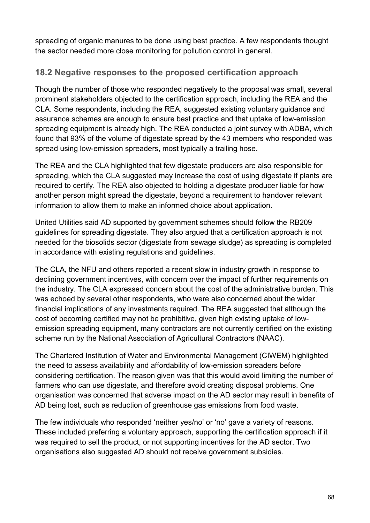spreading of organic manures to be done using best practice. A few respondents thought the sector needed more close monitoring for pollution control in general.

## **18.2 Negative responses to the proposed certification approach**

Though the number of those who responded negatively to the proposal was small, several prominent stakeholders objected to the certification approach, including the REA and the CLA. Some respondents, including the REA, suggested existing voluntary guidance and assurance schemes are enough to ensure best practice and that uptake of low-emission spreading equipment is already high. The REA conducted a joint survey with ADBA, which found that 93% of the volume of digestate spread by the 43 members who responded was spread using low-emission spreaders, most typically a trailing hose.

The REA and the CLA highlighted that few digestate producers are also responsible for spreading, which the CLA suggested may increase the cost of using digestate if plants are required to certify. The REA also objected to holding a digestate producer liable for how another person might spread the digestate, beyond a requirement to handover relevant information to allow them to make an informed choice about application.

United Utilities said AD supported by government schemes should follow the RB209 guidelines for spreading digestate. They also argued that a certification approach is not needed for the biosolids sector (digestate from sewage sludge) as spreading is completed in accordance with existing regulations and guidelines.

The CLA, the NFU and others reported a recent slow in industry growth in response to declining government incentives, with concern over the impact of further requirements on the industry. The CLA expressed concern about the cost of the administrative burden. This was echoed by several other respondents, who were also concerned about the wider financial implications of any investments required. The REA suggested that although the cost of becoming certified may not be prohibitive, given high existing uptake of lowemission spreading equipment, many contractors are not currently certified on the existing scheme run by the National Association of Agricultural Contractors (NAAC).

The Chartered Institution of Water and Environmental Management (CIWEM) highlighted the need to assess availability and affordability of low-emission spreaders before considering certification. The reason given was that this would avoid limiting the number of farmers who can use digestate, and therefore avoid creating disposal problems. One organisation was concerned that adverse impact on the AD sector may result in benefits of AD being lost, such as reduction of greenhouse gas emissions from food waste.

The few individuals who responded 'neither yes/no' or 'no' gave a variety of reasons. These included preferring a voluntary approach, supporting the certification approach if it was required to sell the product, or not supporting incentives for the AD sector. Two organisations also suggested AD should not receive government subsidies.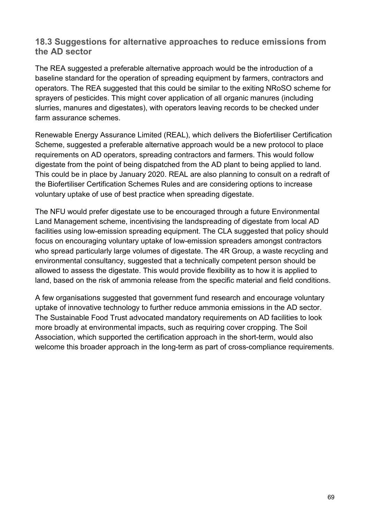#### **18.3 Suggestions for alternative approaches to reduce emissions from the AD sector**

The REA suggested a preferable alternative approach would be the introduction of a baseline standard for the operation of spreading equipment by farmers, contractors and operators. The REA suggested that this could be similar to the exiting NRoSO scheme for sprayers of pesticides. This might cover application of all organic manures (including slurries, manures and digestates), with operators leaving records to be checked under farm assurance schemes.

Renewable Energy Assurance Limited (REAL), which delivers the Biofertiliser Certification Scheme, suggested a preferable alternative approach would be a new protocol to place requirements on AD operators, spreading contractors and farmers. This would follow digestate from the point of being dispatched from the AD plant to being applied to land. This could be in place by January 2020. REAL are also planning to consult on a redraft of the Biofertiliser Certification Schemes Rules and are considering options to increase voluntary uptake of use of best practice when spreading digestate.

The NFU would prefer digestate use to be encouraged through a future Environmental Land Management scheme, incentivising the landspreading of digestate from local AD facilities using low-emission spreading equipment. The CLA suggested that policy should focus on encouraging voluntary uptake of low-emission spreaders amongst contractors who spread particularly large volumes of digestate. The 4R Group, a waste recycling and environmental consultancy, suggested that a technically competent person should be allowed to assess the digestate. This would provide flexibility as to how it is applied to land, based on the risk of ammonia release from the specific material and field conditions.

A few organisations suggested that government fund research and encourage voluntary uptake of innovative technology to further reduce ammonia emissions in the AD sector. The Sustainable Food Trust advocated mandatory requirements on AD facilities to look more broadly at environmental impacts, such as requiring cover cropping. The Soil Association, which supported the certification approach in the short-term, would also welcome this broader approach in the long-term as part of cross-compliance requirements.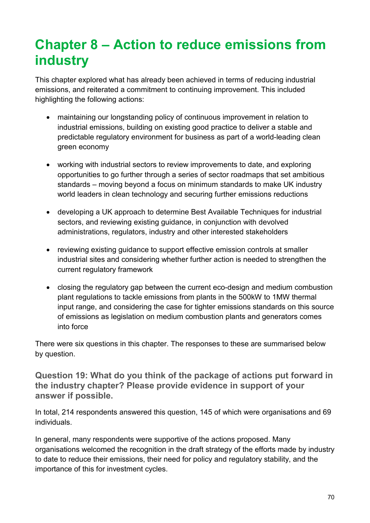# **Chapter 8 – Action to reduce emissions from industry**

This chapter explored what has already been achieved in terms of reducing industrial emissions, and reiterated a commitment to continuing improvement. This included highlighting the following actions:

- maintaining our longstanding policy of continuous improvement in relation to industrial emissions, building on existing good practice to deliver a stable and predictable regulatory environment for business as part of a world-leading clean green economy
- working with industrial sectors to review improvements to date, and exploring opportunities to go further through a series of sector roadmaps that set ambitious standards – moving beyond a focus on minimum standards to make UK industry world leaders in clean technology and securing further emissions reductions
- developing a UK approach to determine Best Available Techniques for industrial sectors, and reviewing existing guidance, in conjunction with devolved administrations, regulators, industry and other interested stakeholders
- reviewing existing guidance to support effective emission controls at smaller industrial sites and considering whether further action is needed to strengthen the current regulatory framework
- closing the regulatory gap between the current eco-design and medium combustion plant regulations to tackle emissions from plants in the 500kW to 1MW thermal input range, and considering the case for tighter emissions standards on this source of emissions as legislation on medium combustion plants and generators comes into force

There were six questions in this chapter. The responses to these are summarised below by question.

**Question 19: What do you think of the package of actions put forward in the industry chapter? Please provide evidence in support of your answer if possible.**

In total, 214 respondents answered this question, 145 of which were organisations and 69 individuals.

In general, many respondents were supportive of the actions proposed. Many organisations welcomed the recognition in the draft strategy of the efforts made by industry to date to reduce their emissions, their need for policy and regulatory stability, and the importance of this for investment cycles.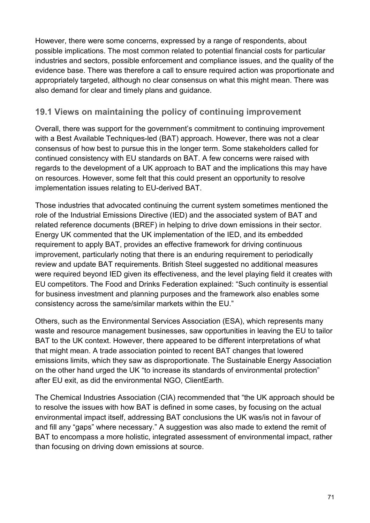However, there were some concerns, expressed by a range of respondents, about possible implications. The most common related to potential financial costs for particular industries and sectors, possible enforcement and compliance issues, and the quality of the evidence base. There was therefore a call to ensure required action was proportionate and appropriately targeted, although no clear consensus on what this might mean. There was also demand for clear and timely plans and guidance.

## **19.1 Views on maintaining the policy of continuing improvement**

Overall, there was support for the government's commitment to continuing improvement with a Best Available Techniques-led (BAT) approach. However, there was not a clear consensus of how best to pursue this in the longer term. Some stakeholders called for continued consistency with EU standards on BAT. A few concerns were raised with regards to the development of a UK approach to BAT and the implications this may have on resources. However, some felt that this could present an opportunity to resolve implementation issues relating to EU-derived BAT.

Those industries that advocated continuing the current system sometimes mentioned the role of the Industrial Emissions Directive (IED) and the associated system of BAT and related reference documents (BREF) in helping to drive down emissions in their sector. Energy UK commented that the UK implementation of the IED, and its embedded requirement to apply BAT, provides an effective framework for driving continuous improvement, particularly noting that there is an enduring requirement to periodically review and update BAT requirements. British Steel suggested no additional measures were required beyond IED given its effectiveness, and the level playing field it creates with EU competitors. The Food and Drinks Federation explained: "Such continuity is essential for business investment and planning purposes and the framework also enables some consistency across the same/similar markets within the EU."

Others, such as the Environmental Services Association (ESA), which represents many waste and resource management businesses, saw opportunities in leaving the EU to tailor BAT to the UK context. However, there appeared to be different interpretations of what that might mean. A trade association pointed to recent BAT changes that lowered emissions limits, which they saw as disproportionate. The Sustainable Energy Association on the other hand urged the UK "to increase its standards of environmental protection" after EU exit, as did the environmental NGO, ClientEarth.

The Chemical Industries Association (CIA) recommended that "the UK approach should be to resolve the issues with how BAT is defined in some cases, by focusing on the actual environmental impact itself, addressing BAT conclusions the UK was/is not in favour of and fill any "gaps" where necessary." A suggestion was also made to extend the remit of BAT to encompass a more holistic, integrated assessment of environmental impact, rather than focusing on driving down emissions at source.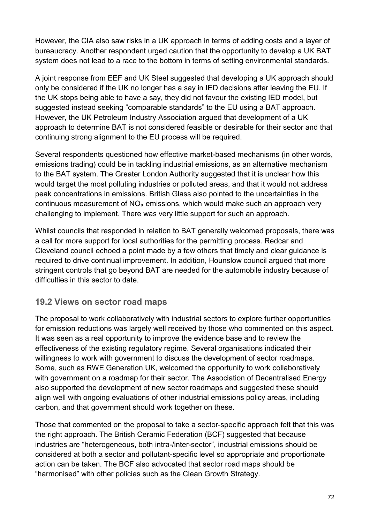However, the CIA also saw risks in a UK approach in terms of adding costs and a layer of bureaucracy. Another respondent urged caution that the opportunity to develop a UK BAT system does not lead to a race to the bottom in terms of setting environmental standards.

A joint response from EEF and UK Steel suggested that developing a UK approach should only be considered if the UK no longer has a say in IED decisions after leaving the EU. If the UK stops being able to have a say, they did not favour the existing IED model, but suggested instead seeking "comparable standards" to the EU using a BAT approach. However, the UK Petroleum Industry Association argued that development of a UK approach to determine BAT is not considered feasible or desirable for their sector and that continuing strong alignment to the EU process will be required.

Several respondents questioned how effective market-based mechanisms (in other words, emissions trading) could be in tackling industrial emissions, as an alternative mechanism to the BAT system. The Greater London Authority suggested that it is unclear how this would target the most polluting industries or polluted areas, and that it would not address peak concentrations in emissions. British Glass also pointed to the uncertainties in the continuous measurement of  $NO<sub>x</sub>$  emissions, which would make such an approach very challenging to implement. There was very little support for such an approach.

Whilst councils that responded in relation to BAT generally welcomed proposals, there was a call for more support for local authorities for the permitting process. Redcar and Cleveland council echoed a point made by a few others that timely and clear guidance is required to drive continual improvement. In addition, Hounslow council argued that more stringent controls that go beyond BAT are needed for the automobile industry because of difficulties in this sector to date.

## **19.2 Views on sector road maps**

The proposal to work collaboratively with industrial sectors to explore further opportunities for emission reductions was largely well received by those who commented on this aspect. It was seen as a real opportunity to improve the evidence base and to review the effectiveness of the existing regulatory regime. Several organisations indicated their willingness to work with government to discuss the development of sector roadmaps. Some, such as RWE Generation UK, welcomed the opportunity to work collaboratively with government on a roadmap for their sector. The Association of Decentralised Energy also supported the development of new sector roadmaps and suggested these should align well with ongoing evaluations of other industrial emissions policy areas, including carbon, and that government should work together on these.

Those that commented on the proposal to take a sector-specific approach felt that this was the right approach. The British Ceramic Federation (BCF) suggested that because industries are "heterogeneous, both intra-/inter-sector", industrial emissions should be considered at both a sector and pollutant-specific level so appropriate and proportionate action can be taken. The BCF also advocated that sector road maps should be "harmonised" with other policies such as the Clean Growth Strategy.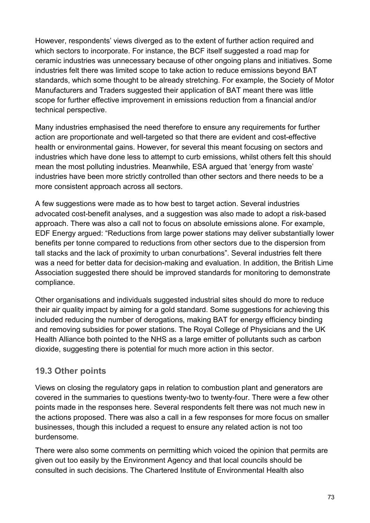However, respondents' views diverged as to the extent of further action required and which sectors to incorporate. For instance, the BCF itself suggested a road map for ceramic industries was unnecessary because of other ongoing plans and initiatives. Some industries felt there was limited scope to take action to reduce emissions beyond BAT standards, which some thought to be already stretching. For example, the Society of Motor Manufacturers and Traders suggested their application of BAT meant there was little scope for further effective improvement in emissions reduction from a financial and/or technical perspective.

Many industries emphasised the need therefore to ensure any requirements for further action are proportionate and well-targeted so that there are evident and cost-effective health or environmental gains. However, for several this meant focusing on sectors and industries which have done less to attempt to curb emissions, whilst others felt this should mean the most polluting industries. Meanwhile, ESA argued that 'energy from waste' industries have been more strictly controlled than other sectors and there needs to be a more consistent approach across all sectors.

A few suggestions were made as to how best to target action. Several industries advocated cost-benefit analyses, and a suggestion was also made to adopt a risk-based approach. There was also a call not to focus on absolute emissions alone. For example, EDF Energy argued: "Reductions from large power stations may deliver substantially lower benefits per tonne compared to reductions from other sectors due to the dispersion from tall stacks and the lack of proximity to urban conurbations". Several industries felt there was a need for better data for decision-making and evaluation. In addition, the British Lime Association suggested there should be improved standards for monitoring to demonstrate compliance.

Other organisations and individuals suggested industrial sites should do more to reduce their air quality impact by aiming for a gold standard. Some suggestions for achieving this included reducing the number of derogations, making BAT for energy efficiency binding and removing subsidies for power stations. The Royal College of Physicians and the UK Health Alliance both pointed to the NHS as a large emitter of pollutants such as carbon dioxide, suggesting there is potential for much more action in this sector.

## **19.3 Other points**

Views on closing the regulatory gaps in relation to combustion plant and generators are covered in the summaries to questions twenty-two to twenty-four. There were a few other points made in the responses here. Several respondents felt there was not much new in the actions proposed. There was also a call in a few responses for more focus on smaller businesses, though this included a request to ensure any related action is not too burdensome.

There were also some comments on permitting which voiced the opinion that permits are given out too easily by the Environment Agency and that local councils should be consulted in such decisions. The Chartered Institute of Environmental Health also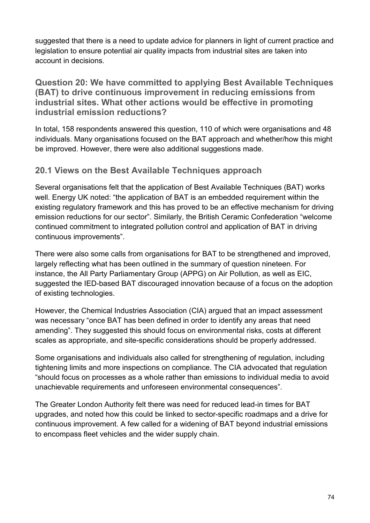suggested that there is a need to update advice for planners in light of current practice and legislation to ensure potential air quality impacts from industrial sites are taken into account in decisions.

**Question 20: We have committed to applying Best Available Techniques (BAT) to drive continuous improvement in reducing emissions from industrial sites. What other actions would be effective in promoting industrial emission reductions?**

In total, 158 respondents answered this question, 110 of which were organisations and 48 individuals. Many organisations focused on the BAT approach and whether/how this might be improved. However, there were also additional suggestions made.

## **20.1 Views on the Best Available Techniques approach**

Several organisations felt that the application of Best Available Techniques (BAT) works well. Energy UK noted: "the application of BAT is an embedded requirement within the existing regulatory framework and this has proved to be an effective mechanism for driving emission reductions for our sector". Similarly, the British Ceramic Confederation "welcome continued commitment to integrated pollution control and application of BAT in driving continuous improvements".

There were also some calls from organisations for BAT to be strengthened and improved, largely reflecting what has been outlined in the summary of question nineteen. For instance, the All Party Parliamentary Group (APPG) on Air Pollution, as well as EIC, suggested the IED-based BAT discouraged innovation because of a focus on the adoption of existing technologies.

However, the Chemical Industries Association (CIA) argued that an impact assessment was necessary "once BAT has been defined in order to identify any areas that need amending". They suggested this should focus on environmental risks, costs at different scales as appropriate, and site-specific considerations should be properly addressed.

Some organisations and individuals also called for strengthening of regulation, including tightening limits and more inspections on compliance. The CIA advocated that regulation "should focus on processes as a whole rather than emissions to individual media to avoid unachievable requirements and unforeseen environmental consequences".

The Greater London Authority felt there was need for reduced lead-in times for BAT upgrades, and noted how this could be linked to sector-specific roadmaps and a drive for continuous improvement. A few called for a widening of BAT beyond industrial emissions to encompass fleet vehicles and the wider supply chain.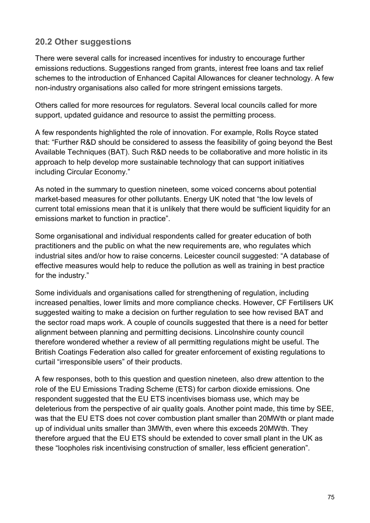## **20.2 Other suggestions**

There were several calls for increased incentives for industry to encourage further emissions reductions. Suggestions ranged from grants, interest free loans and tax relief schemes to the introduction of Enhanced Capital Allowances for cleaner technology. A few non-industry organisations also called for more stringent emissions targets.

Others called for more resources for regulators. Several local councils called for more support, updated guidance and resource to assist the permitting process.

A few respondents highlighted the role of innovation. For example, Rolls Royce stated that: "Further R&D should be considered to assess the feasibility of going beyond the Best Available Techniques (BAT). Such R&D needs to be collaborative and more holistic in its approach to help develop more sustainable technology that can support initiatives including Circular Economy."

As noted in the summary to question nineteen, some voiced concerns about potential market-based measures for other pollutants. Energy UK noted that "the low levels of current total emissions mean that it is unlikely that there would be sufficient liquidity for an emissions market to function in practice".

Some organisational and individual respondents called for greater education of both practitioners and the public on what the new requirements are, who regulates which industrial sites and/or how to raise concerns. Leicester council suggested: "A database of effective measures would help to reduce the pollution as well as training in best practice for the industry."

Some individuals and organisations called for strengthening of regulation, including increased penalties, lower limits and more compliance checks. However, CF Fertilisers UK suggested waiting to make a decision on further regulation to see how revised BAT and the sector road maps work. A couple of councils suggested that there is a need for better alignment between planning and permitting decisions. Lincolnshire county council therefore wondered whether a review of all permitting regulations might be useful. The British Coatings Federation also called for greater enforcement of existing regulations to curtail "irresponsible users" of their products.

A few responses, both to this question and question nineteen, also drew attention to the role of the EU Emissions Trading Scheme (ETS) for carbon dioxide emissions. One respondent suggested that the EU ETS incentivises biomass use, which may be deleterious from the perspective of air quality goals. Another point made, this time by SEE, was that the EU ETS does not cover combustion plant smaller than 20MWth or plant made up of individual units smaller than 3MWth, even where this exceeds 20MWth. They therefore argued that the EU ETS should be extended to cover small plant in the UK as these "loopholes risk incentivising construction of smaller, less efficient generation".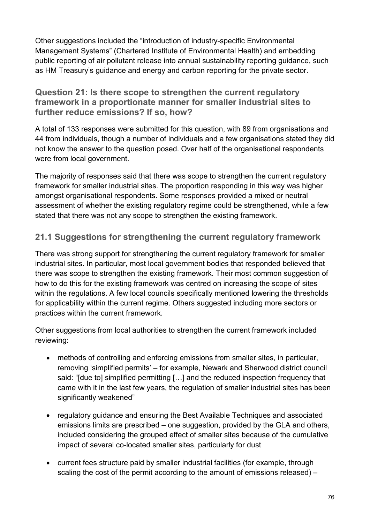Other suggestions included the "introduction of industry-specific Environmental Management Systems" (Chartered Institute of Environmental Health) and embedding public reporting of air pollutant release into annual sustainability reporting guidance, such as HM Treasury's guidance and energy and carbon reporting for the private sector.

#### **Question 21: Is there scope to strengthen the current regulatory framework in a proportionate manner for smaller industrial sites to further reduce emissions? If so, how?**

A total of 133 responses were submitted for this question, with 89 from organisations and 44 from individuals, though a number of individuals and a few organisations stated they did not know the answer to the question posed. Over half of the organisational respondents were from local government.

The majority of responses said that there was scope to strengthen the current regulatory framework for smaller industrial sites. The proportion responding in this way was higher amongst organisational respondents. Some responses provided a mixed or neutral assessment of whether the existing regulatory regime could be strengthened, while a few stated that there was not any scope to strengthen the existing framework.

## **21.1 Suggestions for strengthening the current regulatory framework**

There was strong support for strengthening the current regulatory framework for smaller industrial sites. In particular, most local government bodies that responded believed that there was scope to strengthen the existing framework. Their most common suggestion of how to do this for the existing framework was centred on increasing the scope of sites within the regulations. A few local councils specifically mentioned lowering the thresholds for applicability within the current regime. Others suggested including more sectors or practices within the current framework.

Other suggestions from local authorities to strengthen the current framework included reviewing:

- methods of controlling and enforcing emissions from smaller sites, in particular, removing 'simplified permits' – for example, Newark and Sherwood district council said: "[due to] simplified permitting […] and the reduced inspection frequency that came with it in the last few years, the regulation of smaller industrial sites has been significantly weakened"
- regulatory guidance and ensuring the Best Available Techniques and associated emissions limits are prescribed – one suggestion, provided by the GLA and others, included considering the grouped effect of smaller sites because of the cumulative impact of several co-located smaller sites, particularly for dust
- current fees structure paid by smaller industrial facilities (for example, through scaling the cost of the permit according to the amount of emissions released) –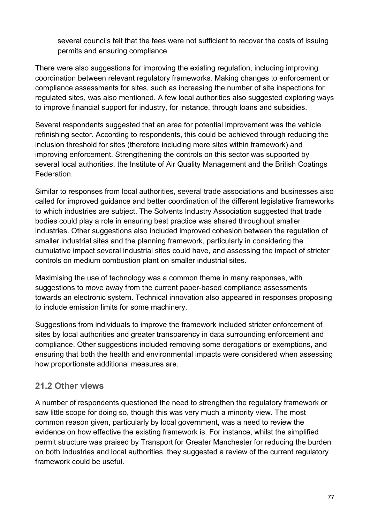several councils felt that the fees were not sufficient to recover the costs of issuing permits and ensuring compliance

There were also suggestions for improving the existing regulation, including improving coordination between relevant regulatory frameworks. Making changes to enforcement or compliance assessments for sites, such as increasing the number of site inspections for regulated sites, was also mentioned. A few local authorities also suggested exploring ways to improve financial support for industry, for instance, through loans and subsidies.

Several respondents suggested that an area for potential improvement was the vehicle refinishing sector. According to respondents, this could be achieved through reducing the inclusion threshold for sites (therefore including more sites within framework) and improving enforcement. Strengthening the controls on this sector was supported by several local authorities, the Institute of Air Quality Management and the British Coatings Federation.

Similar to responses from local authorities, several trade associations and businesses also called for improved guidance and better coordination of the different legislative frameworks to which industries are subject. The Solvents Industry Association suggested that trade bodies could play a role in ensuring best practice was shared throughout smaller industries. Other suggestions also included improved cohesion between the regulation of smaller industrial sites and the planning framework, particularly in considering the cumulative impact several industrial sites could have, and assessing the impact of stricter controls on medium combustion plant on smaller industrial sites.

Maximising the use of technology was a common theme in many responses, with suggestions to move away from the current paper-based compliance assessments towards an electronic system. Technical innovation also appeared in responses proposing to include emission limits for some machinery.

Suggestions from individuals to improve the framework included stricter enforcement of sites by local authorities and greater transparency in data surrounding enforcement and compliance. Other suggestions included removing some derogations or exemptions, and ensuring that both the health and environmental impacts were considered when assessing how proportionate additional measures are.

## **21.2 Other views**

A number of respondents questioned the need to strengthen the regulatory framework or saw little scope for doing so, though this was very much a minority view. The most common reason given, particularly by local government, was a need to review the evidence on how effective the existing framework is. For instance, whilst the simplified permit structure was praised by Transport for Greater Manchester for reducing the burden on both Industries and local authorities, they suggested a review of the current regulatory framework could be useful.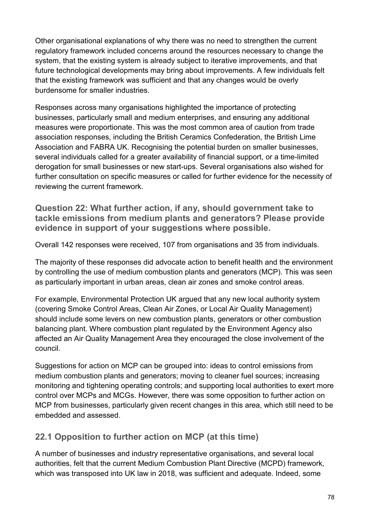Other organisational explanations of why there was no need to strengthen the current regulatory framework included concerns around the resources necessary to change the system, that the existing system is already subject to iterative improvements, and that future technological developments may bring about improvements. A few individuals felt that the existing framework was sufficient and that any changes would be overly burdensome for smaller industries.

Responses across many organisations highlighted the importance of protecting businesses, particularly small and medium enterprises, and ensuring any additional measures were proportionate. This was the most common area of caution from trade association responses, including the British Ceramics Confederation, the British Lime Association and FABRA UK. Recognising the potential burden on smaller businesses, several individuals called for a greater availability of financial support, or a time-limited derogation for small businesses or new start-ups. Several organisations also wished for further consultation on specific measures or called for further evidence for the necessity of reviewing the current framework.

**Question 22: What further action, if any, should government take to tackle emissions from medium plants and generators? Please provide evidence in support of your suggestions where possible.**

Overall 142 responses were received, 107 from organisations and 35 from individuals.

The majority of these responses did advocate action to benefit health and the environment by controlling the use of medium combustion plants and generators (MCP). This was seen as particularly important in urban areas, clean air zones and smoke control areas.

For example, Environmental Protection UK argued that any new local authority system (covering Smoke Control Areas, Clean Air Zones, or Local Air Quality Management) should include some levers on new combustion plants, generators or other combustion balancing plant. Where combustion plant regulated by the Environment Agency also affected an Air Quality Management Area they encouraged the close involvement of the council.

Suggestions for action on MCP can be grouped into: ideas to control emissions from medium combustion plants and generators; moving to cleaner fuel sources; increasing monitoring and tightening operating controls; and supporting local authorities to exert more control over MCPs and MCGs. However, there was some opposition to further action on MCP from businesses, particularly given recent changes in this area, which still need to be embedded and assessed.

## **22.1 Opposition to further action on MCP (at this time)**

A number of businesses and industry representative organisations, and several local authorities, felt that the current Medium Combustion Plant Directive (MCPD) framework, which was transposed into UK law in 2018, was sufficient and adequate. Indeed, some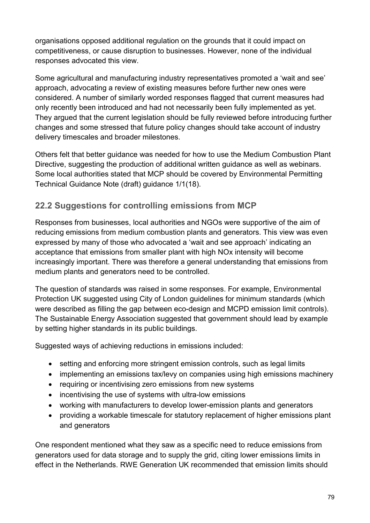organisations opposed additional regulation on the grounds that it could impact on competitiveness, or cause disruption to businesses. However, none of the individual responses advocated this view.

Some agricultural and manufacturing industry representatives promoted a 'wait and see' approach, advocating a review of existing measures before further new ones were considered. A number of similarly worded responses flagged that current measures had only recently been introduced and had not necessarily been fully implemented as yet. They argued that the current legislation should be fully reviewed before introducing further changes and some stressed that future policy changes should take account of industry delivery timescales and broader milestones.

Others felt that better guidance was needed for how to use the Medium Combustion Plant Directive, suggesting the production of additional written guidance as well as webinars. Some local authorities stated that MCP should be covered by Environmental Permitting Technical Guidance Note (draft) guidance 1/1(18).

## **22.2 Suggestions for controlling emissions from MCP**

Responses from businesses, local authorities and NGOs were supportive of the aim of reducing emissions from medium combustion plants and generators. This view was even expressed by many of those who advocated a 'wait and see approach' indicating an acceptance that emissions from smaller plant with high NOx intensity will become increasingly important. There was therefore a general understanding that emissions from medium plants and generators need to be controlled.

The question of standards was raised in some responses. For example, Environmental Protection UK suggested using City of London guidelines for minimum standards (which were described as filling the gap between eco-design and MCPD emission limit controls). The Sustainable Energy Association suggested that government should lead by example by setting higher standards in its public buildings.

Suggested ways of achieving reductions in emissions included:

- setting and enforcing more stringent emission controls, such as legal limits
- implementing an emissions tax/levy on companies using high emissions machinery
- requiring or incentivising zero emissions from new systems
- incentivising the use of systems with ultra-low emissions
- working with manufacturers to develop lower-emission plants and generators
- providing a workable timescale for statutory replacement of higher emissions plant and generators

One respondent mentioned what they saw as a specific need to reduce emissions from generators used for data storage and to supply the grid, citing lower emissions limits in effect in the Netherlands. RWE Generation UK recommended that emission limits should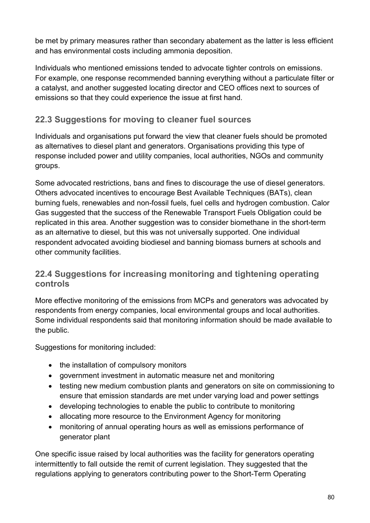be met by primary measures rather than secondary abatement as the latter is less efficient and has environmental costs including ammonia deposition.

Individuals who mentioned emissions tended to advocate tighter controls on emissions. For example, one response recommended banning everything without a particulate filter or a catalyst, and another suggested locating director and CEO offices next to sources of emissions so that they could experience the issue at first hand.

## **22.3 Suggestions for moving to cleaner fuel sources**

Individuals and organisations put forward the view that cleaner fuels should be promoted as alternatives to diesel plant and generators. Organisations providing this type of response included power and utility companies, local authorities, NGOs and community groups.

Some advocated restrictions, bans and fines to discourage the use of diesel generators. Others advocated incentives to encourage Best Available Techniques (BATs), clean burning fuels, renewables and non-fossil fuels, fuel cells and hydrogen combustion. Calor Gas suggested that the success of the Renewable Transport Fuels Obligation could be replicated in this area. Another suggestion was to consider biomethane in the short-term as an alternative to diesel, but this was not universally supported. One individual respondent advocated avoiding biodiesel and banning biomass burners at schools and other community facilities.

## **22.4 Suggestions for increasing monitoring and tightening operating controls**

More effective monitoring of the emissions from MCPs and generators was advocated by respondents from energy companies, local environmental groups and local authorities. Some individual respondents said that monitoring information should be made available to the public.

Suggestions for monitoring included:

- the installation of compulsory monitors
- government investment in automatic measure net and monitoring
- testing new medium combustion plants and generators on site on commissioning to ensure that emission standards are met under varying load and power settings
- developing technologies to enable the public to contribute to monitoring
- allocating more resource to the Environment Agency for monitoring
- monitoring of annual operating hours as well as emissions performance of generator plant

One specific issue raised by local authorities was the facility for generators operating intermittently to fall outside the remit of current legislation. They suggested that the regulations applying to generators contributing power to the Short-Term Operating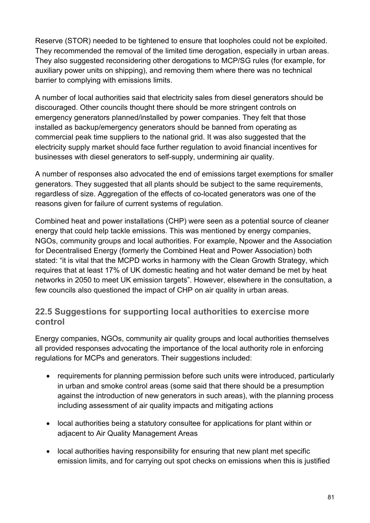Reserve (STOR) needed to be tightened to ensure that loopholes could not be exploited. They recommended the removal of the limited time derogation, especially in urban areas. They also suggested reconsidering other derogations to MCP/SG rules (for example, for auxiliary power units on shipping), and removing them where there was no technical barrier to complying with emissions limits.

A number of local authorities said that electricity sales from diesel generators should be discouraged. Other councils thought there should be more stringent controls on emergency generators planned/installed by power companies. They felt that those installed as backup/emergency generators should be banned from operating as commercial peak time suppliers to the national grid. It was also suggested that the electricity supply market should face further regulation to avoid financial incentives for businesses with diesel generators to self-supply, undermining air quality.

A number of responses also advocated the end of emissions target exemptions for smaller generators. They suggested that all plants should be subject to the same requirements, regardless of size. Aggregation of the effects of co-located generators was one of the reasons given for failure of current systems of regulation.

Combined heat and power installations (CHP) were seen as a potential source of cleaner energy that could help tackle emissions. This was mentioned by energy companies, NGOs, community groups and local authorities. For example, Npower and the Association for Decentralised Energy (formerly the Combined Heat and Power Association) both stated: "it is vital that the MCPD works in harmony with the Clean Growth Strategy, which requires that at least 17% of UK domestic heating and hot water demand be met by heat networks in 2050 to meet UK emission targets". However, elsewhere in the consultation, a few councils also questioned the impact of CHP on air quality in urban areas.

#### **22.5 Suggestions for supporting local authorities to exercise more control**

Energy companies, NGOs, community air quality groups and local authorities themselves all provided responses advocating the importance of the local authority role in enforcing regulations for MCPs and generators. Their suggestions included:

- requirements for planning permission before such units were introduced, particularly in urban and smoke control areas (some said that there should be a presumption against the introduction of new generators in such areas), with the planning process including assessment of air quality impacts and mitigating actions
- local authorities being a statutory consultee for applications for plant within or adjacent to Air Quality Management Areas
- local authorities having responsibility for ensuring that new plant met specific emission limits, and for carrying out spot checks on emissions when this is justified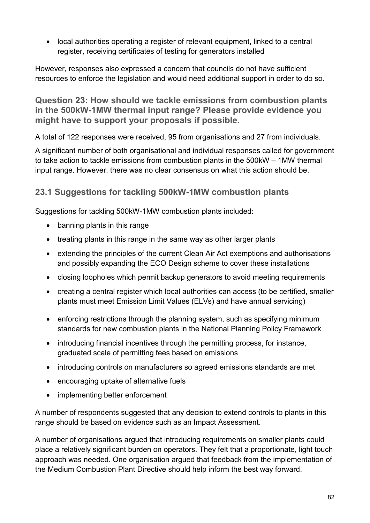• local authorities operating a register of relevant equipment, linked to a central register, receiving certificates of testing for generators installed

However, responses also expressed a concern that councils do not have sufficient resources to enforce the legislation and would need additional support in order to do so.

**Question 23: How should we tackle emissions from combustion plants in the 500kW-1MW thermal input range? Please provide evidence you might have to support your proposals if possible.**

A total of 122 responses were received, 95 from organisations and 27 from individuals.

A significant number of both organisational and individual responses called for government to take action to tackle emissions from combustion plants in the 500kW – 1MW thermal input range. However, there was no clear consensus on what this action should be.

## **23.1 Suggestions for tackling 500kW-1MW combustion plants**

Suggestions for tackling 500kW-1MW combustion plants included:

- banning plants in this range
- treating plants in this range in the same way as other larger plants
- extending the principles of the current Clean Air Act exemptions and authorisations and possibly expanding the ECO Design scheme to cover these installations
- closing loopholes which permit backup generators to avoid meeting requirements
- creating a central register which local authorities can access (to be certified, smaller plants must meet Emission Limit Values (ELVs) and have annual servicing)
- enforcing restrictions through the planning system, such as specifying minimum standards for new combustion plants in the National Planning Policy Framework
- introducing financial incentives through the permitting process, for instance, graduated scale of permitting fees based on emissions
- introducing controls on manufacturers so agreed emissions standards are met
- encouraging uptake of alternative fuels
- implementing better enforcement

A number of respondents suggested that any decision to extend controls to plants in this range should be based on evidence such as an Impact Assessment.

A number of organisations argued that introducing requirements on smaller plants could place a relatively significant burden on operators. They felt that a proportionate, light touch approach was needed. One organisation argued that feedback from the implementation of the Medium Combustion Plant Directive should help inform the best way forward.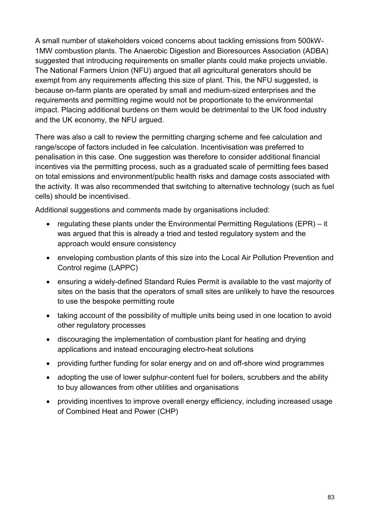A small number of stakeholders voiced concerns about tackling emissions from 500kW-1MW combustion plants. The Anaerobic Digestion and Bioresources Association (ADBA) suggested that introducing requirements on smaller plants could make projects unviable. The National Farmers Union (NFU) argued that all agricultural generators should be exempt from any requirements affecting this size of plant. This, the NFU suggested, is because on-farm plants are operated by small and medium-sized enterprises and the requirements and permitting regime would not be proportionate to the environmental impact. Placing additional burdens on them would be detrimental to the UK food industry and the UK economy, the NFU argued.

There was also a call to review the permitting charging scheme and fee calculation and range/scope of factors included in fee calculation. Incentivisation was preferred to penalisation in this case. One suggestion was therefore to consider additional financial incentives via the permitting process, such as a graduated scale of permitting fees based on total emissions and environment/public health risks and damage costs associated with the activity. It was also recommended that switching to alternative technology (such as fuel cells) should be incentivised.

Additional suggestions and comments made by organisations included:

- regulating these plants under the Environmental Permitting Regulations (EPR) it was argued that this is already a tried and tested regulatory system and the approach would ensure consistency
- enveloping combustion plants of this size into the Local Air Pollution Prevention and Control regime (LAPPC)
- ensuring a widely-defined Standard Rules Permit is available to the vast majority of sites on the basis that the operators of small sites are unlikely to have the resources to use the bespoke permitting route
- taking account of the possibility of multiple units being used in one location to avoid other regulatory processes
- discouraging the implementation of combustion plant for heating and drying applications and instead encouraging electro-heat solutions
- providing further funding for solar energy and on and off-shore wind programmes
- adopting the use of lower sulphur-content fuel for boilers, scrubbers and the ability to buy allowances from other utilities and organisations
- providing incentives to improve overall energy efficiency, including increased usage of Combined Heat and Power (CHP)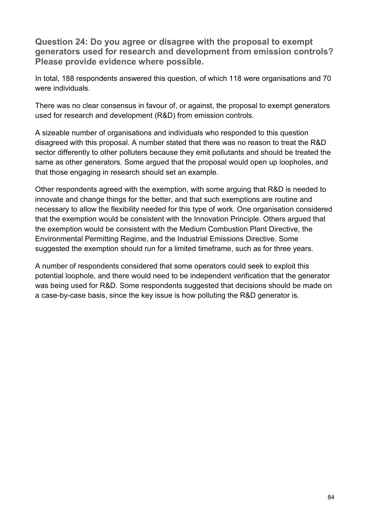**Question 24: Do you agree or disagree with the proposal to exempt generators used for research and development from emission controls? Please provide evidence where possible.**

In total, 188 respondents answered this question, of which 118 were organisations and 70 were individuals.

There was no clear consensus in favour of, or against, the proposal to exempt generators used for research and development (R&D) from emission controls.

A sizeable number of organisations and individuals who responded to this question disagreed with this proposal. A number stated that there was no reason to treat the R&D sector differently to other polluters because they emit pollutants and should be treated the same as other generators. Some argued that the proposal would open up loopholes, and that those engaging in research should set an example.

Other respondents agreed with the exemption, with some arguing that R&D is needed to innovate and change things for the better, and that such exemptions are routine and necessary to allow the flexibility needed for this type of work. One organisation considered that the exemption would be consistent with the Innovation Principle. Others argued that the exemption would be consistent with the Medium Combustion Plant Directive, the Environmental Permitting Regime, and the Industrial Emissions Directive. Some suggested the exemption should run for a limited timeframe, such as for three years.

A number of respondents considered that some operators could seek to exploit this potential loophole, and there would need to be independent verification that the generator was being used for R&D. Some respondents suggested that decisions should be made on a case-by-case basis, since the key issue is how polluting the R&D generator is.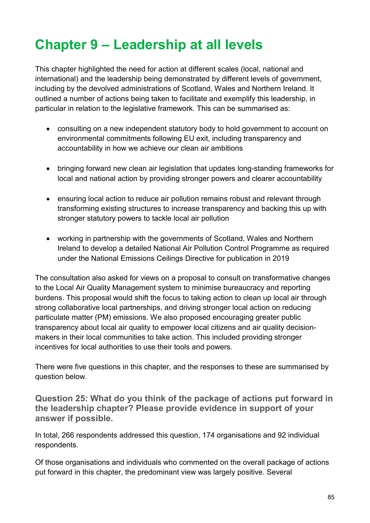# **Chapter 9 – Leadership at all levels**

This chapter highlighted the need for action at different scales (local, national and international) and the leadership being demonstrated by different levels of government, including by the devolved administrations of Scotland, Wales and Northern Ireland. It outlined a number of actions being taken to facilitate and exemplify this leadership, in particular in relation to the legislative framework. This can be summarised as:

- consulting on a new independent statutory body to hold government to account on environmental commitments following EU exit, including transparency and accountability in how we achieve our clean air ambitions
- bringing forward new clean air legislation that updates long-standing frameworks for local and national action by providing stronger powers and clearer accountability
- ensuring local action to reduce air pollution remains robust and relevant through transforming existing structures to increase transparency and backing this up with stronger statutory powers to tackle local air pollution
- working in partnership with the governments of Scotland, Wales and Northern Ireland to develop a detailed National Air Pollution Control Programme as required under the National Emissions Ceilings Directive for publication in 2019

The consultation also asked for views on a proposal to consult on transformative changes to the Local Air Quality Management system to minimise bureaucracy and reporting burdens. This proposal would shift the focus to taking action to clean up local air through strong collaborative local partnerships, and driving stronger local action on reducing particulate matter (PM) emissions. We also proposed encouraging greater public transparency about local air quality to empower local citizens and air quality decisionmakers in their local communities to take action. This included providing stronger incentives for local authorities to use their tools and powers.

There were five questions in this chapter, and the responses to these are summarised by question below.

**Question 25: What do you think of the package of actions put forward in the leadership chapter? Please provide evidence in support of your answer if possible.**

In total, 266 respondents addressed this question, 174 organisations and 92 individual respondents.

Of those organisations and individuals who commented on the overall package of actions put forward in this chapter, the predominant view was largely positive. Several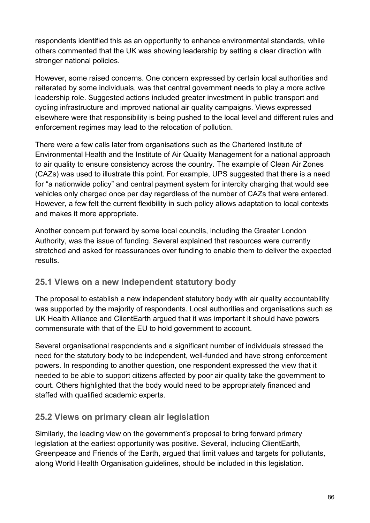respondents identified this as an opportunity to enhance environmental standards, while others commented that the UK was showing leadership by setting a clear direction with stronger national policies.

However, some raised concerns. One concern expressed by certain local authorities and reiterated by some individuals, was that central government needs to play a more active leadership role. Suggested actions included greater investment in public transport and cycling infrastructure and improved national air quality campaigns. Views expressed elsewhere were that responsibility is being pushed to the local level and different rules and enforcement regimes may lead to the relocation of pollution.

There were a few calls later from organisations such as the Chartered Institute of Environmental Health and the Institute of Air Quality Management for a national approach to air quality to ensure consistency across the country. The example of Clean Air Zones (CAZs) was used to illustrate this point. For example, UPS suggested that there is a need for "a nationwide policy" and central payment system for intercity charging that would see vehicles only charged once per day regardless of the number of CAZs that were entered. However, a few felt the current flexibility in such policy allows adaptation to local contexts and makes it more appropriate.

Another concern put forward by some local councils, including the Greater London Authority, was the issue of funding. Several explained that resources were currently stretched and asked for reassurances over funding to enable them to deliver the expected results.

#### **25.1 Views on a new independent statutory body**

The proposal to establish a new independent statutory body with air quality accountability was supported by the majority of respondents. Local authorities and organisations such as UK Health Alliance and ClientEarth argued that it was important it should have powers commensurate with that of the EU to hold government to account.

Several organisational respondents and a significant number of individuals stressed the need for the statutory body to be independent, well-funded and have strong enforcement powers. In responding to another question, one respondent expressed the view that it needed to be able to support citizens affected by poor air quality take the government to court. Others highlighted that the body would need to be appropriately financed and staffed with qualified academic experts.

## **25.2 Views on primary clean air legislation**

Similarly, the leading view on the government's proposal to bring forward primary legislation at the earliest opportunity was positive. Several, including ClientEarth, Greenpeace and Friends of the Earth, argued that limit values and targets for pollutants, along World Health Organisation guidelines, should be included in this legislation.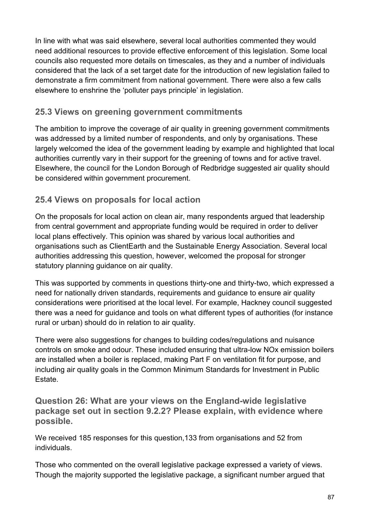In line with what was said elsewhere, several local authorities commented they would need additional resources to provide effective enforcement of this legislation. Some local councils also requested more details on timescales, as they and a number of individuals considered that the lack of a set target date for the introduction of new legislation failed to demonstrate a firm commitment from national government. There were also a few calls elsewhere to enshrine the 'polluter pays principle' in legislation.

#### **25.3 Views on greening government commitments**

The ambition to improve the coverage of air quality in greening government commitments was addressed by a limited number of respondents, and only by organisations. These largely welcomed the idea of the government leading by example and highlighted that local authorities currently vary in their support for the greening of towns and for active travel. Elsewhere, the council for the London Borough of Redbridge suggested air quality should be considered within government procurement.

## **25.4 Views on proposals for local action**

On the proposals for local action on clean air, many respondents argued that leadership from central government and appropriate funding would be required in order to deliver local plans effectively. This opinion was shared by various local authorities and organisations such as ClientEarth and the Sustainable Energy Association. Several local authorities addressing this question, however, welcomed the proposal for stronger statutory planning guidance on air quality.

This was supported by comments in questions thirty-one and thirty-two, which expressed a need for nationally driven standards, requirements and guidance to ensure air quality considerations were prioritised at the local level. For example, Hackney council suggested there was a need for guidance and tools on what different types of authorities (for instance rural or urban) should do in relation to air quality.

There were also suggestions for changes to building codes/regulations and nuisance controls on smoke and odour. These included ensuring that ultra-low NOx emission boilers are installed when a boiler is replaced, making Part F on ventilation fit for purpose, and including air quality goals in the Common Minimum Standards for Investment in Public Estate.

**Question 26: What are your views on the England-wide legislative package set out in section 9.2.2? Please explain, with evidence where possible.**

We received 185 responses for this question,133 from organisations and 52 from individuals.

Those who commented on the overall legislative package expressed a variety of views. Though the majority supported the legislative package, a significant number argued that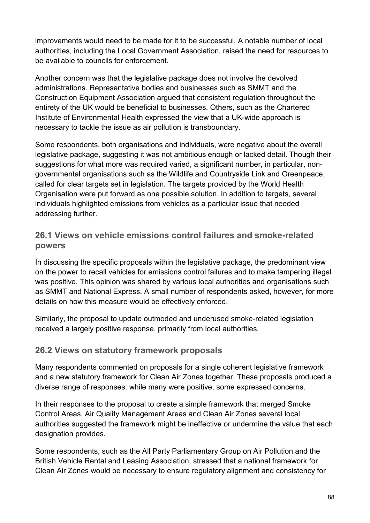improvements would need to be made for it to be successful. A notable number of local authorities, including the Local Government Association, raised the need for resources to be available to councils for enforcement.

Another concern was that the legislative package does not involve the devolved administrations. Representative bodies and businesses such as SMMT and the Construction Equipment Association argued that consistent regulation throughout the entirety of the UK would be beneficial to businesses. Others, such as the Chartered Institute of Environmental Health expressed the view that a UK-wide approach is necessary to tackle the issue as air pollution is transboundary.

Some respondents, both organisations and individuals, were negative about the overall legislative package, suggesting it was not ambitious enough or lacked detail. Though their suggestions for what more was required varied, a significant number, in particular, nongovernmental organisations such as the Wildlife and Countryside Link and Greenpeace, called for clear targets set in legislation. The targets provided by the World Health Organisation were put forward as one possible solution. In addition to targets, several individuals highlighted emissions from vehicles as a particular issue that needed addressing further.

#### **26.1 Views on vehicle emissions control failures and smoke-related powers**

In discussing the specific proposals within the legislative package, the predominant view on the power to recall vehicles for emissions control failures and to make tampering illegal was positive. This opinion was shared by various local authorities and organisations such as SMMT and National Express. A small number of respondents asked, however, for more details on how this measure would be effectively enforced.

Similarly, the proposal to update outmoded and underused smoke-related legislation received a largely positive response, primarily from local authorities.

#### **26.2 Views on statutory framework proposals**

Many respondents commented on proposals for a single coherent legislative framework and a new statutory framework for Clean Air Zones together. These proposals produced a diverse range of responses: while many were positive, some expressed concerns.

In their responses to the proposal to create a simple framework that merged Smoke Control Areas, Air Quality Management Areas and Clean Air Zones several local authorities suggested the framework might be ineffective or undermine the value that each designation provides.

Some respondents, such as the All Party Parliamentary Group on Air Pollution and the British Vehicle Rental and Leasing Association, stressed that a national framework for Clean Air Zones would be necessary to ensure regulatory alignment and consistency for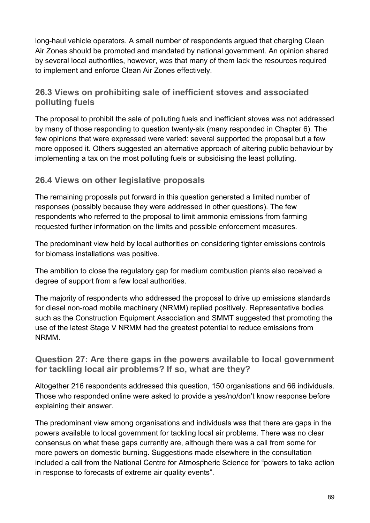long-haul vehicle operators. A small number of respondents argued that charging Clean Air Zones should be promoted and mandated by national government. An opinion shared by several local authorities, however, was that many of them lack the resources required to implement and enforce Clean Air Zones effectively.

## **26.3 Views on prohibiting sale of inefficient stoves and associated polluting fuels**

The proposal to prohibit the sale of polluting fuels and inefficient stoves was not addressed by many of those responding to question twenty-six (many responded in Chapter 6). The few opinions that were expressed were varied: several supported the proposal but a few more opposed it. Others suggested an alternative approach of altering public behaviour by implementing a tax on the most polluting fuels or subsidising the least polluting.

## **26.4 Views on other legislative proposals**

The remaining proposals put forward in this question generated a limited number of responses (possibly because they were addressed in other questions). The few respondents who referred to the proposal to limit ammonia emissions from farming requested further information on the limits and possible enforcement measures.

The predominant view held by local authorities on considering tighter emissions controls for biomass installations was positive.

The ambition to close the regulatory gap for medium combustion plants also received a degree of support from a few local authorities.

The majority of respondents who addressed the proposal to drive up emissions standards for diesel non-road mobile machinery (NRMM) replied positively. Representative bodies such as the Construction Equipment Association and SMMT suggested that promoting the use of the latest Stage V NRMM had the greatest potential to reduce emissions from NRMM.

#### **Question 27: Are there gaps in the powers available to local government for tackling local air problems? If so, what are they?**

Altogether 216 respondents addressed this question, 150 organisations and 66 individuals. Those who responded online were asked to provide a yes/no/don't know response before explaining their answer.

The predominant view among organisations and individuals was that there are gaps in the powers available to local government for tackling local air problems. There was no clear consensus on what these gaps currently are, although there was a call from some for more powers on domestic burning. Suggestions made elsewhere in the consultation included a call from the National Centre for Atmospheric Science for "powers to take action in response to forecasts of extreme air quality events".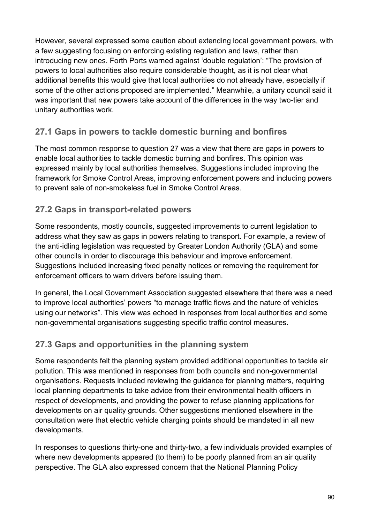However, several expressed some caution about extending local government powers, with a few suggesting focusing on enforcing existing regulation and laws, rather than introducing new ones. Forth Ports warned against 'double regulation': "The provision of powers to local authorities also require considerable thought, as it is not clear what additional benefits this would give that local authorities do not already have, especially if some of the other actions proposed are implemented." Meanwhile, a unitary council said it was important that new powers take account of the differences in the way two-tier and unitary authorities work.

## **27.1 Gaps in powers to tackle domestic burning and bonfires**

The most common response to question 27 was a view that there are gaps in powers to enable local authorities to tackle domestic burning and bonfires. This opinion was expressed mainly by local authorities themselves. Suggestions included improving the framework for Smoke Control Areas, improving enforcement powers and including powers to prevent sale of non-smokeless fuel in Smoke Control Areas.

## **27.2 Gaps in transport-related powers**

Some respondents, mostly councils, suggested improvements to current legislation to address what they saw as gaps in powers relating to transport. For example, a review of the anti-idling legislation was requested by Greater London Authority (GLA) and some other councils in order to discourage this behaviour and improve enforcement. Suggestions included increasing fixed penalty notices or removing the requirement for enforcement officers to warn drivers before issuing them.

In general, the Local Government Association suggested elsewhere that there was a need to improve local authorities' powers "to manage traffic flows and the nature of vehicles using our networks". This view was echoed in responses from local authorities and some non-governmental organisations suggesting specific traffic control measures.

## **27.3 Gaps and opportunities in the planning system**

Some respondents felt the planning system provided additional opportunities to tackle air pollution. This was mentioned in responses from both councils and non-governmental organisations. Requests included reviewing the guidance for planning matters, requiring local planning departments to take advice from their environmental health officers in respect of developments, and providing the power to refuse planning applications for developments on air quality grounds. Other suggestions mentioned elsewhere in the consultation were that electric vehicle charging points should be mandated in all new developments.

In responses to questions thirty-one and thirty-two, a few individuals provided examples of where new developments appeared (to them) to be poorly planned from an air quality perspective. The GLA also expressed concern that the National Planning Policy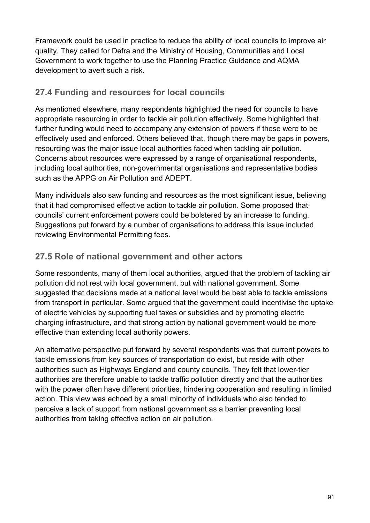Framework could be used in practice to reduce the ability of local councils to improve air quality. They called for Defra and the Ministry of Housing, Communities and Local Government to work together to use the Planning Practice Guidance and AQMA development to avert such a risk.

## **27.4 Funding and resources for local councils**

As mentioned elsewhere, many respondents highlighted the need for councils to have appropriate resourcing in order to tackle air pollution effectively. Some highlighted that further funding would need to accompany any extension of powers if these were to be effectively used and enforced. Others believed that, though there may be gaps in powers, resourcing was the major issue local authorities faced when tackling air pollution. Concerns about resources were expressed by a range of organisational respondents, including local authorities, non-governmental organisations and representative bodies such as the APPG on Air Pollution and ADEPT.

Many individuals also saw funding and resources as the most significant issue, believing that it had compromised effective action to tackle air pollution. Some proposed that councils' current enforcement powers could be bolstered by an increase to funding. Suggestions put forward by a number of organisations to address this issue included reviewing Environmental Permitting fees.

## **27.5 Role of national government and other actors**

Some respondents, many of them local authorities, argued that the problem of tackling air pollution did not rest with local government, but with national government. Some suggested that decisions made at a national level would be best able to tackle emissions from transport in particular. Some argued that the government could incentivise the uptake of electric vehicles by supporting fuel taxes or subsidies and by promoting electric charging infrastructure, and that strong action by national government would be more effective than extending local authority powers.

An alternative perspective put forward by several respondents was that current powers to tackle emissions from key sources of transportation do exist, but reside with other authorities such as Highways England and county councils. They felt that lower-tier authorities are therefore unable to tackle traffic pollution directly and that the authorities with the power often have different priorities, hindering cooperation and resulting in limited action. This view was echoed by a small minority of individuals who also tended to perceive a lack of support from national government as a barrier preventing local authorities from taking effective action on air pollution.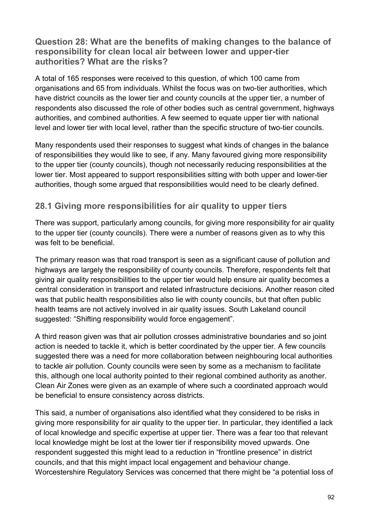#### **Question 28: What are the benefits of making changes to the balance of responsibility for clean local air between lower and upper-tier authorities? What are the risks?**

A total of 165 responses were received to this question, of which 100 came from organisations and 65 from individuals. Whilst the focus was on two-tier authorities, which have district councils as the lower tier and county councils at the upper tier, a number of respondents also discussed the role of other bodies such as central government, highways authorities, and combined authorities. A few seemed to equate upper tier with national level and lower tier with local level, rather than the specific structure of two-tier councils.

Many respondents used their responses to suggest what kinds of changes in the balance of responsibilities they would like to see, if any. Many favoured giving more responsibility to the upper tier (county councils), though not necessarily reducing responsibilities at the lower tier. Most appeared to support responsibilities sitting with both upper and lower-tier authorities, though some argued that responsibilities would need to be clearly defined.

#### **28.1 Giving more responsibilities for air quality to upper tiers**

There was support, particularly among councils, for giving more responsibility for air quality to the upper tier (county councils). There were a number of reasons given as to why this was felt to be beneficial.

The primary reason was that road transport is seen as a significant cause of pollution and highways are largely the responsibility of county councils. Therefore, respondents felt that giving air quality responsibilities to the upper tier would help ensure air quality becomes a central consideration in transport and related infrastructure decisions. Another reason cited was that public health responsibilities also lie with county councils, but that often public health teams are not actively involved in air quality issues. South Lakeland council suggested: "Shifting responsibility would force engagement".

A third reason given was that air pollution crosses administrative boundaries and so joint action is needed to tackle it, which is better coordinated by the upper tier. A few councils suggested there was a need for more collaboration between neighbouring local authorities to tackle air pollution. County councils were seen by some as a mechanism to facilitate this, although one local authority pointed to their regional combined authority as another. Clean Air Zones were given as an example of where such a coordinated approach would be beneficial to ensure consistency across districts.

This said, a number of organisations also identified what they considered to be risks in giving more responsibility for air quality to the upper tier. In particular, they identified a lack of local knowledge and specific expertise at upper tier. There was a fear too that relevant local knowledge might be lost at the lower tier if responsibility moved upwards. One respondent suggested this might lead to a reduction in "frontline presence" in district councils, and that this might impact local engagement and behaviour change. Worcestershire Regulatory Services was concerned that there might be "a potential loss of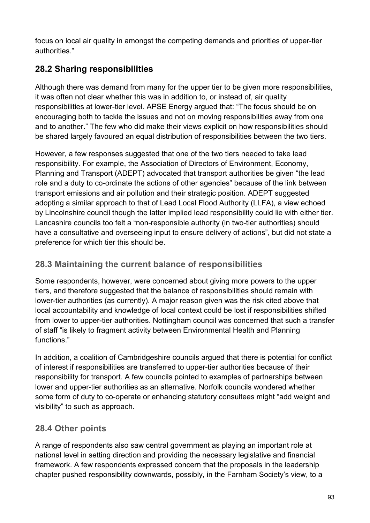focus on local air quality in amongst the competing demands and priorities of upper-tier authorities."

# **28.2 Sharing responsibilities**

Although there was demand from many for the upper tier to be given more responsibilities, it was often not clear whether this was in addition to, or instead of, air quality responsibilities at lower-tier level. APSE Energy argued that: "The focus should be on encouraging both to tackle the issues and not on moving responsibilities away from one and to another." The few who did make their views explicit on how responsibilities should be shared largely favoured an equal distribution of responsibilities between the two tiers.

However, a few responses suggested that one of the two tiers needed to take lead responsibility. For example, the Association of Directors of Environment, Economy, Planning and Transport (ADEPT) advocated that transport authorities be given "the lead role and a duty to co-ordinate the actions of other agencies" because of the link between transport emissions and air pollution and their strategic position. ADEPT suggested adopting a similar approach to that of Lead Local Flood Authority (LLFA), a view echoed by Lincolnshire council though the latter implied lead responsibility could lie with either tier. Lancashire councils too felt a "non-responsible authority (in two-tier authorities) should have a consultative and overseeing input to ensure delivery of actions", but did not state a preference for which tier this should be.

## **28.3 Maintaining the current balance of responsibilities**

Some respondents, however, were concerned about giving more powers to the upper tiers, and therefore suggested that the balance of responsibilities should remain with lower-tier authorities (as currently). A major reason given was the risk cited above that local accountability and knowledge of local context could be lost if responsibilities shifted from lower to upper-tier authorities. Nottingham council was concerned that such a transfer of staff "is likely to fragment activity between Environmental Health and Planning functions."

In addition, a coalition of Cambridgeshire councils argued that there is potential for conflict of interest if responsibilities are transferred to upper-tier authorities because of their responsibility for transport. A few councils pointed to examples of partnerships between lower and upper-tier authorities as an alternative. Norfolk councils wondered whether some form of duty to co-operate or enhancing statutory consultees might "add weight and visibility" to such as approach.

# **28.4 Other points**

A range of respondents also saw central government as playing an important role at national level in setting direction and providing the necessary legislative and financial framework. A few respondents expressed concern that the proposals in the leadership chapter pushed responsibility downwards, possibly, in the Farnham Society's view, to a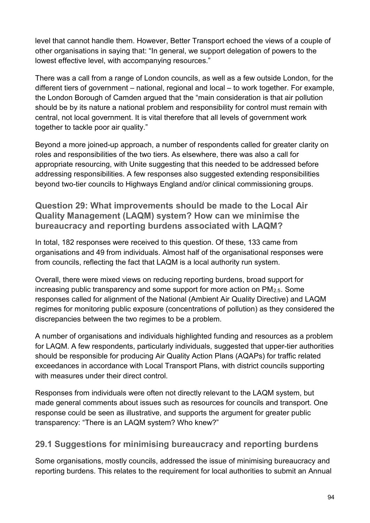level that cannot handle them. However, Better Transport echoed the views of a couple of other organisations in saying that: "In general, we support delegation of powers to the lowest effective level, with accompanying resources."

There was a call from a range of London councils, as well as a few outside London, for the different tiers of government – national, regional and local – to work together. For example, the London Borough of Camden argued that the "main consideration is that air pollution should be by its nature a national problem and responsibility for control must remain with central, not local government. It is vital therefore that all levels of government work together to tackle poor air quality."

Beyond a more joined-up approach, a number of respondents called for greater clarity on roles and responsibilities of the two tiers. As elsewhere, there was also a call for appropriate resourcing, with Unite suggesting that this needed to be addressed before addressing responsibilities. A few responses also suggested extending responsibilities beyond two-tier councils to Highways England and/or clinical commissioning groups.

**Question 29: What improvements should be made to the Local Air Quality Management (LAQM) system? How can we minimise the bureaucracy and reporting burdens associated with LAQM?**

In total, 182 responses were received to this question. Of these, 133 came from organisations and 49 from individuals. Almost half of the organisational responses were from councils, reflecting the fact that LAQM is a local authority run system.

Overall, there were mixed views on reducing reporting burdens, broad support for increasing public transparency and some support for more action on PM2.5. Some responses called for alignment of the National (Ambient Air Quality Directive) and LAQM regimes for monitoring public exposure (concentrations of pollution) as they considered the discrepancies between the two regimes to be a problem.

A number of organisations and individuals highlighted funding and resources as a problem for LAQM. A few respondents, particularly individuals, suggested that upper-tier authorities should be responsible for producing Air Quality Action Plans (AQAPs) for traffic related exceedances in accordance with Local Transport Plans, with district councils supporting with measures under their direct control

Responses from individuals were often not directly relevant to the LAQM system, but made general comments about issues such as resources for councils and transport. One response could be seen as illustrative, and supports the argument for greater public transparency: "There is an LAQM system? Who knew?"

#### **29.1 Suggestions for minimising bureaucracy and reporting burdens**

Some organisations, mostly councils, addressed the issue of minimising bureaucracy and reporting burdens. This relates to the requirement for local authorities to submit an Annual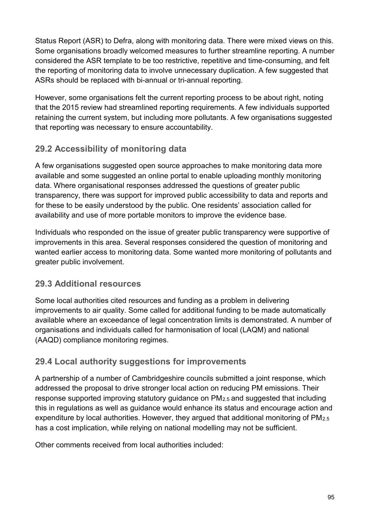Status Report (ASR) to Defra, along with monitoring data. There were mixed views on this. Some organisations broadly welcomed measures to further streamline reporting. A number considered the ASR template to be too restrictive, repetitive and time-consuming, and felt the reporting of monitoring data to involve unnecessary duplication. A few suggested that ASRs should be replaced with bi-annual or tri-annual reporting.

However, some organisations felt the current reporting process to be about right, noting that the 2015 review had streamlined reporting requirements. A few individuals supported retaining the current system, but including more pollutants. A few organisations suggested that reporting was necessary to ensure accountability.

# **29.2 Accessibility of monitoring data**

A few organisations suggested open source approaches to make monitoring data more available and some suggested an online portal to enable uploading monthly monitoring data. Where organisational responses addressed the questions of greater public transparency, there was support for improved public accessibility to data and reports and for these to be easily understood by the public. One residents' association called for availability and use of more portable monitors to improve the evidence base.

Individuals who responded on the issue of greater public transparency were supportive of improvements in this area. Several responses considered the question of monitoring and wanted earlier access to monitoring data. Some wanted more monitoring of pollutants and greater public involvement.

## **29.3 Additional resources**

Some local authorities cited resources and funding as a problem in delivering improvements to air quality. Some called for additional funding to be made automatically available where an exceedance of legal concentration limits is demonstrated. A number of organisations and individuals called for harmonisation of local (LAQM) and national (AAQD) compliance monitoring regimes.

## **29.4 Local authority suggestions for improvements**

A partnership of a number of Cambridgeshire councils submitted a joint response, which addressed the proposal to drive stronger local action on reducing PM emissions. Their response supported improving statutory guidance on PM2.5 and suggested that including this in regulations as well as guidance would enhance its status and encourage action and expenditure by local authorities. However, they argued that additional monitoring of PM2.5 has a cost implication, while relying on national modelling may not be sufficient.

Other comments received from local authorities included: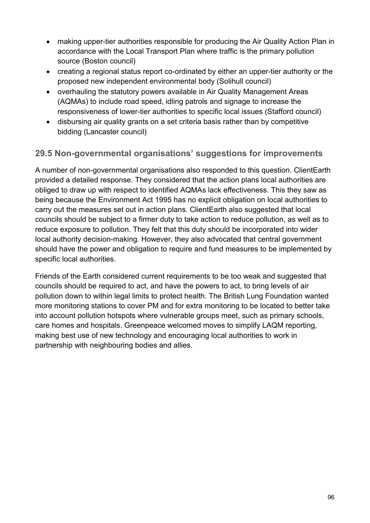- making upper-tier authorities responsible for producing the Air Quality Action Plan in accordance with the Local Transport Plan where traffic is the primary pollution source (Boston council)
- creating a regional status report co-ordinated by either an upper-tier authority or the proposed new independent environmental body (Solihull council)
- overhauling the statutory powers available in Air Quality Management Areas (AQMAs) to include road speed, idling patrols and signage to increase the responsiveness of lower-tier authorities to specific local issues (Stafford council)
- disbursing air quality grants on a set criteria basis rather than by competitive bidding (Lancaster council)

## **29.5 Non-governmental organisations' suggestions for improvements**

A number of non-governmental organisations also responded to this question. ClientEarth provided a detailed response. They considered that the action plans local authorities are obliged to draw up with respect to identified AQMAs lack effectiveness. This they saw as being because the Environment Act 1995 has no explicit obligation on local authorities to carry out the measures set out in action plans. ClientEarth also suggested that local councils should be subject to a firmer duty to take action to reduce pollution, as well as to reduce exposure to pollution. They felt that this duty should be incorporated into wider local authority decision-making. However, they also advocated that central government should have the power and obligation to require and fund measures to be implemented by specific local authorities.

Friends of the Earth considered current requirements to be too weak and suggested that councils should be required to act, and have the powers to act, to bring levels of air pollution down to within legal limits to protect health. The British Lung Foundation wanted more monitoring stations to cover PM and for extra monitoring to be located to better take into account pollution hotspots where vulnerable groups meet, such as primary schools, care homes and hospitals. Greenpeace welcomed moves to simplify LAQM reporting, making best use of new technology and encouraging local authorities to work in partnership with neighbouring bodies and allies.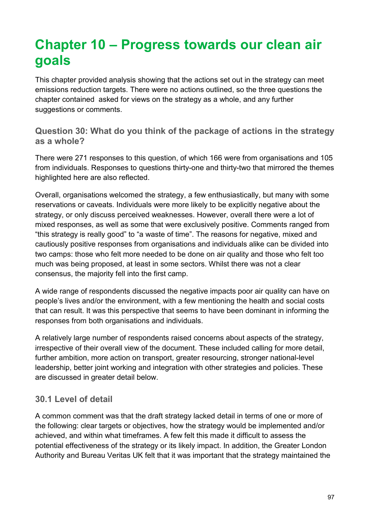# **Chapter 10 – Progress towards our clean air goals**

This chapter provided analysis showing that the actions set out in the strategy can meet emissions reduction targets. There were no actions outlined, so the three questions the chapter contained asked for views on the strategy as a whole, and any further suggestions or comments.

**Question 30: What do you think of the package of actions in the strategy as a whole?**

There were 271 responses to this question, of which 166 were from organisations and 105 from individuals. Responses to questions thirty-one and thirty-two that mirrored the themes highlighted here are also reflected.

Overall, organisations welcomed the strategy, a few enthusiastically, but many with some reservations or caveats. Individuals were more likely to be explicitly negative about the strategy, or only discuss perceived weaknesses. However, overall there were a lot of mixed responses, as well as some that were exclusively positive. Comments ranged from "this strategy is really good" to "a waste of time". The reasons for negative, mixed and cautiously positive responses from organisations and individuals alike can be divided into two camps: those who felt more needed to be done on air quality and those who felt too much was being proposed, at least in some sectors. Whilst there was not a clear consensus, the majority fell into the first camp.

A wide range of respondents discussed the negative impacts poor air quality can have on people's lives and/or the environment, with a few mentioning the health and social costs that can result. It was this perspective that seems to have been dominant in informing the responses from both organisations and individuals.

A relatively large number of respondents raised concerns about aspects of the strategy, irrespective of their overall view of the document. These included calling for more detail, further ambition, more action on transport, greater resourcing, stronger national-level leadership, better joint working and integration with other strategies and policies. These are discussed in greater detail below.

#### **30.1 Level of detail**

A common comment was that the draft strategy lacked detail in terms of one or more of the following: clear targets or objectives, how the strategy would be implemented and/or achieved, and within what timeframes. A few felt this made it difficult to assess the potential effectiveness of the strategy or its likely impact. In addition, the Greater London Authority and Bureau Veritas UK felt that it was important that the strategy maintained the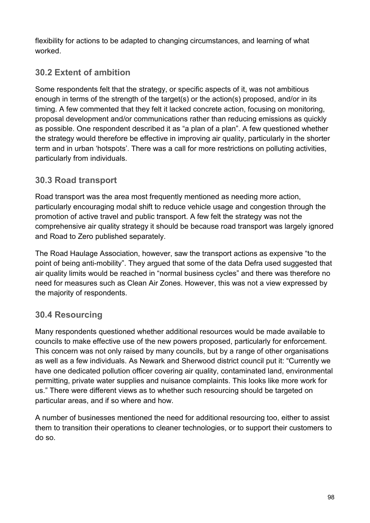flexibility for actions to be adapted to changing circumstances, and learning of what worked.

# **30.2 Extent of ambition**

Some respondents felt that the strategy, or specific aspects of it, was not ambitious enough in terms of the strength of the target(s) or the action(s) proposed, and/or in its timing. A few commented that they felt it lacked concrete action, focusing on monitoring, proposal development and/or communications rather than reducing emissions as quickly as possible. One respondent described it as "a plan of a plan". A few questioned whether the strategy would therefore be effective in improving air quality, particularly in the shorter term and in urban 'hotspots'. There was a call for more restrictions on polluting activities, particularly from individuals.

## **30.3 Road transport**

Road transport was the area most frequently mentioned as needing more action, particularly encouraging modal shift to reduce vehicle usage and congestion through the promotion of active travel and public transport. A few felt the strategy was not the comprehensive air quality strategy it should be because road transport was largely ignored and Road to Zero published separately.

The Road Haulage Association, however, saw the transport actions as expensive "to the point of being anti-mobility". They argued that some of the data Defra used suggested that air quality limits would be reached in "normal business cycles" and there was therefore no need for measures such as Clean Air Zones. However, this was not a view expressed by the majority of respondents.

# **30.4 Resourcing**

Many respondents questioned whether additional resources would be made available to councils to make effective use of the new powers proposed, particularly for enforcement. This concern was not only raised by many councils, but by a range of other organisations as well as a few individuals. As Newark and Sherwood district council put it: "Currently we have one dedicated pollution officer covering air quality, contaminated land, environmental permitting, private water supplies and nuisance complaints. This looks like more work for us." There were different views as to whether such resourcing should be targeted on particular areas, and if so where and how.

A number of businesses mentioned the need for additional resourcing too, either to assist them to transition their operations to cleaner technologies, or to support their customers to do so.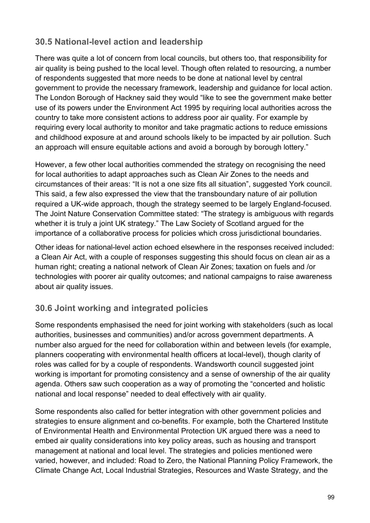## **30.5 National-level action and leadership**

There was quite a lot of concern from local councils, but others too, that responsibility for air quality is being pushed to the local level. Though often related to resourcing, a number of respondents suggested that more needs to be done at national level by central government to provide the necessary framework, leadership and guidance for local action. The London Borough of Hackney said they would "like to see the government make better use of its powers under the Environment Act 1995 by requiring local authorities across the country to take more consistent actions to address poor air quality. For example by requiring every local authority to monitor and take pragmatic actions to reduce emissions and childhood exposure at and around schools likely to be impacted by air pollution. Such an approach will ensure equitable actions and avoid a borough by borough lottery."

However, a few other local authorities commended the strategy on recognising the need for local authorities to adapt approaches such as Clean Air Zones to the needs and circumstances of their areas: "It is not a one size fits all situation", suggested York council. This said, a few also expressed the view that the transboundary nature of air pollution required a UK-wide approach, though the strategy seemed to be largely England-focused. The Joint Nature Conservation Committee stated: "The strategy is ambiguous with regards whether it is truly a joint UK strategy." The Law Society of Scotland argued for the importance of a collaborative process for policies which cross jurisdictional boundaries.

Other ideas for national-level action echoed elsewhere in the responses received included: a Clean Air Act, with a couple of responses suggesting this should focus on clean air as a human right; creating a national network of Clean Air Zones; taxation on fuels and /or technologies with poorer air quality outcomes; and national campaigns to raise awareness about air quality issues.

# **30.6 Joint working and integrated policies**

Some respondents emphasised the need for joint working with stakeholders (such as local authorities, businesses and communities) and/or across government departments. A number also argued for the need for collaboration within and between levels (for example, planners cooperating with environmental health officers at local-level), though clarity of roles was called for by a couple of respondents. Wandsworth council suggested joint working is important for promoting consistency and a sense of ownership of the air quality agenda. Others saw such cooperation as a way of promoting the "concerted and holistic national and local response" needed to deal effectively with air quality.

Some respondents also called for better integration with other government policies and strategies to ensure alignment and co-benefits. For example, both the Chartered Institute of Environmental Health and Environmental Protection UK argued there was a need to embed air quality considerations into key policy areas, such as housing and transport management at national and local level. The strategies and policies mentioned were varied, however, and included: Road to Zero, the National Planning Policy Framework, the Climate Change Act, Local Industrial Strategies, Resources and Waste Strategy, and the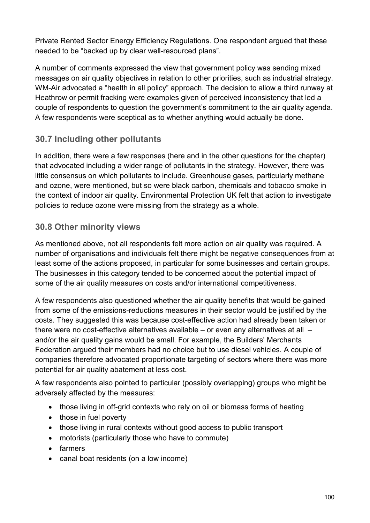Private Rented Sector Energy Efficiency Regulations. One respondent argued that these needed to be "backed up by clear well-resourced plans".

A number of comments expressed the view that government policy was sending mixed messages on air quality objectives in relation to other priorities, such as industrial strategy. WM-Air advocated a "health in all policy" approach. The decision to allow a third runway at Heathrow or permit fracking were examples given of perceived inconsistency that led a couple of respondents to question the government's commitment to the air quality agenda. A few respondents were sceptical as to whether anything would actually be done.

## **30.7 Including other pollutants**

In addition, there were a few responses (here and in the other questions for the chapter) that advocated including a wider range of pollutants in the strategy. However, there was little consensus on which pollutants to include. Greenhouse gases, particularly methane and ozone, were mentioned, but so were black carbon, chemicals and tobacco smoke in the context of indoor air quality. Environmental Protection UK felt that action to investigate policies to reduce ozone were missing from the strategy as a whole.

#### **30.8 Other minority views**

As mentioned above, not all respondents felt more action on air quality was required. A number of organisations and individuals felt there might be negative consequences from at least some of the actions proposed, in particular for some businesses and certain groups. The businesses in this category tended to be concerned about the potential impact of some of the air quality measures on costs and/or international competitiveness.

A few respondents also questioned whether the air quality benefits that would be gained from some of the emissions-reductions measures in their sector would be justified by the costs. They suggested this was because cost-effective action had already been taken or there were no cost-effective alternatives available – or even any alternatives at all – and/or the air quality gains would be small. For example, the Builders' Merchants Federation argued their members had no choice but to use diesel vehicles. A couple of companies therefore advocated proportionate targeting of sectors where there was more potential for air quality abatement at less cost.

A few respondents also pointed to particular (possibly overlapping) groups who might be adversely affected by the measures:

- those living in off-grid contexts who rely on oil or biomass forms of heating
- those in fuel poverty
- those living in rural contexts without good access to public transport
- motorists (particularly those who have to commute)
- farmers
- canal boat residents (on a low income)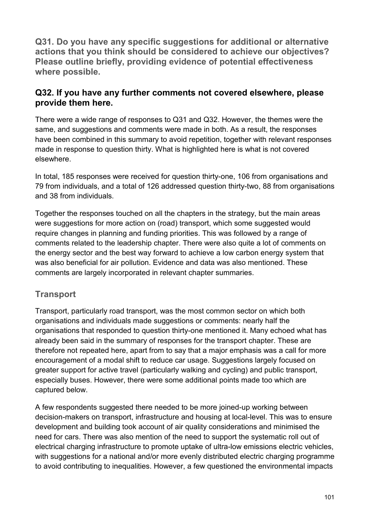**Q31. Do you have any specific suggestions for additional or alternative actions that you think should be considered to achieve our objectives? Please outline briefly, providing evidence of potential effectiveness where possible.**

#### **Q32. If you have any further comments not covered elsewhere, please provide them here.**

There were a wide range of responses to Q31 and Q32. However, the themes were the same, and suggestions and comments were made in both. As a result, the responses have been combined in this summary to avoid repetition, together with relevant responses made in response to question thirty. What is highlighted here is what is not covered elsewhere.

In total, 185 responses were received for question thirty-one, 106 from organisations and 79 from individuals, and a total of 126 addressed question thirty-two, 88 from organisations and 38 from individuals.

Together the responses touched on all the chapters in the strategy, but the main areas were suggestions for more action on (road) transport, which some suggested would require changes in planning and funding priorities. This was followed by a range of comments related to the leadership chapter. There were also quite a lot of comments on the energy sector and the best way forward to achieve a low carbon energy system that was also beneficial for air pollution. Evidence and data was also mentioned. These comments are largely incorporated in relevant chapter summaries.

## **Transport**

Transport, particularly road transport, was the most common sector on which both organisations and individuals made suggestions or comments: nearly half the organisations that responded to question thirty-one mentioned it. Many echoed what has already been said in the summary of responses for the transport chapter. These are therefore not repeated here, apart from to say that a major emphasis was a call for more encouragement of a modal shift to reduce car usage. Suggestions largely focused on greater support for active travel (particularly walking and cycling) and public transport, especially buses. However, there were some additional points made too which are captured below.

A few respondents suggested there needed to be more joined-up working between decision-makers on transport, infrastructure and housing at local-level. This was to ensure development and building took account of air quality considerations and minimised the need for cars. There was also mention of the need to support the systematic roll out of electrical charging infrastructure to promote uptake of ultra-low emissions electric vehicles, with suggestions for a national and/or more evenly distributed electric charging programme to avoid contributing to inequalities. However, a few questioned the environmental impacts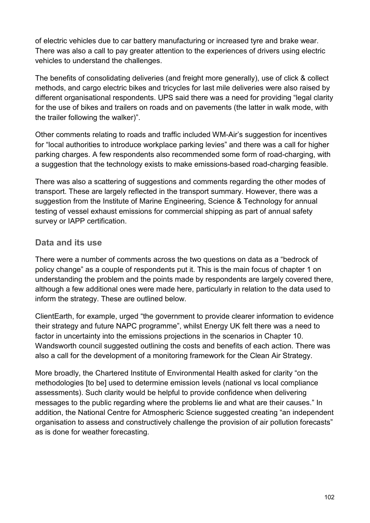of electric vehicles due to car battery manufacturing or increased tyre and brake wear. There was also a call to pay greater attention to the experiences of drivers using electric vehicles to understand the challenges.

The benefits of consolidating deliveries (and freight more generally), use of click & collect methods, and cargo electric bikes and tricycles for last mile deliveries were also raised by different organisational respondents. UPS said there was a need for providing "legal clarity for the use of bikes and trailers on roads and on pavements (the latter in walk mode, with the trailer following the walker)".

Other comments relating to roads and traffic included WM-Air's suggestion for incentives for "local authorities to introduce workplace parking levies" and there was a call for higher parking charges. A few respondents also recommended some form of road-charging, with a suggestion that the technology exists to make emissions-based road-charging feasible.

There was also a scattering of suggestions and comments regarding the other modes of transport. These are largely reflected in the transport summary. However, there was a suggestion from the Institute of Marine Engineering, Science & Technology for annual testing of vessel exhaust emissions for commercial shipping as part of annual safety survey or IAPP certification.

#### **Data and its use**

There were a number of comments across the two questions on data as a "bedrock of policy change" as a couple of respondents put it. This is the main focus of chapter 1 on understanding the problem and the points made by respondents are largely covered there, although a few additional ones were made here, particularly in relation to the data used to inform the strategy. These are outlined below.

ClientEarth, for example, urged "the government to provide clearer information to evidence their strategy and future NAPC programme", whilst Energy UK felt there was a need to factor in uncertainty into the emissions projections in the scenarios in Chapter 10. Wandsworth council suggested outlining the costs and benefits of each action. There was also a call for the development of a monitoring framework for the Clean Air Strategy.

More broadly, the Chartered Institute of Environmental Health asked for clarity "on the methodologies [to be] used to determine emission levels (national vs local compliance assessments). Such clarity would be helpful to provide confidence when delivering messages to the public regarding where the problems lie and what are their causes." In addition, the National Centre for Atmospheric Science suggested creating "an independent organisation to assess and constructively challenge the provision of air pollution forecasts" as is done for weather forecasting.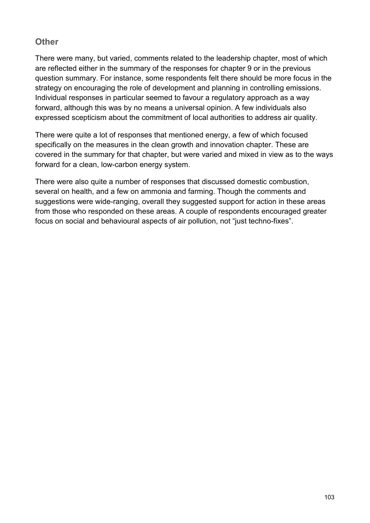#### **Other**

There were many, but varied, comments related to the leadership chapter, most of which are reflected either in the summary of the responses for chapter 9 or in the previous question summary. For instance, some respondents felt there should be more focus in the strategy on encouraging the role of development and planning in controlling emissions. Individual responses in particular seemed to favour a regulatory approach as a way forward, although this was by no means a universal opinion. A few individuals also expressed scepticism about the commitment of local authorities to address air quality.

There were quite a lot of responses that mentioned energy, a few of which focused specifically on the measures in the clean growth and innovation chapter. These are covered in the summary for that chapter, but were varied and mixed in view as to the ways forward for a clean, low-carbon energy system.

There were also quite a number of responses that discussed domestic combustion, several on health, and a few on ammonia and farming. Though the comments and suggestions were wide-ranging, overall they suggested support for action in these areas from those who responded on these areas. A couple of respondents encouraged greater focus on social and behavioural aspects of air pollution, not "just techno-fixes".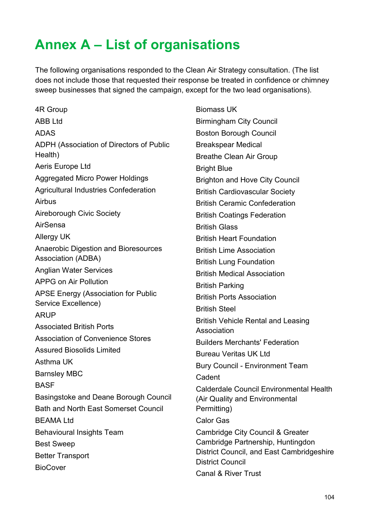# **Annex A – List of organisations**

The following organisations responded to the Clean Air Strategy consultation. (The list does not include those that requested their response be treated in confidence or chimney sweep businesses that signed the campaign, except for the two lead organisations).

4R Group ABB Ltd ADAS ADPH (Association of Directors of Public Health) Aeris Europe Ltd Aggregated Micro Power Holdings Agricultural Industries Confederation Airbus Aireborough Civic Society AirSensa Allergy UK Anaerobic Digestion and Bioresources Association (ADBA) Anglian Water Services APPG on Air Pollution APSE Energy (Association for Public Service Excellence) ARUP Associated British Ports Association of Convenience Stores Assured Biosolids Limited Asthma UK Barnsley MBC **BASF** Basingstoke and Deane Borough Council Bath and North East Somerset Council BEAMA Ltd Behavioural Insights Team Best Sweep Better Transport **BioCover** 

Biomass UK Birmingham City Council Boston Borough Council Breakspear Medical Breathe Clean Air Group Bright Blue Brighton and Hove City Council British Cardiovascular Society British Ceramic Confederation British Coatings Federation British Glass British Heart Foundation British Lime Association British Lung Foundation British Medical Association British Parking British Ports Association British Steel British Vehicle Rental and Leasing Association Builders Merchants' Federation Bureau Veritas UK Ltd Bury Council - Environment Team Cadent Calderdale Council Environmental Health (Air Quality and Environmental Permitting) Calor Gas Cambridge City Council & Greater Cambridge Partnership, Huntingdon District Council, and East Cambridgeshire District Council Canal & River Trust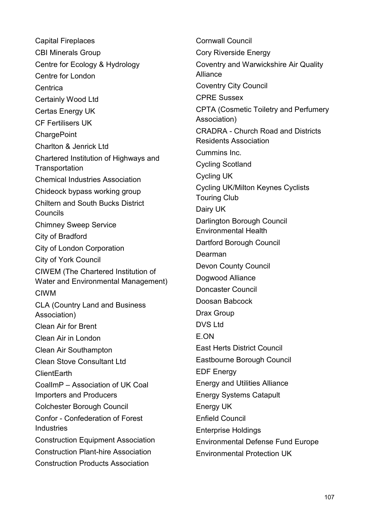Capital Fireplaces CBI Minerals Group Centre for Ecology & Hydrology Centre for London Centrica Certainly Wood Ltd Certas Energy UK CF Fertilisers UK **ChargePoint** Charlton & Jenrick Ltd Chartered Institution of Highways and **Transportation** Chemical Industries Association Chideock bypass working group Chiltern and South Bucks District Councils Chimney Sweep Service City of Bradford City of London Corporation City of York Council CIWEM (The Chartered Institution of Water and Environmental Management) CIWM CLA (Country Land and Business Association) Clean Air for Brent Clean Air in London Clean Air Southampton Clean Stove Consultant Ltd ClientEarth CoalImP – Association of UK Coal Importers and Producers Colchester Borough Council Confor - Confederation of Forest Industries Construction Equipment Association Construction Plant-hire Association Construction Products Association

Cornwall Council Cory Riverside Energy Coventry and Warwickshire Air Quality Alliance Coventry City Council CPRE Sussex CPTA (Cosmetic Toiletry and Perfumery Association) CRADRA - Church Road and Districts Residents Association Cummins Inc. Cycling Scotland Cycling UK Cycling UK/Milton Keynes Cyclists Touring Club Dairy UK Darlington Borough Council Environmental Health Dartford Borough Council Dearman Devon County Council Dogwood Alliance Doncaster Council Doosan Babcock Drax Group DVS Ltd E.ON East Herts District Council Eastbourne Borough Council EDF Energy Energy and Utilities Alliance Energy Systems Catapult Energy UK Enfield Council Enterprise Holdings Environmental Defense Fund Europe Environmental Protection UK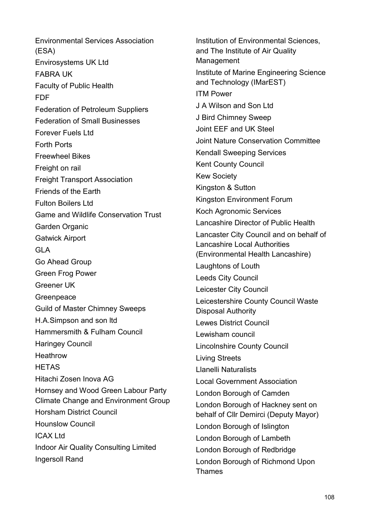Environmental Services Association (ESA) Envirosystems UK Ltd FABRA UK Faculty of Public Health FDF Federation of Petroleum Suppliers Federation of Small Businesses Forever Fuels Ltd Forth Ports Freewheel Bikes Freight on rail Freight Transport Association Friends of the Earth Fulton Boilers Ltd Game and Wildlife Conservation Trust Garden Organic Gatwick Airport GLA Go Ahead Group Green Frog Power Greener UK Greenpeace Guild of Master Chimney Sweeps H.A.Simpson and son ltd Hammersmith & Fulham Council Haringey Council **Heathrow HETAS** Hitachi Zosen Inova AG Hornsey and Wood Green Labour Party Climate Change and Environment Group Horsham District Council Hounslow Council ICAX Ltd Indoor Air Quality Consulting Limited Ingersoll Rand

Institution of Environmental Sciences, and The Institute of Air Quality Management Institute of Marine Engineering Science and Technology (IMarEST) ITM Power J A Wilson and Son Ltd J Bird Chimney Sweep Joint EEF and UK Steel Joint Nature Conservation Committee Kendall Sweeping Services Kent County Council Kew Society Kingston & Sutton Kingston Environment Forum Koch Agronomic Services Lancashire Director of Public Health Lancaster City Council and on behalf of Lancashire Local Authorities (Environmental Health Lancashire) Laughtons of Louth Leeds City Council Leicester City Council Leicestershire County Council Waste Disposal Authority Lewes District Council Lewisham council Lincolnshire County Council Living Streets Llanelli Naturalists Local Government Association London Borough of Camden London Borough of Hackney sent on behalf of Cllr Demirci (Deputy Mayor) London Borough of Islington London Borough of Lambeth London Borough of Redbridge London Borough of Richmond Upon Thames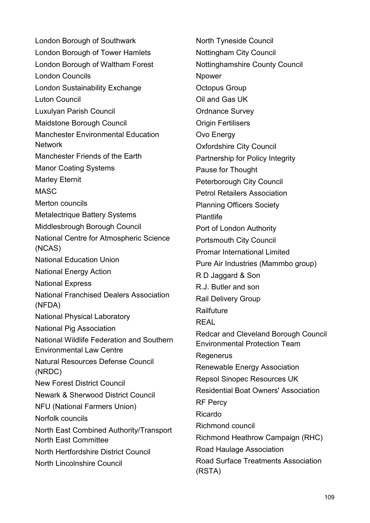London Borough of Southwark London Borough of Tower Hamlets London Borough of Waltham Forest London Councils London Sustainability Exchange Luton Council Luxulyan Parish Council Maidstone Borough Council Manchester Environmental Education Network Manchester Friends of the Earth Manor Coating Systems Marley Eternit MASC Merton councils Metalectrique Battery Systems Middlesbrough Borough Council National Centre for Atmospheric Science (NCAS) National Education Union National Energy Action National Express National Franchised Dealers Association (NFDA) National Physical Laboratory National Pig Association National Wildlife Federation and Southern Environmental Law Centre Natural Resources Defense Council (NRDC) New Forest District Council Newark & Sherwood District Council NFU (National Farmers Union) Norfolk councils North East Combined Authority/Transport North East Committee North Hertfordshire District Council North Lincolnshire Council

North Tyneside Council Nottingham City Council Nottinghamshire County Council Npower Octopus Group Oil and Gas UK Ordnance Survey Origin Fertilisers Ovo Energy Oxfordshire City Council Partnership for Policy Integrity Pause for Thought Peterborough City Council Petrol Retailers Association Planning Officers Society Plantlife Port of London Authority Portsmouth City Council Promar International Limited Pure Air Industries (Mammbo group) R D Jaggard & Son R.J. Butler and son Rail Delivery Group Railfuture REAL Redcar and Cleveland Borough Council Environmental Protection Team Regenerus Renewable Energy Association Repsol Sinopec Resources UK Residential Boat Owners' Association RF Percy Ricardo Richmond council Richmond Heathrow Campaign (RHC) Road Haulage Association Road Surface Treatments Association (RSTA)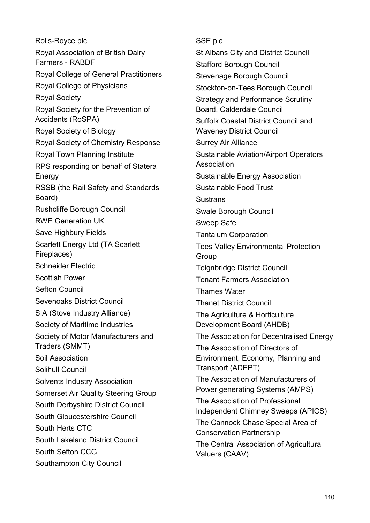Rolls-Royce plc Royal Association of British Dairy Farmers - RABDF Royal College of General Practitioners Royal College of Physicians Royal Society Royal Society for the Prevention of Accidents (RoSPA) Royal Society of Biology Royal Society of Chemistry Response Royal Town Planning Institute RPS responding on behalf of Statera Energy RSSB (the Rail Safety and Standards Board) Rushcliffe Borough Council RWE Generation UK Save Highbury Fields Scarlett Energy Ltd (TA Scarlett Fireplaces) Schneider Electric Scottish Power Sefton Council Sevenoaks District Council SIA (Stove Industry Alliance) Society of Maritime Industries Society of Motor Manufacturers and Traders (SMMT) Soil Association Solihull Council Solvents Industry Association Somerset Air Quality Steering Group South Derbyshire District Council South Gloucestershire Council South Herts CTC South Lakeland District Council South Sefton CCG Southampton City Council

SSE plc St Albans City and District Council Stafford Borough Council Stevenage Borough Council Stockton-on-Tees Borough Council Strategy and Performance Scrutiny Board, Calderdale Council Suffolk Coastal District Council and Waveney District Council Surrey Air Alliance Sustainable Aviation/Airport Operators Association Sustainable Energy Association Sustainable Food Trust **Sustrans** Swale Borough Council Sweep Safe Tantalum Corporation Tees Valley Environmental Protection Group Teignbridge District Council Tenant Farmers Association Thames Water Thanet District Council The Agriculture & Horticulture Development Board (AHDB) The Association for Decentralised Energy The Association of Directors of Environment, Economy, Planning and Transport (ADEPT) The Association of Manufacturers of Power generating Systems (AMPS) The Association of Professional Independent Chimney Sweeps (APICS) The Cannock Chase Special Area of Conservation Partnership The Central Association of Agricultural Valuers (CAAV)